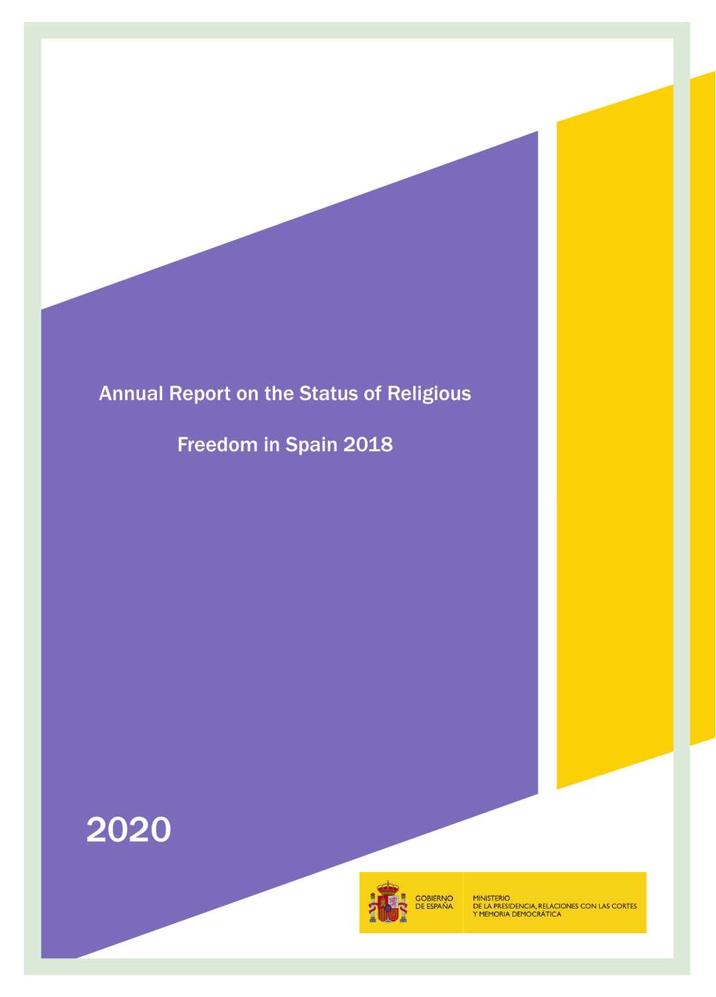# Annual Report on the Status of Religious

Freedom in Spain 2018





MINISTERIO<br>DE LA PRESIDENCIA, RELACIONES CON LAS CORTES<br>Y MEMORIA DEMOCRÁTICA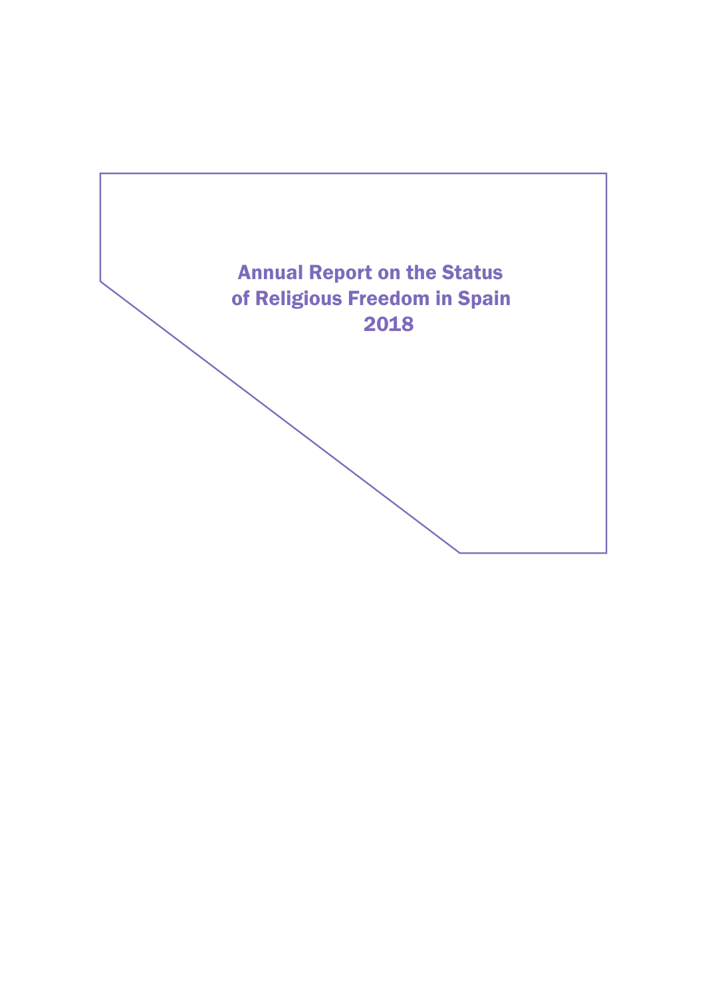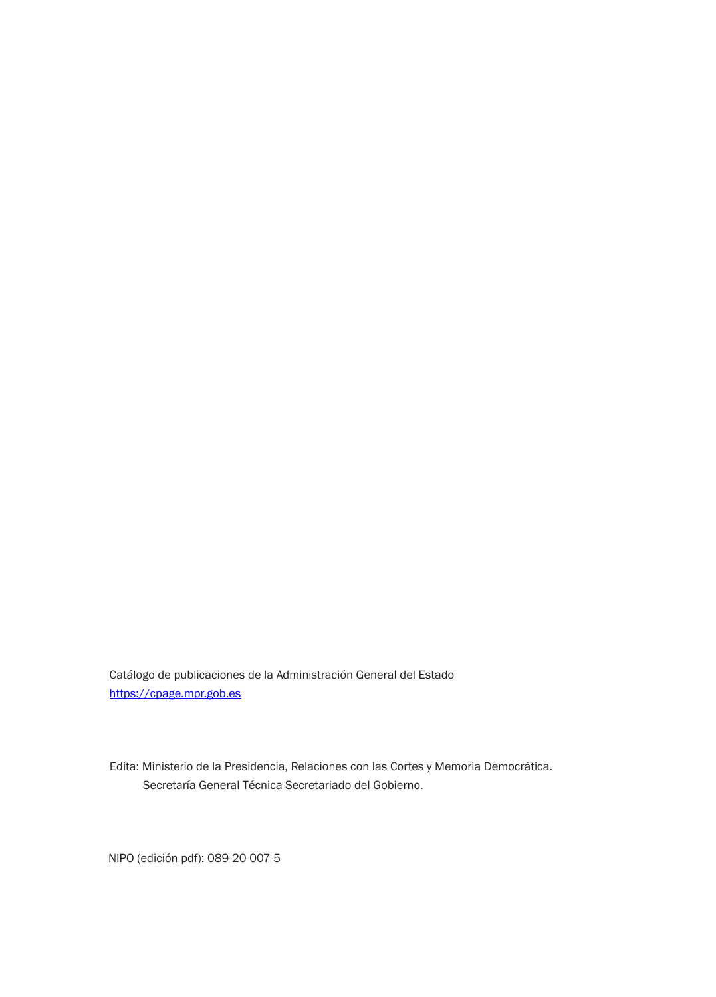Catálogo de publicaciones de la Administración General del Estado <https://cpage.mpr.gob.es>

Edita: Ministerio de la Presidencia, Relaciones con las Cortes y Memoria Democrática. Secretaría General Técnica-Secretariado del Gobierno.

NIPO (edición pdf): 089-20-007-5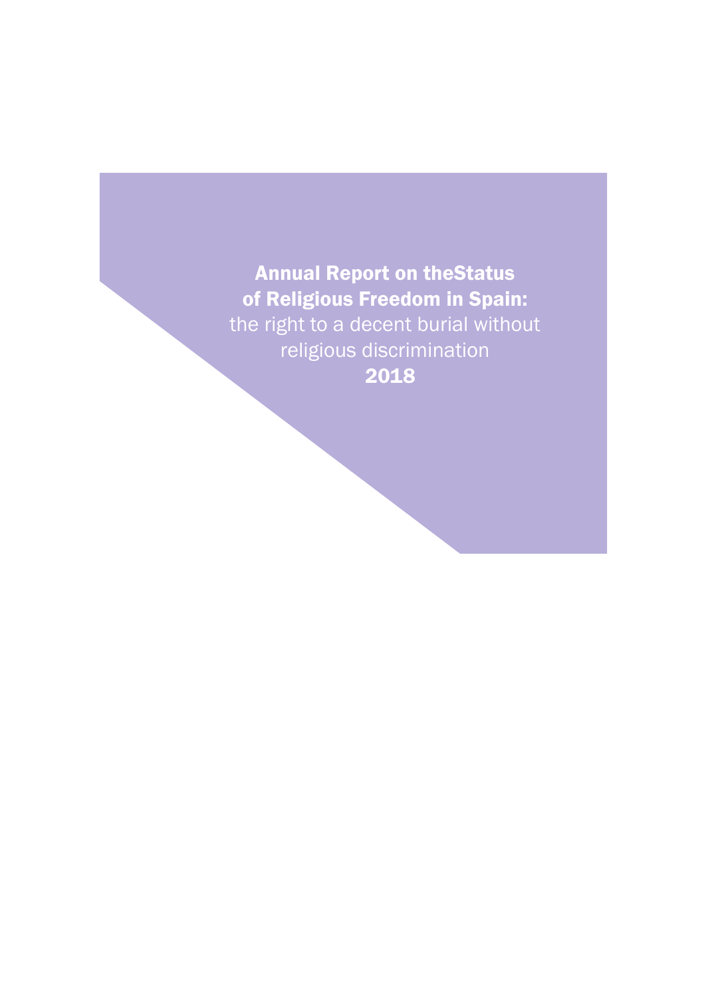Annual Report on theStatus of Religious Freedom in Spain: the right to a decent burial without religious discrimination 2018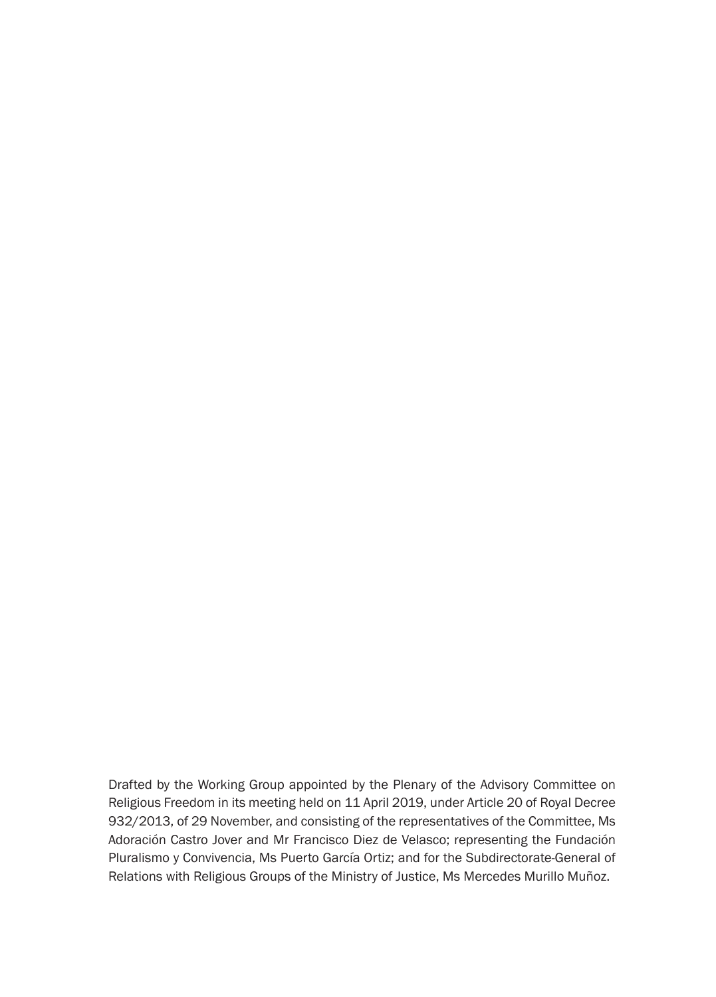Drafted by the Working Group appointed by the Plenary of the Advisory Committee on Religious Freedom in its meeting held on 11 April 2019, under Article 20 of Royal Decree 932/2013, of 29 November, and consisting of the representatives of the Committee, Ms Adoración Castro Jover and Mr Francisco Diez de Velasco; representing the Fundación Pluralismo y Convivencia, Ms Puerto García Ortiz; and for the Subdirectorate-General of Relations with Religious Groups of the Ministry of Justice, Ms Mercedes Murillo Muñoz.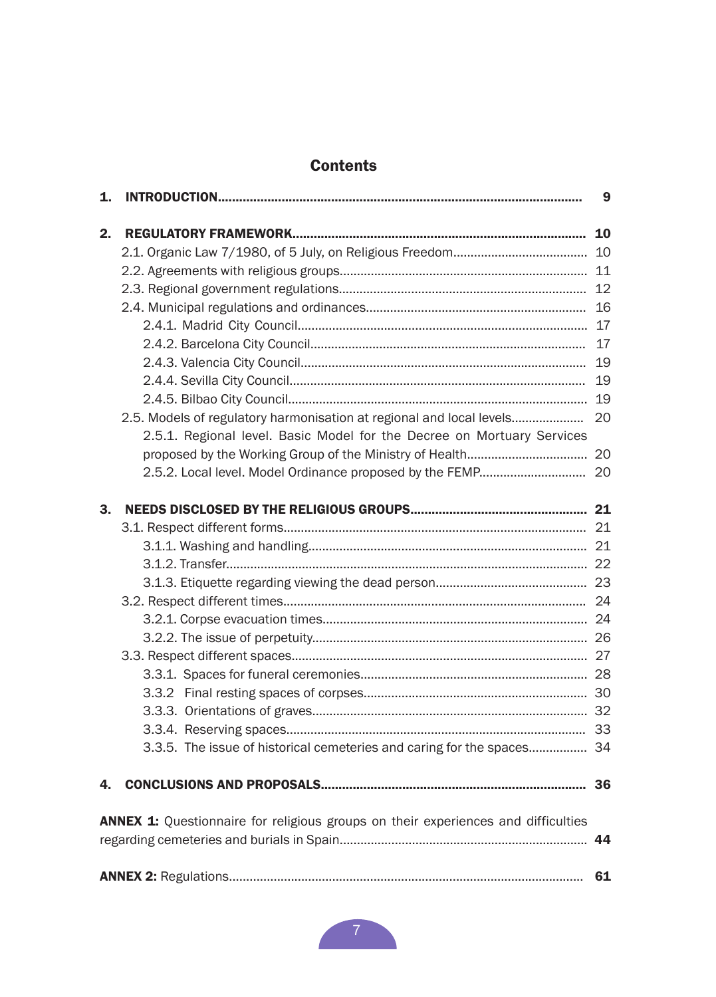# **Contents**

| 1.                                                                                |                                                                         | 9  |
|-----------------------------------------------------------------------------------|-------------------------------------------------------------------------|----|
| 2.                                                                                |                                                                         | 10 |
|                                                                                   |                                                                         |    |
|                                                                                   |                                                                         |    |
|                                                                                   |                                                                         |    |
|                                                                                   |                                                                         |    |
|                                                                                   |                                                                         |    |
|                                                                                   |                                                                         |    |
|                                                                                   |                                                                         |    |
|                                                                                   |                                                                         |    |
|                                                                                   |                                                                         |    |
|                                                                                   | 2.5. Models of regulatory harmonisation at regional and local levels 20 |    |
|                                                                                   | 2.5.1. Regional level. Basic Model for the Decree on Mortuary Services  |    |
|                                                                                   |                                                                         |    |
|                                                                                   |                                                                         |    |
| З.                                                                                |                                                                         |    |
|                                                                                   |                                                                         |    |
|                                                                                   |                                                                         |    |
|                                                                                   |                                                                         |    |
|                                                                                   |                                                                         |    |
|                                                                                   |                                                                         |    |
|                                                                                   |                                                                         |    |
|                                                                                   |                                                                         |    |
|                                                                                   |                                                                         |    |
|                                                                                   |                                                                         |    |
|                                                                                   |                                                                         |    |
|                                                                                   |                                                                         |    |
|                                                                                   |                                                                         |    |
|                                                                                   | 3.3.5. The issue of historical cemeteries and caring for the spaces 34  |    |
| 4.                                                                                |                                                                         |    |
| ANNEX 1: Questionnaire for religious groups on their experiences and difficulties |                                                                         |    |
|                                                                                   | 44                                                                      |    |
|                                                                                   |                                                                         | 61 |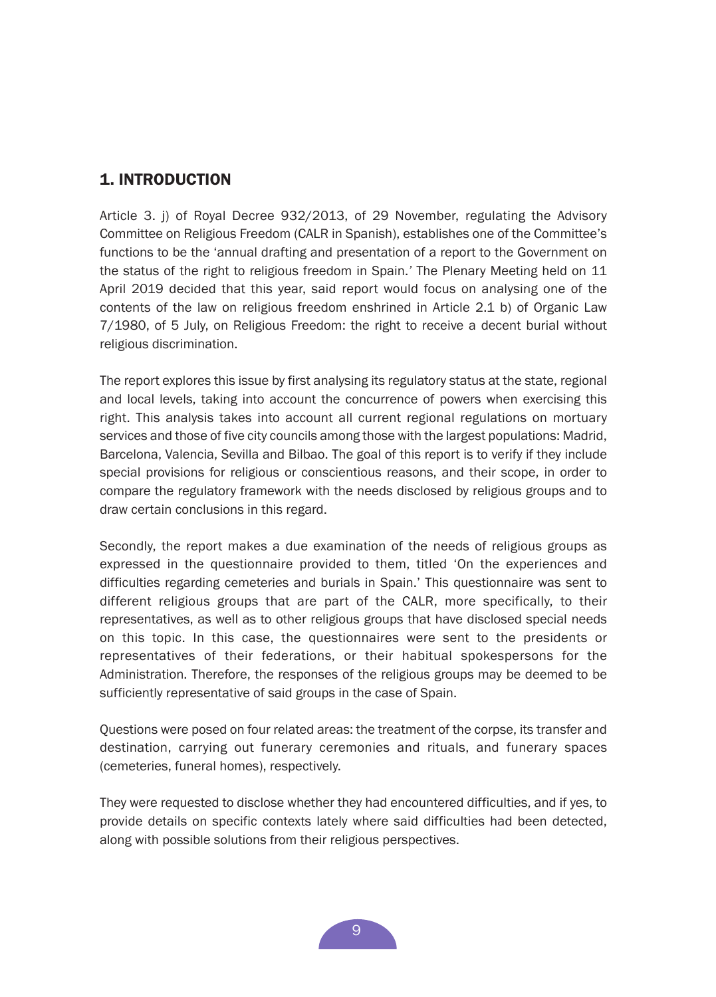# <span id="page-8-0"></span>1. INTRODUCTION

Article 3. j) of Royal Decree 932/2013, of 29 November, regulating the Advisory Committee on Religious Freedom (CALR in Spanish), establishes one of the Committee's functions to be the 'annual drafting and presentation of a report to the Government on the status of the right to religious freedom in Spain.*'* The Plenary Meeting held on 11 April 2019 decided that this year, said report would focus on analysing one of the contents of the law on religious freedom enshrined in Article 2.1 b) of Organic Law 7/1980, of 5 July, on Religious Freedom: the right to receive a decent burial without religious discrimination.

The report explores this issue by first analysing its regulatory status at the state, regional and local levels, taking into account the concurrence of powers when exercising this right. This analysis takes into account all current regional regulations on mortuary services and those of five city councils among those with the largest populations: Madrid, Barcelona, Valencia, Sevilla and Bilbao. The goal of this report is to verify if they include special provisions for religious or conscientious reasons, and their scope, in order to compare the regulatory framework with the needs disclosed by religious groups and to draw certain conclusions in this regard.

Secondly, the report makes a due examination of the needs of religious groups as expressed in the questionnaire provided to them, titled 'On the experiences and difficulties regarding cemeteries and burials in Spain.' This questionnaire was sent to different religious groups that are part of the CALR, more specifically, to their representatives, as well as to other religious groups that have disclosed special needs on this topic. In this case, the questionnaires were sent to the presidents or representatives of their federations, or their habitual spokespersons for the Administration. Therefore, the responses of the religious groups may be deemed to be sufficiently representative of said groups in the case of Spain.

Questions were posed on four related areas: the treatment of the corpse, its transfer and destination, carrying out funerary ceremonies and rituals, and funerary spaces (cemeteries, funeral homes), respectively.

They were requested to disclose whether they had encountered difficulties, and if yes, to provide details on specific contexts lately where said difficulties had been detected, along with possible solutions from their religious perspectives.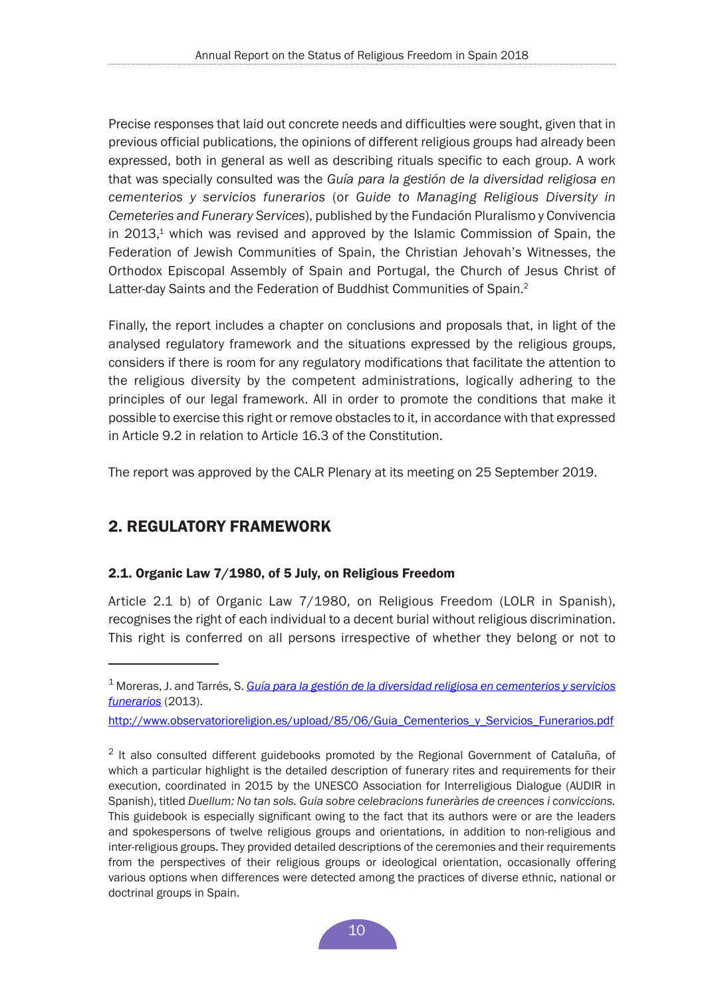<span id="page-9-0"></span>Precise responses that laid out concrete needs and difficulties were sought, given that in previous official publications, the opinions of different religious groups had already been expressed, both in general as well as describing rituals specific to each group. A work that was specially consulted was the *Guía para la gestión de la diversidad religiosa en cementerios y servicios funerarios* (or *Guide to Managing Religious Diversity in Cemeteries and Funerary Services*), published by the Fundación Pluralismo y Convivencia in  $2013<sup>1</sup>$  which was revised and approved by the Islamic Commission of Spain, the Federation of Jewish Communities of Spain, the Christian Jehovah's Witnesses, the Orthodox Episcopal Assembly of Spain and Portugal, the Church of Jesus Christ of Latter-day Saints and the Federation of Buddhist Communities of Spain.<sup>2</sup>

Finally, the report includes a chapter on conclusions and proposals that, in light of the analysed regulatory framework and the situations expressed by the religious groups, considers if there is room for any regulatory modifications that facilitate the attention to the religious diversity by the competent administrations, logically adhering to the principles of our legal framework. All in order to promote the conditions that make it possible to exercise this right or remove obstacles to it, in accordance with that expressed in Article 9.2 in relation to Article 16.3 of the Constitution.

The report was approved by the CALR Plenary at its meeting on 25 September 2019.

# 2. REGULATORY FRAMEWORK

## 2.1. Organic Law 7/1980, of 5 July, on Religious Freedom

Article 2.1 b) of Organic Law 7/1980, on Religious Freedom (LOLR in Spanish), recognises the right of each individual to a decent burial without religious discrimination. This right is conferred on all persons irrespective of whether they belong or not to

http://www.observatorioreligion.es/upload/85/06/Guia\_Cementerios\_v\_Servicios\_Funerarios.pdf

<sup>1</sup> Moreras, J. and Tarrés, S. *[Guía para la gestión de la diversidad religiosa en cementerios y servicios](http://www.observatorioreligion.es/upload/85/06/Guia_Cementerios_y_Servicios_Funerarios.pdf)  [funerarios](http://www.observatorioreligion.es/upload/85/06/Guia_Cementerios_y_Servicios_Funerarios.pdf)* (2013).

 $2$  It also consulted different guidebooks promoted by the Regional Government of Cataluña, of which a particular highlight is the detailed description of funerary rites and requirements for their execution, coordinated in 2015 by the UNESCO Association for Interreligious Dialogue (AUDIR in Spanish), titled *Duellum: No tan sols. Guia sobre celebracions funeràries de creences i conviccions.*  This guidebook is especially significant owing to the fact that its authors were or are the leaders and spokespersons of twelve religious groups and orientations, in addition to non-religious and inter-religious groups. They provided detailed descriptions of the ceremonies and their requirements from the perspectives of their religious groups or ideological orientation, occasionally offering various options when differences were detected among the practices of diverse ethnic, national or doctrinal groups in Spain.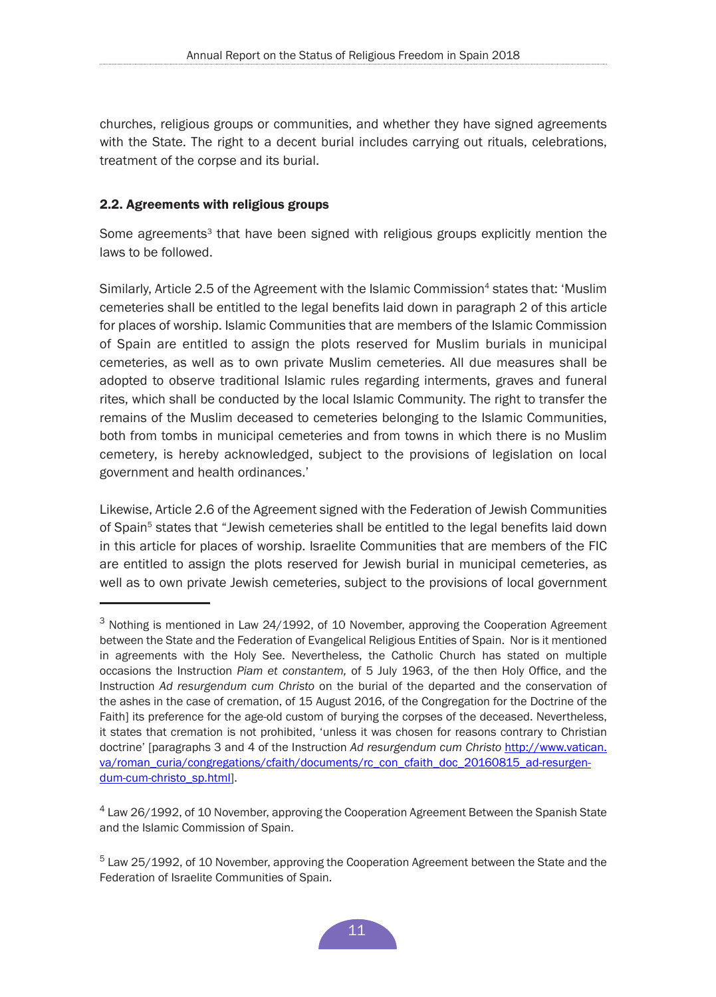<span id="page-10-0"></span>churches, religious groups or communities, and whether they have signed agreements with the State. The right to a decent burial includes carrying out rituals, celebrations, treatment of the corpse and its burial.

## 2.2. Agreements with religious groups

Some agreements<sup>3</sup> that have been signed with religious groups explicitly mention the laws to be followed.

Similarly, Article 2.5 of the Agreement with the Islamic Commission<sup>4</sup> states that: 'Muslim' cemeteries shall be entitled to the legal benefits laid down in paragraph 2 of this article for places of worship. Islamic Communities that are members of the Islamic Commission of Spain are entitled to assign the plots reserved for Muslim burials in municipal cemeteries, as well as to own private Muslim cemeteries. All due measures shall be adopted to observe traditional Islamic rules regarding interments, graves and funeral rites, which shall be conducted by the local Islamic Community. The right to transfer the remains of the Muslim deceased to cemeteries belonging to the Islamic Communities, both from tombs in municipal cemeteries and from towns in which there is no Muslim cemetery, is hereby acknowledged, subject to the provisions of legislation on local government and health ordinances.'

Likewise, Article 2.6 of the Agreement signed with the Federation of Jewish Communities of Spain<sup>5</sup> states that "Jewish cemeteries shall be entitled to the legal benefits laid down in this article for places of worship. Israelite Communities that are members of the FIC are entitled to assign the plots reserved for Jewish burial in municipal cemeteries, as well as to own private Jewish cemeteries, subject to the provisions of local government

<sup>&</sup>lt;sup>3</sup> Nothing is mentioned in Law 24/1992, of 10 November, approving the Cooperation Agreement between the State and the Federation of Evangelical Religious Entities of Spain. Nor is it mentioned in agreements with the Holy See. Nevertheless, the Catholic Church has stated on multiple occasions the Instruction *Piam et constantem,* of 5 July 1963, of the then Holy Office, and the Instruction *Ad resurgendum cum Christo* on the burial of the departed and the conservation of the ashes in the case of cremation, of 15 August 2016, of the Congregation for the Doctrine of the Faith] its preference for the age-old custom of burying the corpses of the deceased. Nevertheless, it states that cremation is not prohibited, 'unless it was chosen for reasons contrary to Christian doctrine' [paragraphs 3 and 4 of the Instruction *Ad resurgendum cum Christo* [http://www.vatican.](http://www.vatican.va/roman_curia/congregations/cfaith/documents/rc_con_cfaith_doc_20160815_ad-resurgendum-cum-christo_sp.html) [va/roman\\_curia/congregations/cfaith/documents/rc\\_con\\_cfaith\\_doc\\_20160815\\_ad-resurgen](http://www.vatican.va/roman_curia/congregations/cfaith/documents/rc_con_cfaith_doc_20160815_ad-resurgendum-cum-christo_sp.html)[dum-cum-christo\\_sp.html\]](http://www.vatican.va/roman_curia/congregations/cfaith/documents/rc_con_cfaith_doc_20160815_ad-resurgendum-cum-christo_sp.html).

<sup>&</sup>lt;sup>4</sup> Law 26/1992, of 10 November, approving the Cooperation Agreement Between the Spanish State and the Islamic Commission of Spain.

 $5$  Law 25/1992, of 10 November, approving the Cooperation Agreement between the State and the Federation of Israelite Communities of Spain.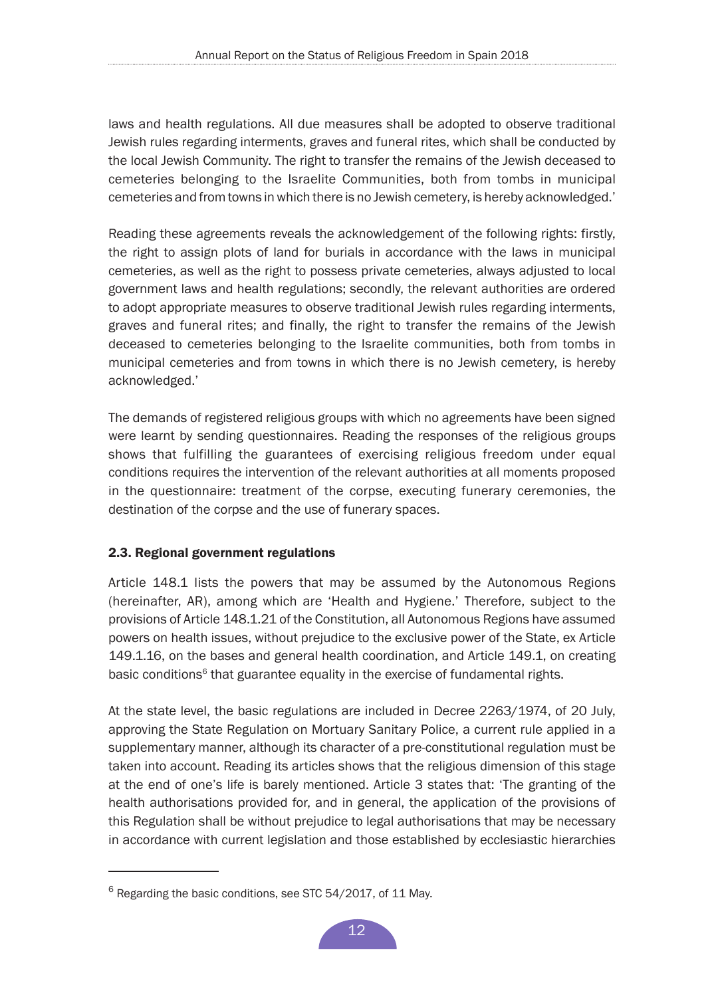<span id="page-11-0"></span>laws and health regulations. All due measures shall be adopted to observe traditional Jewish rules regarding interments, graves and funeral rites, which shall be conducted by the local Jewish Community. The right to transfer the remains of the Jewish deceased to cemeteries belonging to the Israelite Communities, both from tombs in municipal cemeteries and from towns in which there is no Jewish cemetery, is hereby acknowledged.'

Reading these agreements reveals the acknowledgement of the following rights: firstly, the right to assign plots of land for burials in accordance with the laws in municipal cemeteries, as well as the right to possess private cemeteries, always adjusted to local government laws and health regulations; secondly, the relevant authorities are ordered to adopt appropriate measures to observe traditional Jewish rules regarding interments, graves and funeral rites; and finally, the right to transfer the remains of the Jewish deceased to cemeteries belonging to the Israelite communities, both from tombs in municipal cemeteries and from towns in which there is no Jewish cemetery, is hereby acknowledged.'

The demands of registered religious groups with which no agreements have been signed were learnt by sending questionnaires. Reading the responses of the religious groups shows that fulfilling the guarantees of exercising religious freedom under equal conditions requires the intervention of the relevant authorities at all moments proposed in the questionnaire: treatment of the corpse, executing funerary ceremonies, the destination of the corpse and the use of funerary spaces.

# 2.3. Regional government regulations

Article 148.1 lists the powers that may be assumed by the Autonomous Regions (hereinafter, AR), among which are 'Health and Hygiene.' Therefore, subject to the provisions of Article 148.1.21 of the Constitution, all Autonomous Regions have assumed powers on health issues, without prejudice to the exclusive power of the State, ex Article 149.1.16, on the bases and general health coordination, and Article 149.1, on creating basic conditions<sup>6</sup> that guarantee equality in the exercise of fundamental rights.

At the state level, the basic regulations are included in Decree 2263/1974, of 20 July, approving the State Regulation on Mortuary Sanitary Police, a current rule applied in a supplementary manner, although its character of a pre-constitutional regulation must be taken into account. Reading its articles shows that the religious dimension of this stage at the end of one's life is barely mentioned. Article 3 states that: 'The granting of the health authorisations provided for, and in general, the application of the provisions of this Regulation shall be without prejudice to legal authorisations that may be necessary in accordance with current legislation and those established by ecclesiastic hierarchies

 $6$  Regarding the basic conditions, see STC 54/2017, of 11 May.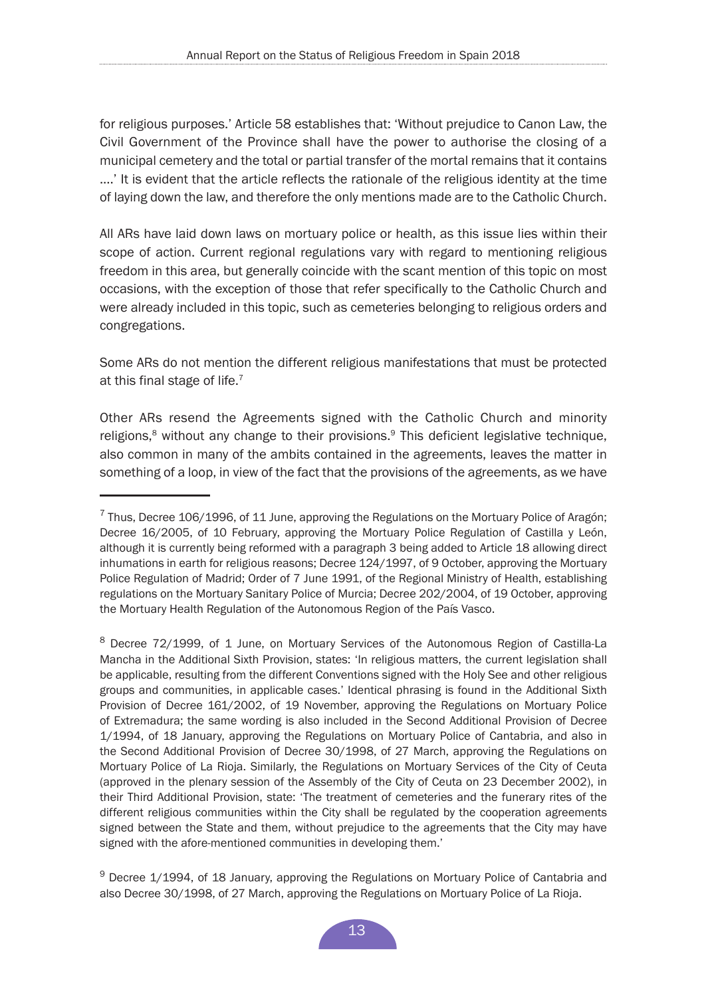for religious purposes.' Article 58 establishes that: 'Without prejudice to Canon Law, the Civil Government of the Province shall have the power to authorise the closing of a municipal cemetery and the total or partial transfer of the mortal remains that it contains ....' It is evident that the article reflects the rationale of the religious identity at the time of laying down the law, and therefore the only mentions made are to the Catholic Church.

All ARs have laid down laws on mortuary police or health, as this issue lies within their scope of action. Current regional regulations vary with regard to mentioning religious freedom in this area, but generally coincide with the scant mention of this topic on most occasions, with the exception of those that refer specifically to the Catholic Church and were already included in this topic, such as cemeteries belonging to religious orders and congregations.

Some ARs do not mention the different religious manifestations that must be protected at this final stage of life.<sup>7</sup>

Other ARs resend the Agreements signed with the Catholic Church and minority religions,<sup>8</sup> without any change to their provisions.<sup>9</sup> This deficient legislative technique, also common in many of the ambits contained in the agreements, leaves the matter in something of a loop, in view of the fact that the provisions of the agreements, as we have

 $7$  Thus. Decree 106/1996, of 11 June, approving the Regulations on the Mortuary Police of Aragón; Decree 16/2005, of 10 February, approving the Mortuary Police Regulation of Castilla y León, although it is currently being reformed with a paragraph 3 being added to Article 18 allowing direct inhumations in earth for religious reasons; Decree 124/1997, of 9 October, approving the Mortuary Police Regulation of Madrid; Order of 7 June 1991, of the Regional Ministry of Health, establishing regulations on the Mortuary Sanitary Police of Murcia; Decree 202/2004, of 19 October, approving the Mortuary Health Regulation of the Autonomous Region of the País Vasco.

<sup>8</sup> Decree 72/1999, of 1 June, on Mortuary Services of the Autonomous Region of Castilla-La Mancha in the Additional Sixth Provision, states: 'In religious matters, the current legislation shall be applicable, resulting from the different Conventions signed with the Holy See and other religious groups and communities, in applicable cases.' Identical phrasing is found in the Additional Sixth Provision of Decree 161/2002, of 19 November, approving the Regulations on Mortuary Police of Extremadura; the same wording is also included in the Second Additional Provision of Decree 1/1994, of 18 January, approving the Regulations on Mortuary Police of Cantabria, and also in the Second Additional Provision of Decree 30/1998, of 27 March, approving the Regulations on Mortuary Police of La Rioja. Similarly, the Regulations on Mortuary Services of the City of Ceuta (approved in the plenary session of the Assembly of the City of Ceuta on 23 December 2002), in their Third Additional Provision, state: 'The treatment of cemeteries and the funerary rites of the different religious communities within the City shall be regulated by the cooperation agreements signed between the State and them, without prejudice to the agreements that the City may have signed with the afore-mentioned communities in developing them.'

 $9$  Decree 1/1994, of 18 January, approving the Regulations on Mortuary Police of Cantabria and also Decree 30/1998, of 27 March, approving the Regulations on Mortuary Police of La Rioja.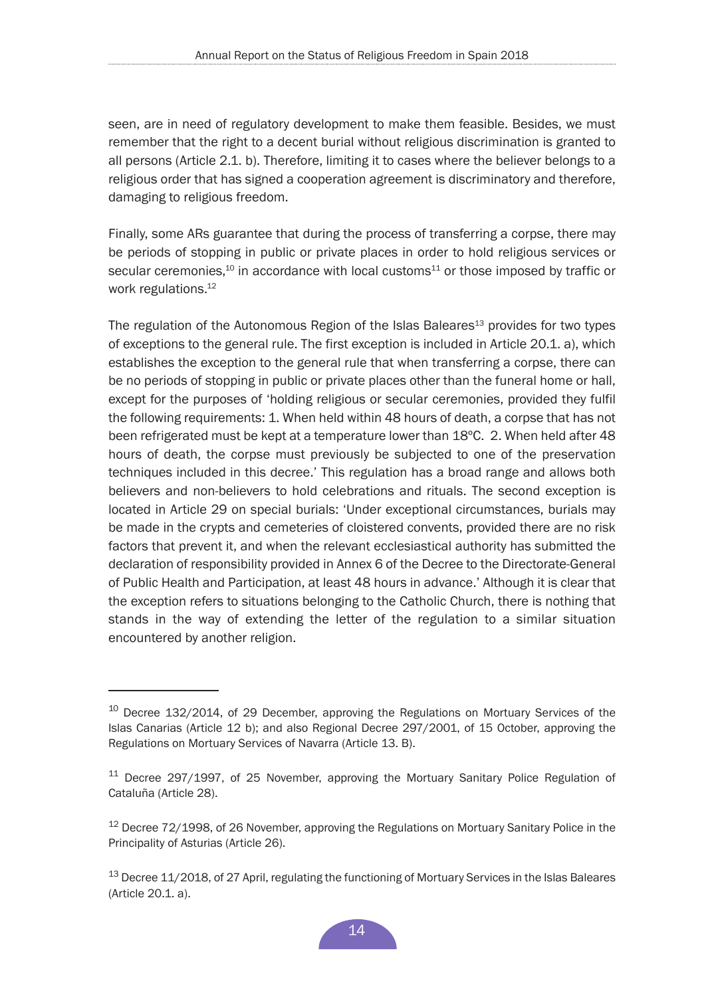seen, are in need of regulatory development to make them feasible. Besides, we must remember that the right to a decent burial without religious discrimination is granted to all persons (Article 2.1. b). Therefore, limiting it to cases where the believer belongs to a religious order that has signed a cooperation agreement is discriminatory and therefore, damaging to religious freedom.

Finally, some ARs guarantee that during the process of transferring a corpse, there may be periods of stopping in public or private places in order to hold religious services or secular ceremonies, $10$  in accordance with local customs<sup>11</sup> or those imposed by traffic or work regulations.<sup>12</sup>

The regulation of the Autonomous Region of the Islas Baleares<sup>13</sup> provides for two types of exceptions to the general rule. The first exception is included in Article 20.1. a), which establishes the exception to the general rule that when transferring a corpse, there can be no periods of stopping in public or private places other than the funeral home or hall, except for the purposes of 'holding religious or secular ceremonies, provided they fulfil the following requirements: 1. When held within 48 hours of death, a corpse that has not been refrigerated must be kept at a temperature lower than 18ºC. 2. When held after 48 hours of death, the corpse must previously be subjected to one of the preservation techniques included in this decree.' This regulation has a broad range and allows both believers and non-believers to hold celebrations and rituals. The second exception is located in Article 29 on special burials: 'Under exceptional circumstances, burials may be made in the crypts and cemeteries of cloistered convents, provided there are no risk factors that prevent it, and when the relevant ecclesiastical authority has submitted the declaration of responsibility provided in Annex 6 of the Decree to the Directorate-General of Public Health and Participation, at least 48 hours in advance.' Although it is clear that the exception refers to situations belonging to the Catholic Church, there is nothing that stands in the way of extending the letter of the regulation to a similar situation encountered by another religion.

<sup>&</sup>lt;sup>10</sup> Decree 132/2014, of 29 December, approving the Regulations on Mortuary Services of the Islas Canarias (Article 12 b); and also Regional Decree 297/2001, of 15 October, approving the Regulations on Mortuary Services of Navarra (Article 13. B).

<sup>&</sup>lt;sup>11</sup> Decree 297/1997, of 25 November, approving the Mortuary Sanitary Police Regulation of Cataluña (Article 28).

<sup>&</sup>lt;sup>12</sup> Decree 72/1998, of 26 November, approving the Regulations on Mortuary Sanitary Police in the Principality of Asturias (Article 26).

<sup>&</sup>lt;sup>13</sup> Decree 11/2018, of 27 April, regulating the functioning of Mortuary Services in the Islas Baleares (Article 20.1. a).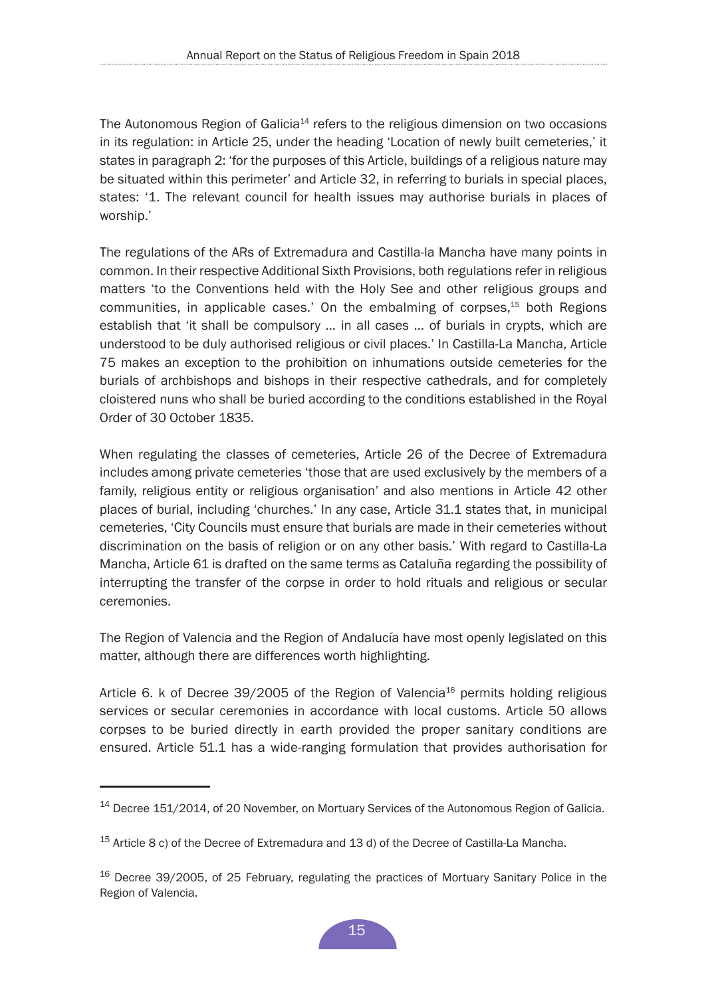The Autonomous Region of Galicia<sup>14</sup> refers to the religious dimension on two occasions in its regulation: in Article 25, under the heading 'Location of newly built cemeteries,' it states in paragraph 2: 'for the purposes of this Article, buildings of a religious nature may be situated within this perimeter' and Article 32, in referring to burials in special places, states: '1. The relevant council for health issues may authorise burials in places of worship.'

The regulations of the ARs of Extremadura and Castilla-la Mancha have many points in common. In their respective Additional Sixth Provisions, both regulations refer in religious matters 'to the Conventions held with the Holy See and other religious groups and communities, in applicable cases.' On the embalming of corpses,15 both Regions establish that 'it shall be compulsory … in all cases … of burials in crypts, which are understood to be duly authorised religious or civil places.' In Castilla-La Mancha, Article 75 makes an exception to the prohibition on inhumations outside cemeteries for the burials of archbishops and bishops in their respective cathedrals, and for completely cloistered nuns who shall be buried according to the conditions established in the Royal Order of 30 October 1835.

When regulating the classes of cemeteries, Article 26 of the Decree of Extremadura includes among private cemeteries 'those that are used exclusively by the members of a family, religious entity or religious organisation' and also mentions in Article 42 other places of burial, including 'churches.' In any case, Article 31.1 states that, in municipal cemeteries, 'City Councils must ensure that burials are made in their cemeteries without discrimination on the basis of religion or on any other basis.' With regard to Castilla-La Mancha, Article 61 is drafted on the same terms as Cataluña regarding the possibility of interrupting the transfer of the corpse in order to hold rituals and religious or secular ceremonies.

The Region of Valencia and the Region of Andalucía have most openly legislated on this matter, although there are differences worth highlighting.

Article 6. k of Decree  $39/2005$  of the Region of Valencia<sup>16</sup> permits holding religious services or secular ceremonies in accordance with local customs. Article 50 allows corpses to be buried directly in earth provided the proper sanitary conditions are ensured. Article 51.1 has a wide-ranging formulation that provides authorisation for

<sup>&</sup>lt;sup>14</sup> Decree 151/2014, of 20 November, on Mortuary Services of the Autonomous Region of Galicia.

<sup>&</sup>lt;sup>15</sup> Article 8 c) of the Decree of Extremadura and 13 d) of the Decree of Castilla-La Mancha.

<sup>&</sup>lt;sup>16</sup> Decree 39/2005, of 25 February, regulating the practices of Mortuary Sanitary Police in the Region of Valencia.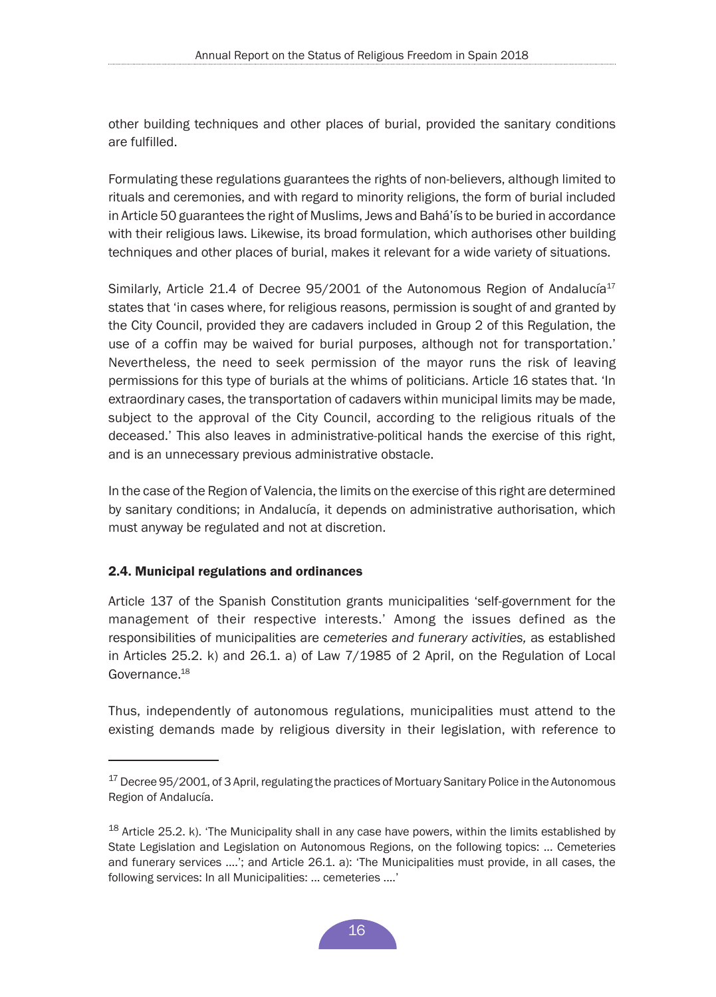<span id="page-15-0"></span>other building techniques and other places of burial, provided the sanitary conditions are fulfilled.

Formulating these regulations guarantees the rights of non-believers, although limited to rituals and ceremonies, and with regard to minority religions, the form of burial included in Article 50 guarantees the right of Muslims, Jews and Bahá'ís to be buried in accordance with their religious laws. Likewise, its broad formulation, which authorises other building techniques and other places of burial, makes it relevant for a wide variety of situations.

Similarly, Article 21.4 of Decree  $95/2001$  of the Autonomous Region of Andalucía<sup>17</sup> states that 'in cases where, for religious reasons, permission is sought of and granted by the City Council, provided they are cadavers included in Group 2 of this Regulation, the use of a coffin may be waived for burial purposes, although not for transportation.' Nevertheless, the need to seek permission of the mayor runs the risk of leaving permissions for this type of burials at the whims of politicians. Article 16 states that. 'In extraordinary cases, the transportation of cadavers within municipal limits may be made, subject to the approval of the City Council, according to the religious rituals of the deceased.' This also leaves in administrative-political hands the exercise of this right, and is an unnecessary previous administrative obstacle.

In the case of the Region of Valencia, the limits on the exercise of this right are determined by sanitary conditions; in Andalucía, it depends on administrative authorisation, which must anyway be regulated and not at discretion.

#### 2.4. Municipal regulations and ordinances

Article 137 of the Spanish Constitution grants municipalities 'self-government for the management of their respective interests.' Among the issues defined as the responsibilities of municipalities are *cemeteries and funerary activities,* as established in Articles 25.2. k) and 26.1. a) of Law 7/1985 of 2 April, on the Regulation of Local Governance.<sup>18</sup>

Thus, independently of autonomous regulations, municipalities must attend to the existing demands made by religious diversity in their legislation, with reference to

<sup>&</sup>lt;sup>17</sup> Decree 95/2001, of 3 April, regulating the practices of Mortuary Sanitary Police in the Autonomous Region of Andalucía.

 $18$  Article 25.2. k). 'The Municipality shall in any case have powers, within the limits established by State Legislation and Legislation on Autonomous Regions, on the following topics: ... Cemeteries and funerary services ....'; and Article 26.1. a): 'The Municipalities must provide, in all cases, the following services: In all Municipalities: ... cemeteries ....'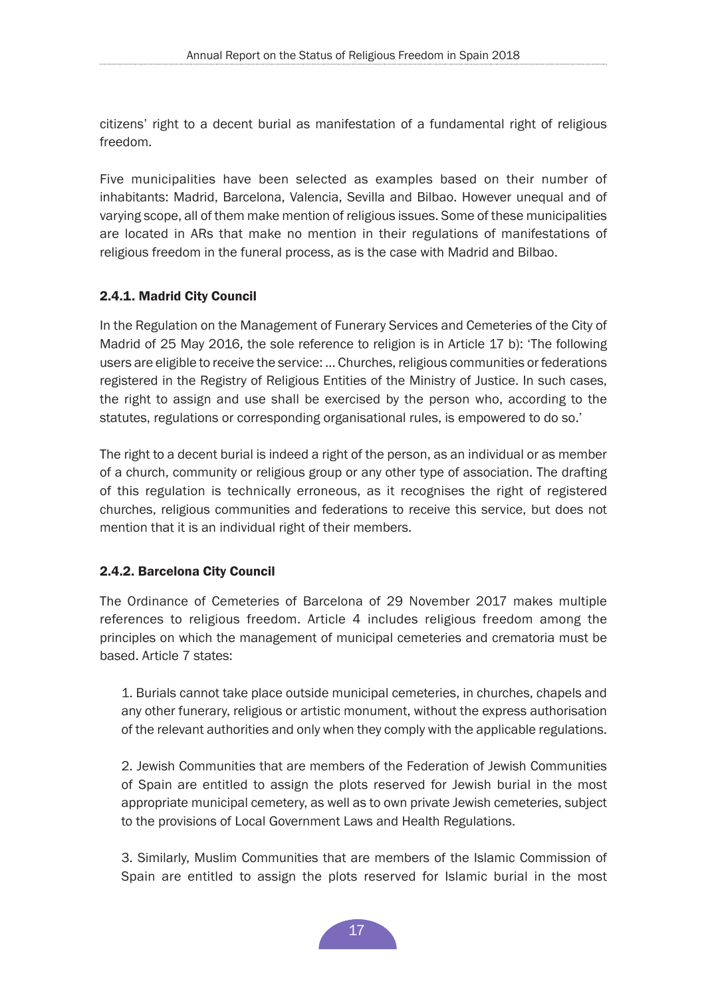<span id="page-16-0"></span>citizens' right to a decent burial as manifestation of a fundamental right of religious freedom.

Five municipalities have been selected as examples based on their number of inhabitants: Madrid, Barcelona, Valencia, Sevilla and Bilbao. However unequal and of varying scope, all of them make mention of religious issues. Some of these municipalities are located in ARs that make no mention in their regulations of manifestations of religious freedom in the funeral process, as is the case with Madrid and Bilbao.

# 2.4.1. Madrid City Council

In the Regulation on the Management of Funerary Services and Cemeteries of the City of Madrid of 25 May 2016, the sole reference to religion is in Article 17 b): 'The following users are eligible to receive the service: ... Churches, religious communities or federations registered in the Registry of Religious Entities of the Ministry of Justice. In such cases, the right to assign and use shall be exercised by the person who, according to the statutes, regulations or corresponding organisational rules, is empowered to do so.'

The right to a decent burial is indeed a right of the person, as an individual or as member of a church, community or religious group or any other type of association. The drafting of this regulation is technically erroneous, as it recognises the right of registered churches, religious communities and federations to receive this service, but does not mention that it is an individual right of their members.

# 2.4.2. Barcelona City Council

The Ordinance of Cemeteries of Barcelona of 29 November 2017 makes multiple references to religious freedom. Article 4 includes religious freedom among the principles on which the management of municipal cemeteries and crematoria must be based. Article 7 states:

1. Burials cannot take place outside municipal cemeteries, in churches, chapels and any other funerary, religious or artistic monument, without the express authorisation of the relevant authorities and only when they comply with the applicable regulations.

2. Jewish Communities that are members of the Federation of Jewish Communities of Spain are entitled to assign the plots reserved for Jewish burial in the most appropriate municipal cemetery, as well as to own private Jewish cemeteries, subject to the provisions of Local Government Laws and Health Regulations.

3. Similarly, Muslim Communities that are members of the Islamic Commission of Spain are entitled to assign the plots reserved for Islamic burial in the most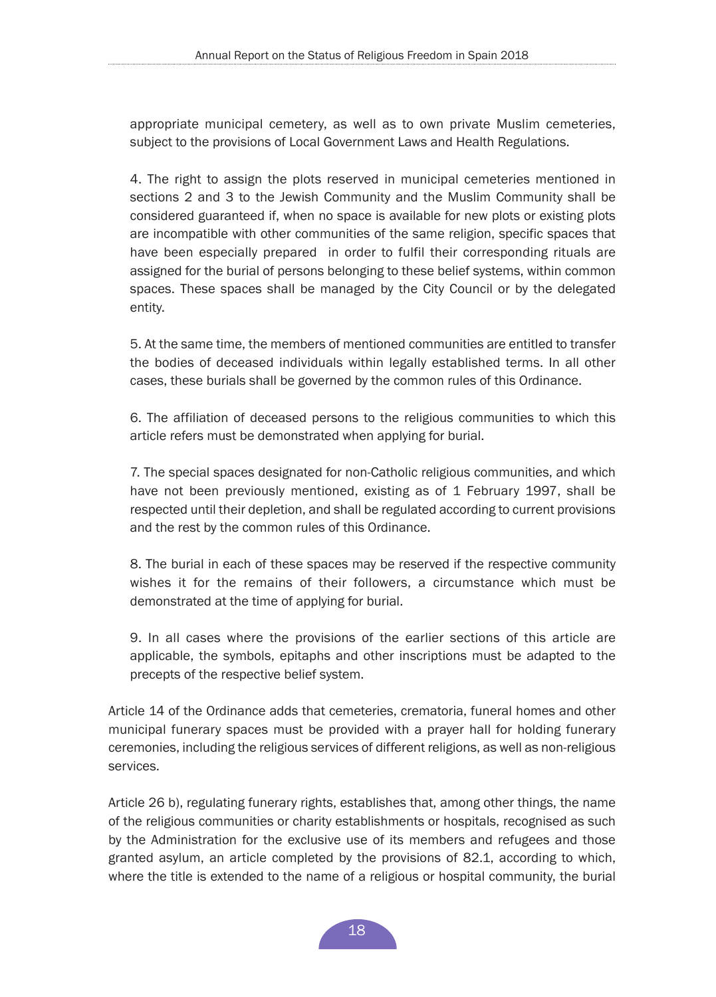appropriate municipal cemetery, as well as to own private Muslim cemeteries, subject to the provisions of Local Government Laws and Health Regulations.

4. The right to assign the plots reserved in municipal cemeteries mentioned in sections 2 and 3 to the Jewish Community and the Muslim Community shall be considered guaranteed if, when no space is available for new plots or existing plots are incompatible with other communities of the same religion, specific spaces that have been especially prepared in order to fulfil their corresponding rituals are assigned for the burial of persons belonging to these belief systems, within common spaces. These spaces shall be managed by the City Council or by the delegated entity.

5. At the same time, the members of mentioned communities are entitled to transfer the bodies of deceased individuals within legally established terms. In all other cases, these burials shall be governed by the common rules of this Ordinance.

6. The affiliation of deceased persons to the religious communities to which this article refers must be demonstrated when applying for burial.

7. The special spaces designated for non-Catholic religious communities, and which have not been previously mentioned, existing as of 1 February 1997, shall be respected until their depletion, and shall be regulated according to current provisions and the rest by the common rules of this Ordinance.

8. The burial in each of these spaces may be reserved if the respective community wishes it for the remains of their followers, a circumstance which must be demonstrated at the time of applying for burial.

9. In all cases where the provisions of the earlier sections of this article are applicable, the symbols, epitaphs and other inscriptions must be adapted to the precepts of the respective belief system.

Article 14 of the Ordinance adds that cemeteries, crematoria, funeral homes and other municipal funerary spaces must be provided with a prayer hall for holding funerary ceremonies, including the religious services of different religions, as well as non-religious services.

Article 26 b), regulating funerary rights, establishes that, among other things, the name of the religious communities or charity establishments or hospitals, recognised as such by the Administration for the exclusive use of its members and refugees and those granted asylum, an article completed by the provisions of 82.1, according to which, where the title is extended to the name of a religious or hospital community, the burial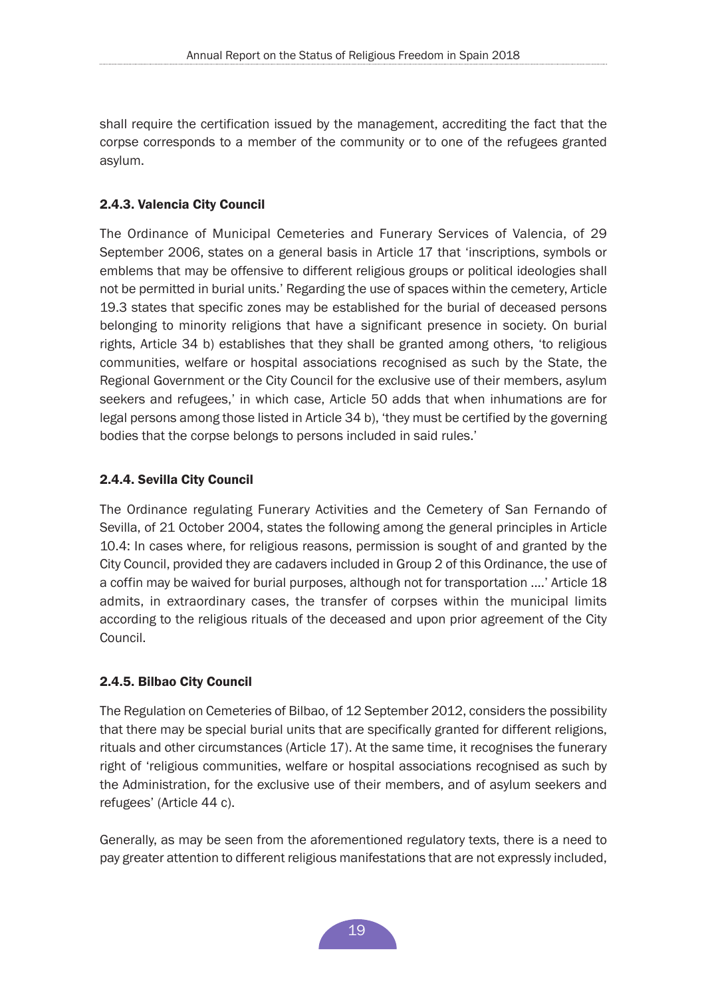<span id="page-18-0"></span>shall require the certification issued by the management, accrediting the fact that the corpse corresponds to a member of the community or to one of the refugees granted asylum.

## 2.4.3. Valencia City Council

The Ordinance of Municipal Cemeteries and Funerary Services of Valencia, of 29 September 2006, states on a general basis in Article 17 that 'inscriptions, symbols or emblems that may be offensive to different religious groups or political ideologies shall not be permitted in burial units.' Regarding the use of spaces within the cemetery, Article 19.3 states that specific zones may be established for the burial of deceased persons belonging to minority religions that have a significant presence in society. On burial rights, Article 34 b) establishes that they shall be granted among others, 'to religious communities, welfare or hospital associations recognised as such by the State, the Regional Government or the City Council for the exclusive use of their members, asylum seekers and refugees,' in which case, Article 50 adds that when inhumations are for legal persons among those listed in Article 34 b), 'they must be certified by the governing bodies that the corpse belongs to persons included in said rules.'

## 2.4.4. Sevilla City Council

The Ordinance regulating Funerary Activities and the Cemetery of San Fernando of Sevilla, of 21 October 2004, states the following among the general principles in Article 10.4: In cases where, for religious reasons, permission is sought of and granted by the City Council, provided they are cadavers included in Group 2 of this Ordinance, the use of a coffin may be waived for burial purposes, although not for transportation ....' Article 18 admits, in extraordinary cases, the transfer of corpses within the municipal limits according to the religious rituals of the deceased and upon prior agreement of the City Council.

## 2.4.5. Bilbao City Council

The Regulation on Cemeteries of Bilbao, of 12 September 2012, considers the possibility that there may be special burial units that are specifically granted for different religions, rituals and other circumstances (Article 17). At the same time, it recognises the funerary right of 'religious communities, welfare or hospital associations recognised as such by the Administration, for the exclusive use of their members, and of asylum seekers and refugees' (Article 44 c).

Generally, as may be seen from the aforementioned regulatory texts, there is a need to pay greater attention to different religious manifestations that are not expressly included,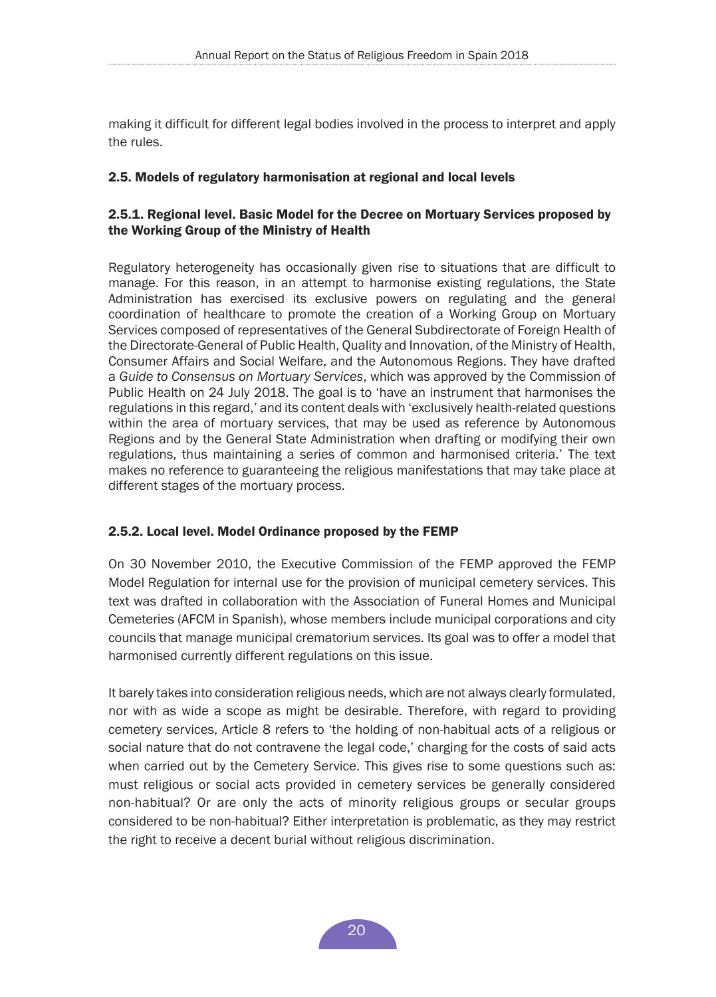<span id="page-19-0"></span>making it difficult for different legal bodies involved in the process to interpret and apply the rules.

## 2.5. Models of regulatory harmonisation at regional and local levels

## 2.5.1. Regional level. Basic Model for the Decree on Mortuary Services proposed by the Working Group of the Ministry of Health

Regulatory heterogeneity has occasionally given rise to situations that are difficult to manage. For this reason, in an attempt to harmonise existing regulations, the State Administration has exercised its exclusive powers on regulating and the general coordination of healthcare to promote the creation of a Working Group on Mortuary Services composed of representatives of the General Subdirectorate of Foreign Health of the Directorate-General of Public Health, Quality and Innovation, of the Ministry of Health, Consumer Affairs and Social Welfare, and the Autonomous Regions. They have drafted a *Guide to Consensus on Mortuary Services*, which was approved by the Commission of Public Health on 24 July 2018. The goal is to 'have an instrument that harmonises the regulations in this regard,' and its content deals with 'exclusively health-related questions within the area of mortuary services, that may be used as reference by Autonomous Regions and by the General State Administration when drafting or modifying their own regulations, thus maintaining a series of common and harmonised criteria.' The text makes no reference to guaranteeing the religious manifestations that may take place at different stages of the mortuary process.

#### 2.5.2. Local level. Model Ordinance proposed by the FEMP

On 30 November 2010, the Executive Commission of the FEMP approved the FEMP Model Regulation for internal use for the provision of municipal cemetery services. This text was drafted in collaboration with the Association of Funeral Homes and Municipal Cemeteries (AFCM in Spanish), whose members include municipal corporations and city councils that manage municipal crematorium services. Its goal was to offer a model that harmonised currently different regulations on this issue.

It barely takes into consideration religious needs, which are not always clearly formulated, nor with as wide a scope as might be desirable. Therefore, with regard to providing cemetery services, Article 8 refers to 'the holding of non-habitual acts of a religious or social nature that do not contravene the legal code,' charging for the costs of said acts when carried out by the Cemetery Service. This gives rise to some questions such as: must religious or social acts provided in cemetery services be generally considered non-habitual? Or are only the acts of minority religious groups or secular groups considered to be non-habitual? Either interpretation is problematic, as they may restrict the right to receive a decent burial without religious discrimination.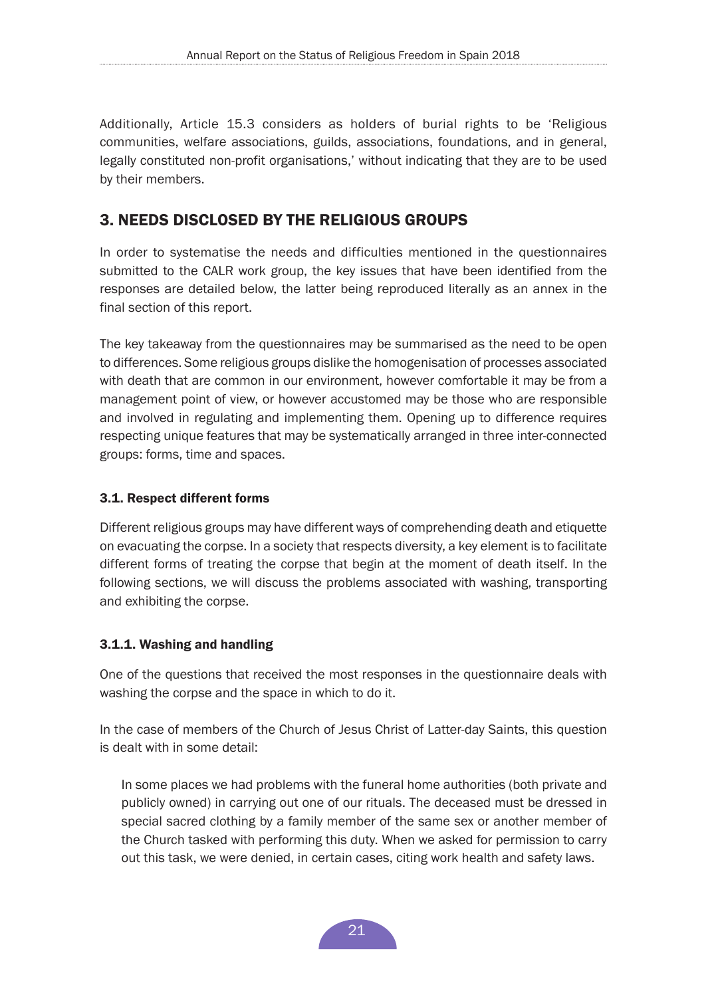<span id="page-20-0"></span>Additionally, Article 15.3 considers as holders of burial rights to be 'Religious communities, welfare associations, guilds, associations, foundations, and in general, legally constituted non-profit organisations,' without indicating that they are to be used by their members.

# 3. NEEDS DISCLOSED BY THE RELIGIOUS GROUPS

In order to systematise the needs and difficulties mentioned in the questionnaires submitted to the CALR work group, the key issues that have been identified from the responses are detailed below, the latter being reproduced literally as an annex in the final section of this report.

The key takeaway from the questionnaires may be summarised as the need to be open to differences. Some religious groups dislike the homogenisation of processes associated with death that are common in our environment, however comfortable it may be from a management point of view, or however accustomed may be those who are responsible and involved in regulating and implementing them. Opening up to difference requires respecting unique features that may be systematically arranged in three inter-connected groups: forms, time and spaces.

## 3.1. Respect different forms

Different religious groups may have different ways of comprehending death and etiquette on evacuating the corpse. In a society that respects diversity, a key element is to facilitate different forms of treating the corpse that begin at the moment of death itself. In the following sections, we will discuss the problems associated with washing, transporting and exhibiting the corpse.

## 3.1.1. Washing and handling

One of the questions that received the most responses in the questionnaire deals with washing the corpse and the space in which to do it.

In the case of members of the Church of Jesus Christ of Latter-day Saints, this question is dealt with in some detail:

In some places we had problems with the funeral home authorities (both private and publicly owned) in carrying out one of our rituals. The deceased must be dressed in special sacred clothing by a family member of the same sex or another member of the Church tasked with performing this duty. When we asked for permission to carry out this task, we were denied, in certain cases, citing work health and safety laws.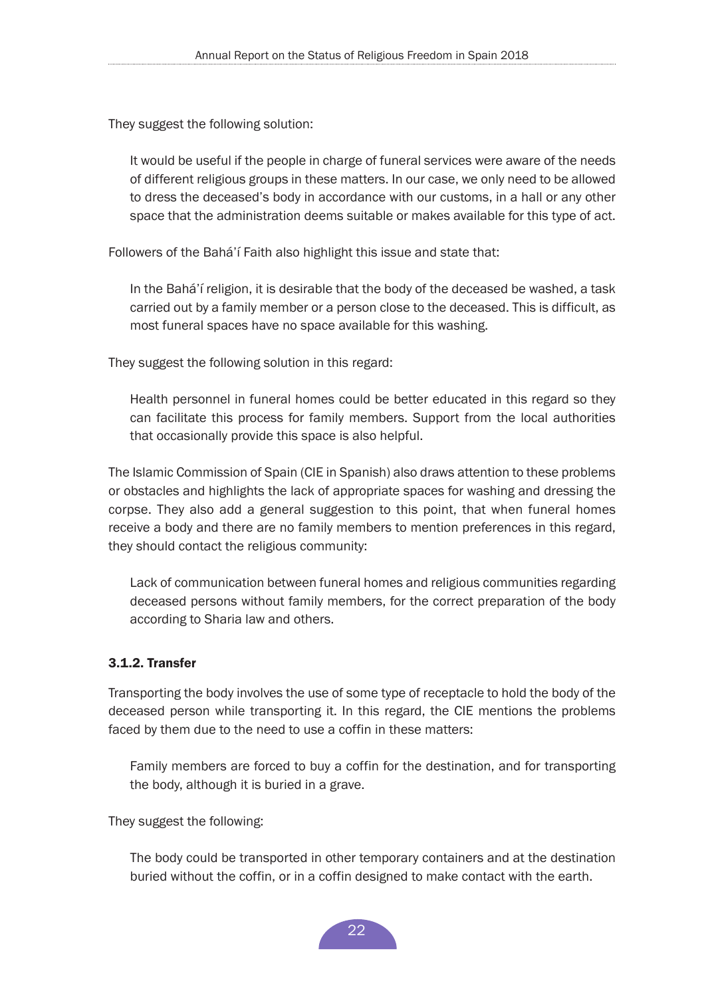<span id="page-21-0"></span>They suggest the following solution:

It would be useful if the people in charge of funeral services were aware of the needs of different religious groups in these matters. In our case, we only need to be allowed to dress the deceased's body in accordance with our customs, in a hall or any other space that the administration deems suitable or makes available for this type of act.

Followers of the Bahá'í Faith also highlight this issue and state that:

In the Bahá'í religion, it is desirable that the body of the deceased be washed, a task carried out by a family member or a person close to the deceased. This is difficult, as most funeral spaces have no space available for this washing.

They suggest the following solution in this regard:

Health personnel in funeral homes could be better educated in this regard so they can facilitate this process for family members. Support from the local authorities that occasionally provide this space is also helpful.

The Islamic Commission of Spain (CIE in Spanish) also draws attention to these problems or obstacles and highlights the lack of appropriate spaces for washing and dressing the corpse. They also add a general suggestion to this point, that when funeral homes receive a body and there are no family members to mention preferences in this regard, they should contact the religious community:

Lack of communication between funeral homes and religious communities regarding deceased persons without family members, for the correct preparation of the body according to Sharia law and others.

## 3.1.2. Transfer

Transporting the body involves the use of some type of receptacle to hold the body of the deceased person while transporting it. In this regard, the CIE mentions the problems faced by them due to the need to use a coffin in these matters:

Family members are forced to buy a coffin for the destination, and for transporting the body, although it is buried in a grave.

They suggest the following:

The body could be transported in other temporary containers and at the destination buried without the coffin, or in a coffin designed to make contact with the earth.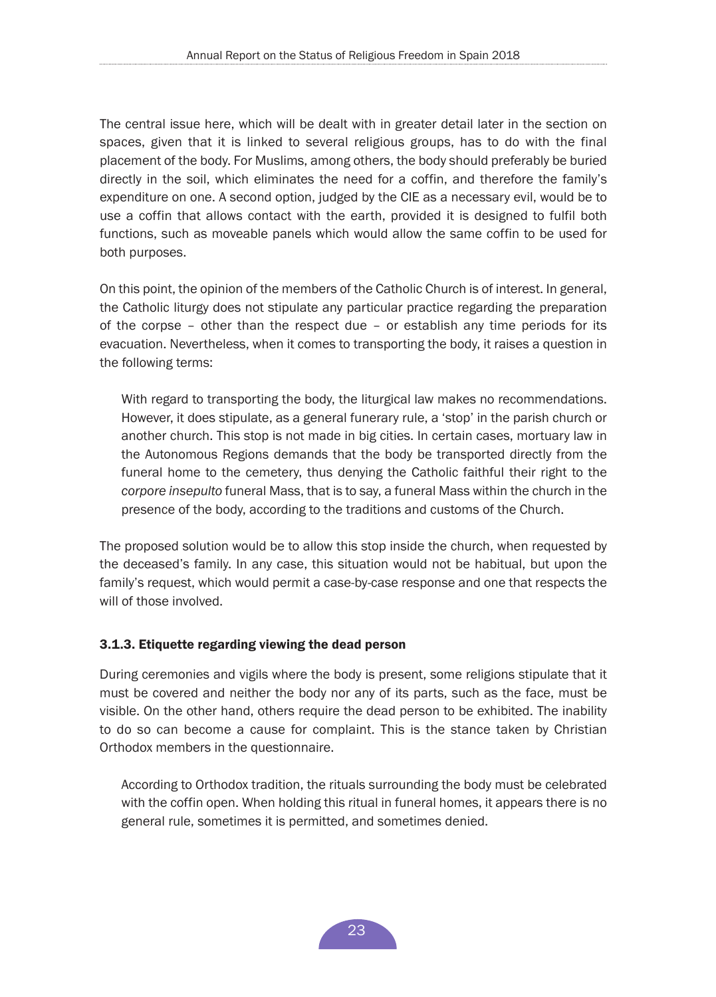<span id="page-22-0"></span>The central issue here, which will be dealt with in greater detail later in the section on spaces, given that it is linked to several religious groups, has to do with the final placement of the body. For Muslims, among others, the body should preferably be buried directly in the soil, which eliminates the need for a coffin, and therefore the family's expenditure on one. A second option, judged by the CIE as a necessary evil, would be to use a coffin that allows contact with the earth, provided it is designed to fulfil both functions, such as moveable panels which would allow the same coffin to be used for both purposes.

On this point, the opinion of the members of the Catholic Church is of interest. In general, the Catholic liturgy does not stipulate any particular practice regarding the preparation of the corpse – other than the respect due – or establish any time periods for its evacuation. Nevertheless, when it comes to transporting the body, it raises a question in the following terms:

With regard to transporting the body, the liturgical law makes no recommendations. However, it does stipulate, as a general funerary rule, a 'stop' in the parish church or another church. This stop is not made in big cities. In certain cases, mortuary law in the Autonomous Regions demands that the body be transported directly from the funeral home to the cemetery, thus denying the Catholic faithful their right to the *corpore insepulto* funeral Mass, that is to say, a funeral Mass within the church in the presence of the body, according to the traditions and customs of the Church.

The proposed solution would be to allow this stop inside the church, when requested by the deceased's family. In any case, this situation would not be habitual, but upon the family's request, which would permit a case-by-case response and one that respects the will of those involved.

## 3.1.3. Etiquette regarding viewing the dead person

During ceremonies and vigils where the body is present, some religions stipulate that it must be covered and neither the body nor any of its parts, such as the face, must be visible. On the other hand, others require the dead person to be exhibited. The inability to do so can become a cause for complaint. This is the stance taken by Christian Orthodox members in the questionnaire.

According to Orthodox tradition, the rituals surrounding the body must be celebrated with the coffin open. When holding this ritual in funeral homes, it appears there is no general rule, sometimes it is permitted, and sometimes denied.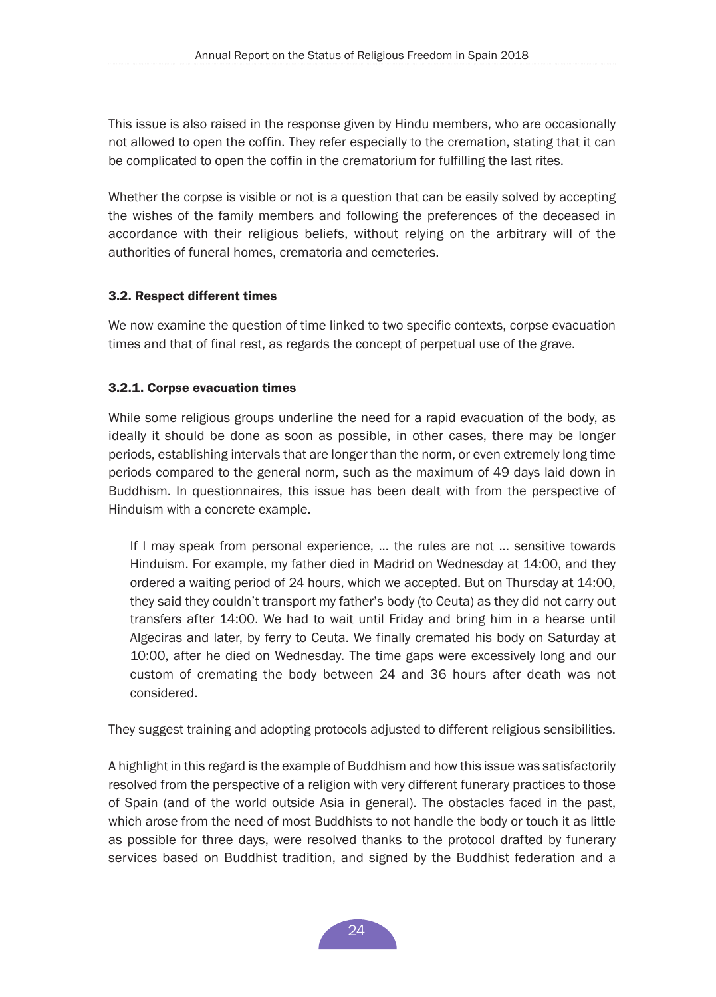<span id="page-23-0"></span>This issue is also raised in the response given by Hindu members, who are occasionally not allowed to open the coffin. They refer especially to the cremation, stating that it can be complicated to open the coffin in the crematorium for fulfilling the last rites.

Whether the corpse is visible or not is a question that can be easily solved by accepting the wishes of the family members and following the preferences of the deceased in accordance with their religious beliefs, without relying on the arbitrary will of the authorities of funeral homes, crematoria and cemeteries.

## 3.2. Respect different times

We now examine the question of time linked to two specific contexts, corpse evacuation times and that of final rest, as regards the concept of perpetual use of the grave.

## 3.2.1. Corpse evacuation times

While some religious groups underline the need for a rapid evacuation of the body, as ideally it should be done as soon as possible, in other cases, there may be longer periods, establishing intervals that are longer than the norm, or even extremely long time periods compared to the general norm, such as the maximum of 49 days laid down in Buddhism. In questionnaires, this issue has been dealt with from the perspective of Hinduism with a concrete example.

If I may speak from personal experience, ... the rules are not ... sensitive towards Hinduism. For example, my father died in Madrid on Wednesday at 14:00, and they ordered a waiting period of 24 hours, which we accepted. But on Thursday at 14:00, they said they couldn't transport my father's body (to Ceuta) as they did not carry out transfers after 14:00. We had to wait until Friday and bring him in a hearse until Algeciras and later, by ferry to Ceuta. We finally cremated his body on Saturday at 10:00, after he died on Wednesday. The time gaps were excessively long and our custom of cremating the body between 24 and 36 hours after death was not considered.

They suggest training and adopting protocols adjusted to different religious sensibilities.

A highlight in this regard is the example of Buddhism and how this issue was satisfactorily resolved from the perspective of a religion with very different funerary practices to those of Spain (and of the world outside Asia in general). The obstacles faced in the past, which arose from the need of most Buddhists to not handle the body or touch it as little as possible for three days, were resolved thanks to the protocol drafted by funerary services based on Buddhist tradition, and signed by the Buddhist federation and a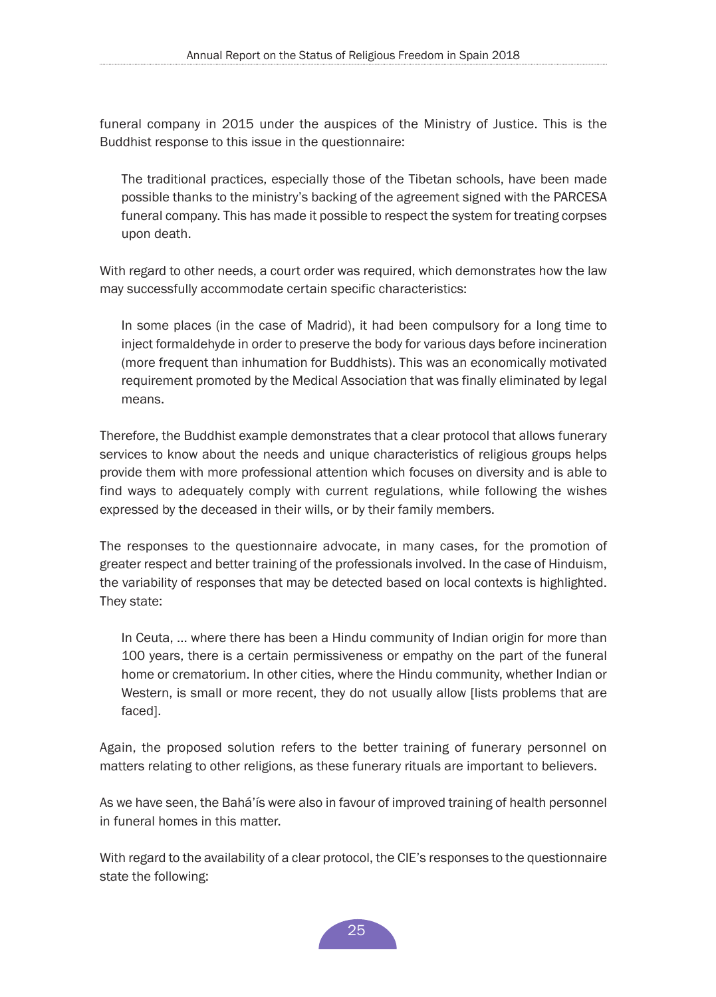funeral company in 2015 under the auspices of the Ministry of Justice. This is the Buddhist response to this issue in the questionnaire:

The traditional practices, especially those of the Tibetan schools, have been made possible thanks to the ministry's backing of the agreement signed with the PARCESA funeral company. This has made it possible to respect the system for treating corpses upon death.

With regard to other needs, a court order was required, which demonstrates how the law may successfully accommodate certain specific characteristics:

In some places (in the case of Madrid), it had been compulsory for a long time to inject formaldehyde in order to preserve the body for various days before incineration (more frequent than inhumation for Buddhists). This was an economically motivated requirement promoted by the Medical Association that was finally eliminated by legal means.

Therefore, the Buddhist example demonstrates that a clear protocol that allows funerary services to know about the needs and unique characteristics of religious groups helps provide them with more professional attention which focuses on diversity and is able to find ways to adequately comply with current regulations, while following the wishes expressed by the deceased in their wills, or by their family members.

The responses to the questionnaire advocate, in many cases, for the promotion of greater respect and better training of the professionals involved. In the case of Hinduism, the variability of responses that may be detected based on local contexts is highlighted. They state:

In Ceuta, ... where there has been a Hindu community of Indian origin for more than 100 years, there is a certain permissiveness or empathy on the part of the funeral home or crematorium. In other cities, where the Hindu community, whether Indian or Western, is small or more recent, they do not usually allow [lists problems that are faced].

Again, the proposed solution refers to the better training of funerary personnel on matters relating to other religions, as these funerary rituals are important to believers.

As we have seen, the Bahá'ís were also in favour of improved training of health personnel in funeral homes in this matter.

With regard to the availability of a clear protocol, the CIE's responses to the questionnaire state the following:

25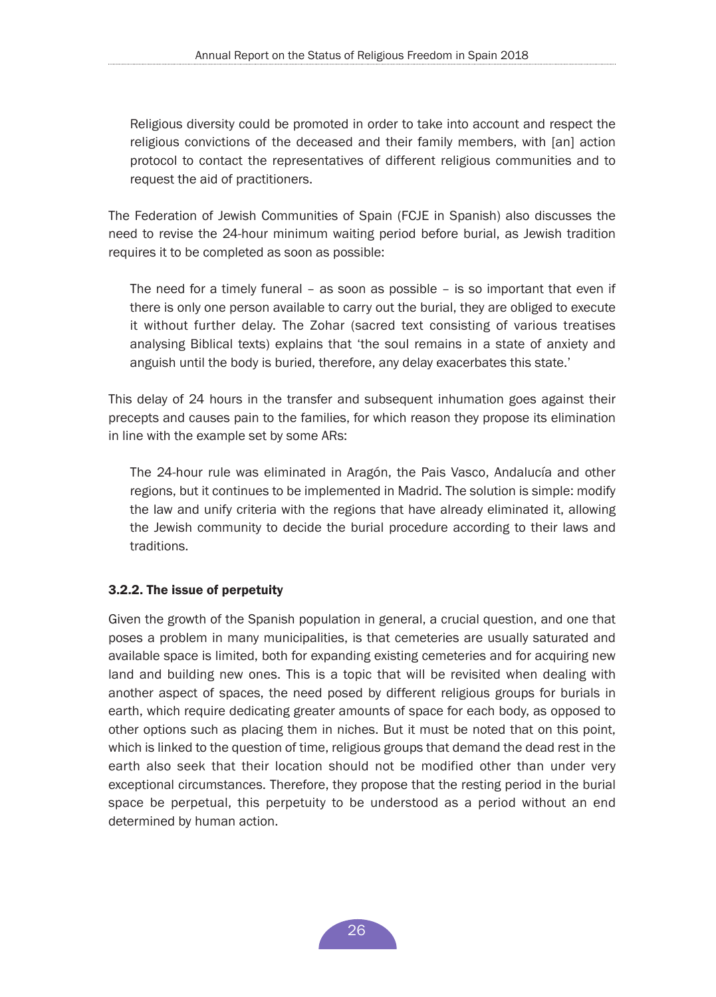<span id="page-25-0"></span>Religious diversity could be promoted in order to take into account and respect the religious convictions of the deceased and their family members, with [an] action protocol to contact the representatives of different religious communities and to request the aid of practitioners.

The Federation of Jewish Communities of Spain (FCJE in Spanish) also discusses the need to revise the 24-hour minimum waiting period before burial, as Jewish tradition requires it to be completed as soon as possible:

The need for a timely funeral – as soon as possible – is so important that even if there is only one person available to carry out the burial, they are obliged to execute it without further delay. The Zohar (sacred text consisting of various treatises analysing Biblical texts) explains that 'the soul remains in a state of anxiety and anguish until the body is buried, therefore, any delay exacerbates this state.'

This delay of 24 hours in the transfer and subsequent inhumation goes against their precepts and causes pain to the families, for which reason they propose its elimination in line with the example set by some ARs:

The 24-hour rule was eliminated in Aragón, the Pais Vasco, Andalucía and other regions, but it continues to be implemented in Madrid. The solution is simple: modify the law and unify criteria with the regions that have already eliminated it, allowing the Jewish community to decide the burial procedure according to their laws and traditions.

## 3.2.2. The issue of perpetuity

Given the growth of the Spanish population in general, a crucial question, and one that poses a problem in many municipalities, is that cemeteries are usually saturated and available space is limited, both for expanding existing cemeteries and for acquiring new land and building new ones. This is a topic that will be revisited when dealing with another aspect of spaces, the need posed by different religious groups for burials in earth, which require dedicating greater amounts of space for each body, as opposed to other options such as placing them in niches. But it must be noted that on this point, which is linked to the question of time, religious groups that demand the dead rest in the earth also seek that their location should not be modified other than under very exceptional circumstances. Therefore, they propose that the resting period in the burial space be perpetual, this perpetuity to be understood as a period without an end determined by human action.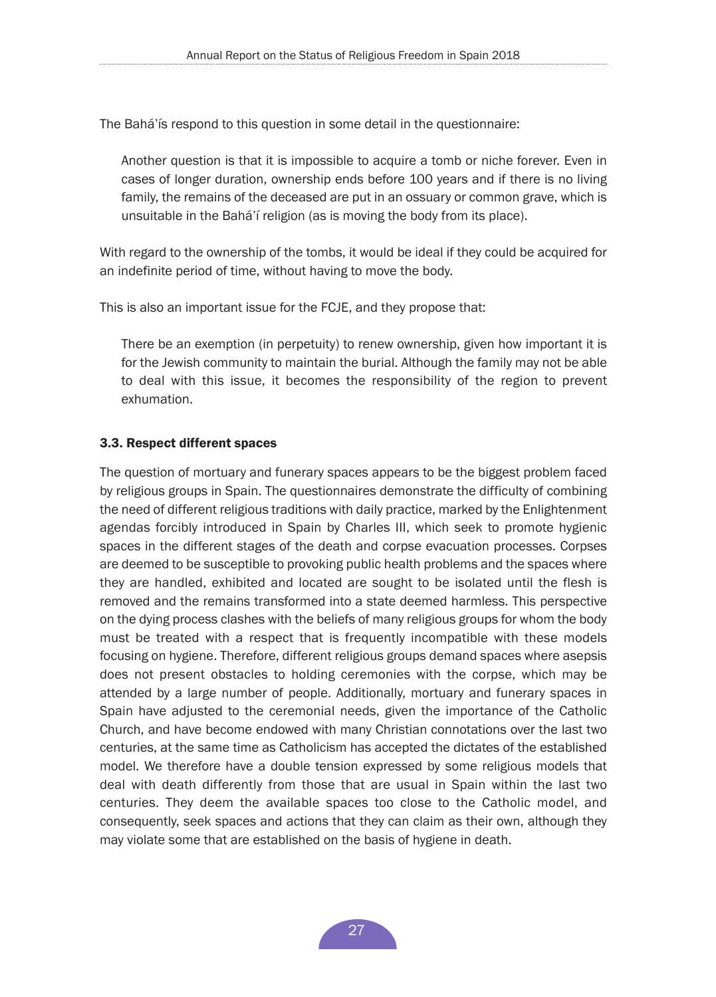<span id="page-26-0"></span>The Bahá'ís respond to this question in some detail in the questionnaire:

Another question is that it is impossible to acquire a tomb or niche forever. Even in cases of longer duration, ownership ends before 100 years and if there is no living family, the remains of the deceased are put in an ossuary or common grave, which is unsuitable in the Bahá'í religion (as is moving the body from its place).

With regard to the ownership of the tombs, it would be ideal if they could be acquired for an indefinite period of time, without having to move the body.

This is also an important issue for the FCJE, and they propose that:

There be an exemption (in perpetuity) to renew ownership, given how important it is for the Jewish community to maintain the burial. Although the family may not be able to deal with this issue, it becomes the responsibility of the region to prevent exhumation.

#### 3.3. Respect different spaces

The question of mortuary and funerary spaces appears to be the biggest problem faced by religious groups in Spain. The questionnaires demonstrate the difficulty of combining the need of different religious traditions with daily practice, marked by the Enlightenment agendas forcibly introduced in Spain by Charles III, which seek to promote hygienic spaces in the different stages of the death and corpse evacuation processes. Corpses are deemed to be susceptible to provoking public health problems and the spaces where they are handled, exhibited and located are sought to be isolated until the flesh is removed and the remains transformed into a state deemed harmless. This perspective on the dying process clashes with the beliefs of many religious groups for whom the body must be treated with a respect that is frequently incompatible with these models focusing on hygiene. Therefore, different religious groups demand spaces where asepsis does not present obstacles to holding ceremonies with the corpse, which may be attended by a large number of people. Additionally, mortuary and funerary spaces in Spain have adjusted to the ceremonial needs, given the importance of the Catholic Church, and have become endowed with many Christian connotations over the last two centuries, at the same time as Catholicism has accepted the dictates of the established model. We therefore have a double tension expressed by some religious models that deal with death differently from those that are usual in Spain within the last two centuries. They deem the available spaces too close to the Catholic model, and consequently, seek spaces and actions that they can claim as their own, although they may violate some that are established on the basis of hygiene in death.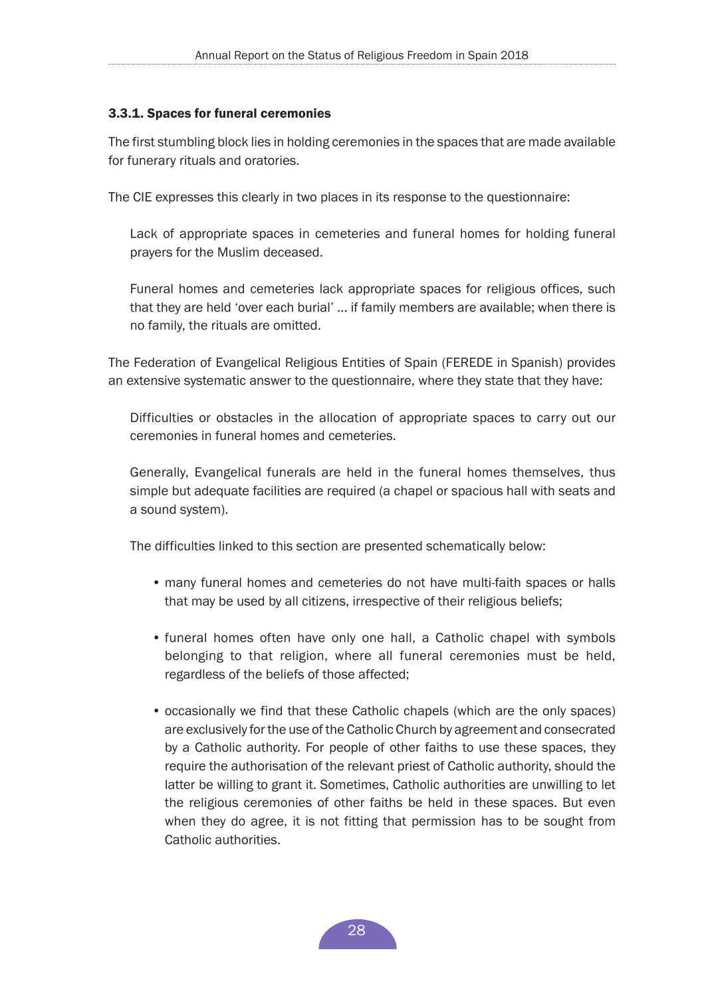#### <span id="page-27-0"></span>3.3.1. Spaces for funeral ceremonies

The first stumbling block lies in holding ceremonies in the spaces that are made available for funerary rituals and oratories.

The CIE expresses this clearly in two places in its response to the questionnaire:

Lack of appropriate spaces in cemeteries and funeral homes for holding funeral prayers for the Muslim deceased.

Funeral homes and cemeteries lack appropriate spaces for religious offices, such that they are held 'over each burial' ... if family members are available; when there is no family, the rituals are omitted.

The Federation of Evangelical Religious Entities of Spain (FEREDE in Spanish) provides an extensive systematic answer to the questionnaire, where they state that they have:

Difficulties or obstacles in the allocation of appropriate spaces to carry out our ceremonies in funeral homes and cemeteries.

Generally, Evangelical funerals are held in the funeral homes themselves, thus simple but adequate facilities are required (a chapel or spacious hall with seats and a sound system).

The difficulties linked to this section are presented schematically below:

- many funeral homes and cemeteries do not have multi-faith spaces or halls that may be used by all citizens, irrespective of their religious beliefs;
- funeral homes often have only one hall, a Catholic chapel with symbols belonging to that religion, where all funeral ceremonies must be held, regardless of the beliefs of those affected;
- occasionally we find that these Catholic chapels (which are the only spaces) are exclusively for the use of the Catholic Church by agreement and consecrated by a Catholic authority. For people of other faiths to use these spaces, they require the authorisation of the relevant priest of Catholic authority, should the latter be willing to grant it. Sometimes, Catholic authorities are unwilling to let the religious ceremonies of other faiths be held in these spaces. But even when they do agree, it is not fitting that permission has to be sought from Catholic authorities.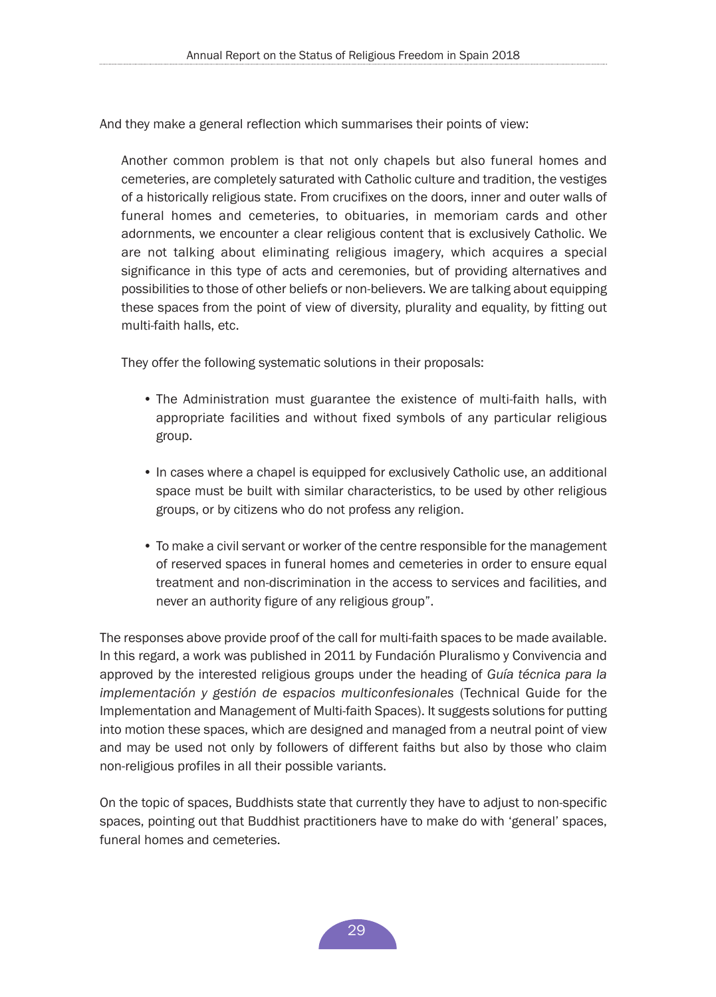And they make a general reflection which summarises their points of view:

Another common problem is that not only chapels but also funeral homes and cemeteries, are completely saturated with Catholic culture and tradition, the vestiges of a historically religious state. From crucifixes on the doors, inner and outer walls of funeral homes and cemeteries, to obituaries, in memoriam cards and other adornments, we encounter a clear religious content that is exclusively Catholic. We are not talking about eliminating religious imagery, which acquires a special significance in this type of acts and ceremonies, but of providing alternatives and possibilities to those of other beliefs or non-believers. We are talking about equipping these spaces from the point of view of diversity, plurality and equality, by fitting out multi-faith halls, etc.

They offer the following systematic solutions in their proposals:

- The Administration must guarantee the existence of multi-faith halls, with appropriate facilities and without fixed symbols of any particular religious group.
- In cases where a chapel is equipped for exclusively Catholic use, an additional space must be built with similar characteristics, to be used by other religious groups, or by citizens who do not profess any religion.
- To make a civil servant or worker of the centre responsible for the management of reserved spaces in funeral homes and cemeteries in order to ensure equal treatment and non-discrimination in the access to services and facilities, and never an authority figure of any religious group".

The responses above provide proof of the call for multi-faith spaces to be made available. In this regard, a work was published in 2011 by Fundación Pluralismo y Convivencia and approved by the interested religious groups under the heading of *Guía técnica para la implementación y gestión de espacios multiconfesionales* (Technical Guide for the Implementation and Management of Multi-faith Spaces). It suggests solutions for putting into motion these spaces, which are designed and managed from a neutral point of view and may be used not only by followers of different faiths but also by those who claim non-religious profiles in all their possible variants.

On the topic of spaces, Buddhists state that currently they have to adjust to non-specific spaces, pointing out that Buddhist practitioners have to make do with 'general' spaces, funeral homes and cemeteries.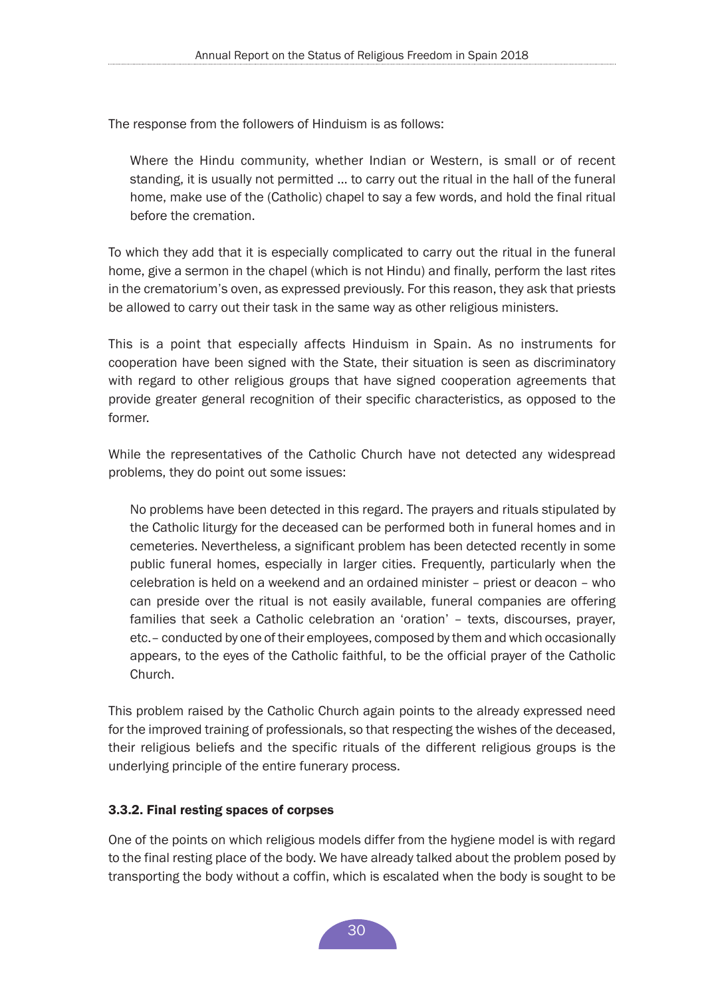<span id="page-29-0"></span>The response from the followers of Hinduism is as follows:

Where the Hindu community, whether Indian or Western, is small or of recent standing, it is usually not permitted ... to carry out the ritual in the hall of the funeral home, make use of the (Catholic) chapel to say a few words, and hold the final ritual before the cremation.

To which they add that it is especially complicated to carry out the ritual in the funeral home, give a sermon in the chapel (which is not Hindu) and finally, perform the last rites in the crematorium's oven, as expressed previously. For this reason, they ask that priests be allowed to carry out their task in the same way as other religious ministers.

This is a point that especially affects Hinduism in Spain. As no instruments for cooperation have been signed with the State, their situation is seen as discriminatory with regard to other religious groups that have signed cooperation agreements that provide greater general recognition of their specific characteristics, as opposed to the former.

While the representatives of the Catholic Church have not detected any widespread problems, they do point out some issues:

No problems have been detected in this regard. The prayers and rituals stipulated by the Catholic liturgy for the deceased can be performed both in funeral homes and in cemeteries. Nevertheless, a significant problem has been detected recently in some public funeral homes, especially in larger cities. Frequently, particularly when the celebration is held on a weekend and an ordained minister – priest or deacon – who can preside over the ritual is not easily available, funeral companies are offering families that seek a Catholic celebration an 'oration' – texts, discourses, prayer, etc.– conducted by one of their employees, composed by them and which occasionally appears, to the eyes of the Catholic faithful, to be the official prayer of the Catholic Church.

This problem raised by the Catholic Church again points to the already expressed need for the improved training of professionals, so that respecting the wishes of the deceased, their religious beliefs and the specific rituals of the different religious groups is the underlying principle of the entire funerary process.

## 3.3.2. Final resting spaces of corpses

One of the points on which religious models differ from the hygiene model is with regard to the final resting place of the body. We have already talked about the problem posed by transporting the body without a coffin, which is escalated when the body is sought to be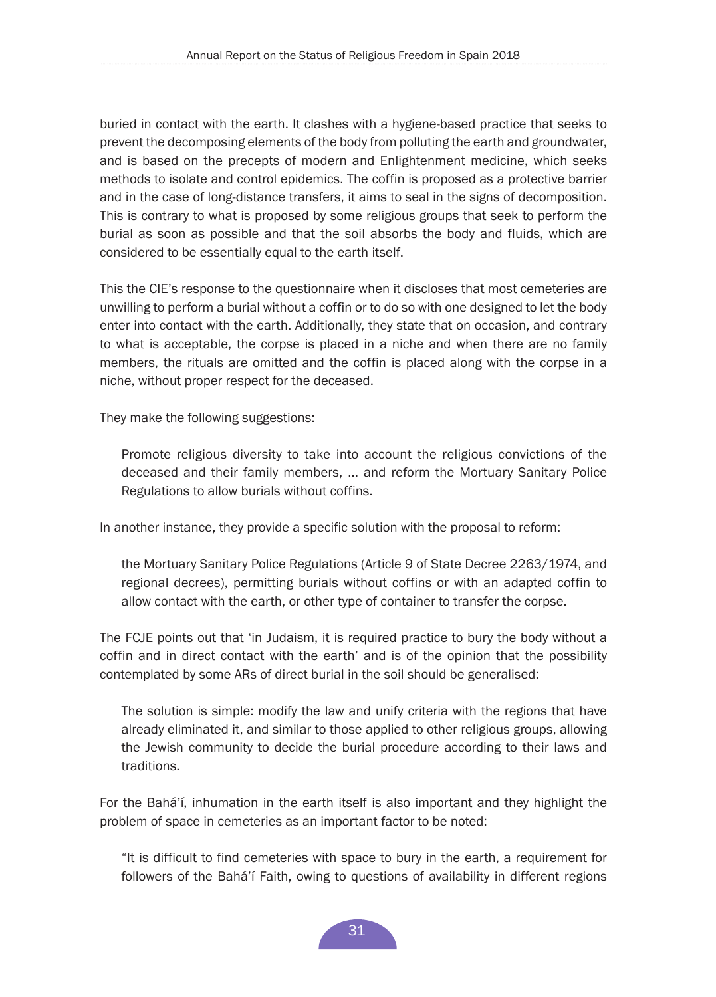buried in contact with the earth. It clashes with a hygiene-based practice that seeks to prevent the decomposing elements of the body from polluting the earth and groundwater, and is based on the precepts of modern and Enlightenment medicine, which seeks methods to isolate and control epidemics. The coffin is proposed as a protective barrier and in the case of long-distance transfers, it aims to seal in the signs of decomposition. This is contrary to what is proposed by some religious groups that seek to perform the burial as soon as possible and that the soil absorbs the body and fluids, which are considered to be essentially equal to the earth itself.

This the CIE's response to the questionnaire when it discloses that most cemeteries are unwilling to perform a burial without a coffin or to do so with one designed to let the body enter into contact with the earth. Additionally, they state that on occasion, and contrary to what is acceptable, the corpse is placed in a niche and when there are no family members, the rituals are omitted and the coffin is placed along with the corpse in a niche, without proper respect for the deceased.

They make the following suggestions:

Promote religious diversity to take into account the religious convictions of the deceased and their family members, ... and reform the Mortuary Sanitary Police Regulations to allow burials without coffins.

In another instance, they provide a specific solution with the proposal to reform:

the Mortuary Sanitary Police Regulations (Article 9 of State Decree 2263/1974, and regional decrees), permitting burials without coffins or with an adapted coffin to allow contact with the earth, or other type of container to transfer the corpse.

The FCJE points out that 'in Judaism, it is required practice to bury the body without a coffin and in direct contact with the earth' and is of the opinion that the possibility contemplated by some ARs of direct burial in the soil should be generalised:

The solution is simple: modify the law and unify criteria with the regions that have already eliminated it, and similar to those applied to other religious groups, allowing the Jewish community to decide the burial procedure according to their laws and traditions.

For the Bahá'í, inhumation in the earth itself is also important and they highlight the problem of space in cemeteries as an important factor to be noted:

"It is difficult to find cemeteries with space to bury in the earth, a requirement for followers of the Bahá'í Faith, owing to questions of availability in different regions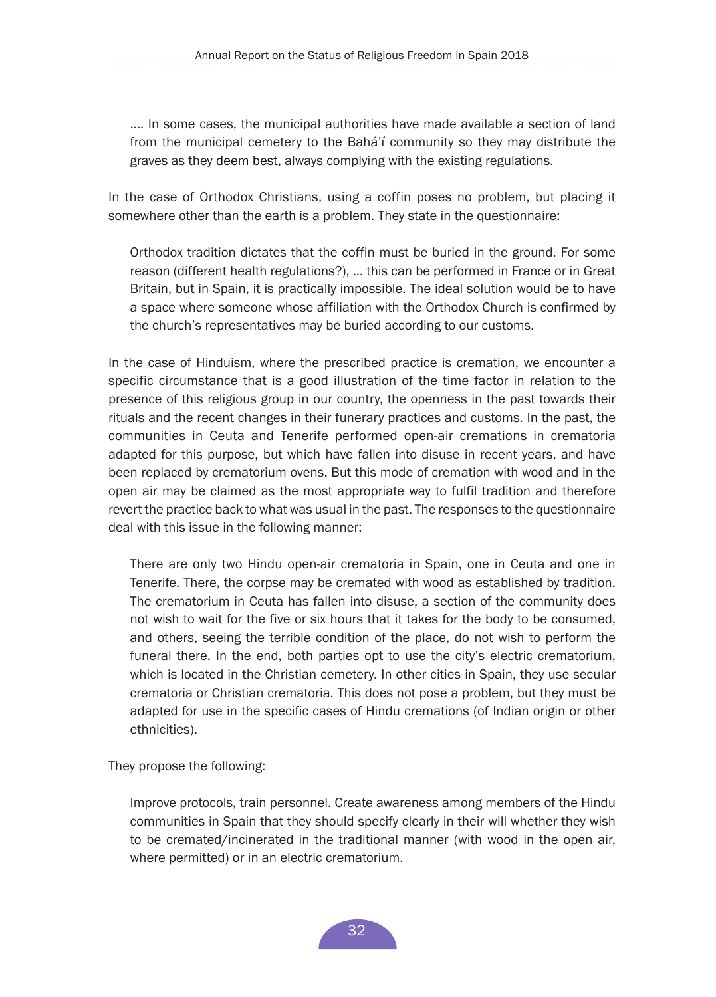<span id="page-31-0"></span>.... In some cases, the municipal authorities have made available a section of land from the municipal cemetery to the Bahá'í community so they may distribute the graves as they deem best, always complying with the existing regulations.

In the case of Orthodox Christians, using a coffin poses no problem, but placing it somewhere other than the earth is a problem. They state in the questionnaire:

Orthodox tradition dictates that the coffin must be buried in the ground. For some reason (different health regulations?), ... this can be performed in France or in Great Britain, but in Spain, it is practically impossible. The ideal solution would be to have a space where someone whose affiliation with the Orthodox Church is confirmed by the church's representatives may be buried according to our customs.

In the case of Hinduism, where the prescribed practice is cremation, we encounter a specific circumstance that is a good illustration of the time factor in relation to the presence of this religious group in our country, the openness in the past towards their rituals and the recent changes in their funerary practices and customs. In the past, the communities in Ceuta and Tenerife performed open-air cremations in crematoria adapted for this purpose, but which have fallen into disuse in recent years, and have been replaced by crematorium ovens. But this mode of cremation with wood and in the open air may be claimed as the most appropriate way to fulfil tradition and therefore revert the practice back to what was usual in the past. The responses to the questionnaire deal with this issue in the following manner:

There are only two Hindu open-air crematoria in Spain, one in Ceuta and one in Tenerife. There, the corpse may be cremated with wood as established by tradition. The crematorium in Ceuta has fallen into disuse, a section of the community does not wish to wait for the five or six hours that it takes for the body to be consumed, and others, seeing the terrible condition of the place, do not wish to perform the funeral there. In the end, both parties opt to use the city's electric crematorium, which is located in the Christian cemetery. In other cities in Spain, they use secular crematoria or Christian crematoria. This does not pose a problem, but they must be adapted for use in the specific cases of Hindu cremations (of Indian origin or other ethnicities).

They propose the following:

Improve protocols, train personnel. Create awareness among members of the Hindu communities in Spain that they should specify clearly in their will whether they wish to be cremated/incinerated in the traditional manner (with wood in the open air, where permitted) or in an electric crematorium.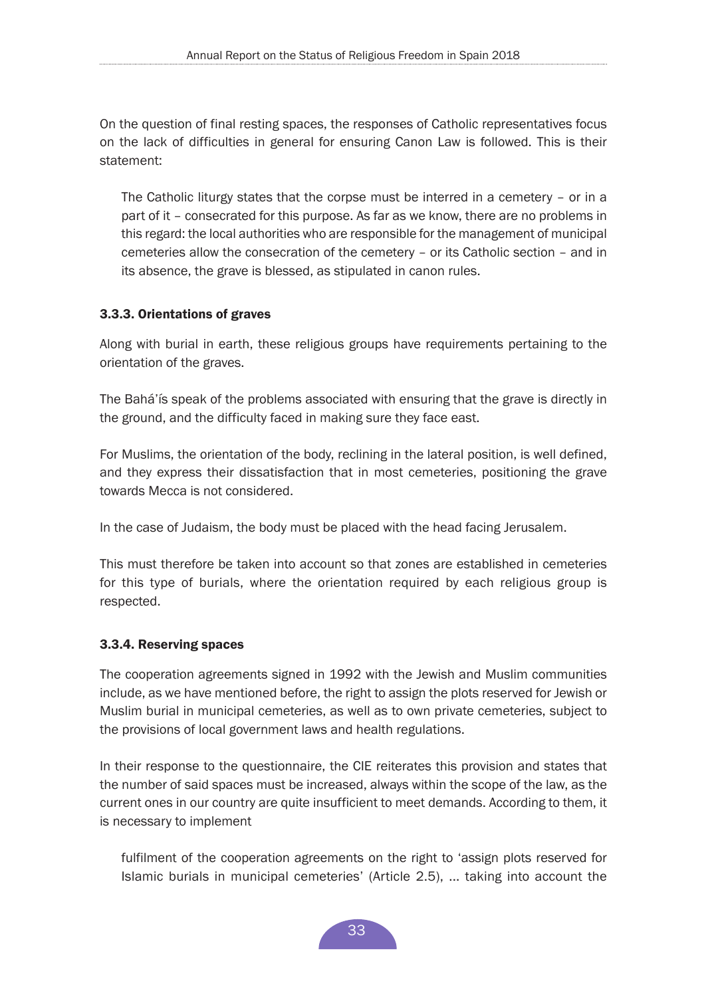<span id="page-32-0"></span>On the question of final resting spaces, the responses of Catholic representatives focus on the lack of difficulties in general for ensuring Canon Law is followed. This is their statement:

The Catholic liturgy states that the corpse must be interred in a cemetery – or in a part of it – consecrated for this purpose. As far as we know, there are no problems in this regard: the local authorities who are responsible for the management of municipal cemeteries allow the consecration of the cemetery – or its Catholic section – and in its absence, the grave is blessed, as stipulated in canon rules.

## 3.3.3. Orientations of graves

Along with burial in earth, these religious groups have requirements pertaining to the orientation of the graves.

The Bahá'ís speak of the problems associated with ensuring that the grave is directly in the ground, and the difficulty faced in making sure they face east.

For Muslims, the orientation of the body, reclining in the lateral position, is well defined, and they express their dissatisfaction that in most cemeteries, positioning the grave towards Mecca is not considered.

In the case of Judaism, the body must be placed with the head facing Jerusalem.

This must therefore be taken into account so that zones are established in cemeteries for this type of burials, where the orientation required by each religious group is respected.

## 3.3.4. Reserving spaces

The cooperation agreements signed in 1992 with the Jewish and Muslim communities include, as we have mentioned before, the right to assign the plots reserved for Jewish or Muslim burial in municipal cemeteries, as well as to own private cemeteries, subject to the provisions of local government laws and health regulations.

In their response to the questionnaire, the CIE reiterates this provision and states that the number of said spaces must be increased, always within the scope of the law, as the current ones in our country are quite insufficient to meet demands. According to them, it is necessary to implement

fulfilment of the cooperation agreements on the right to 'assign plots reserved for Islamic burials in municipal cemeteries' (Article 2.5), ... taking into account the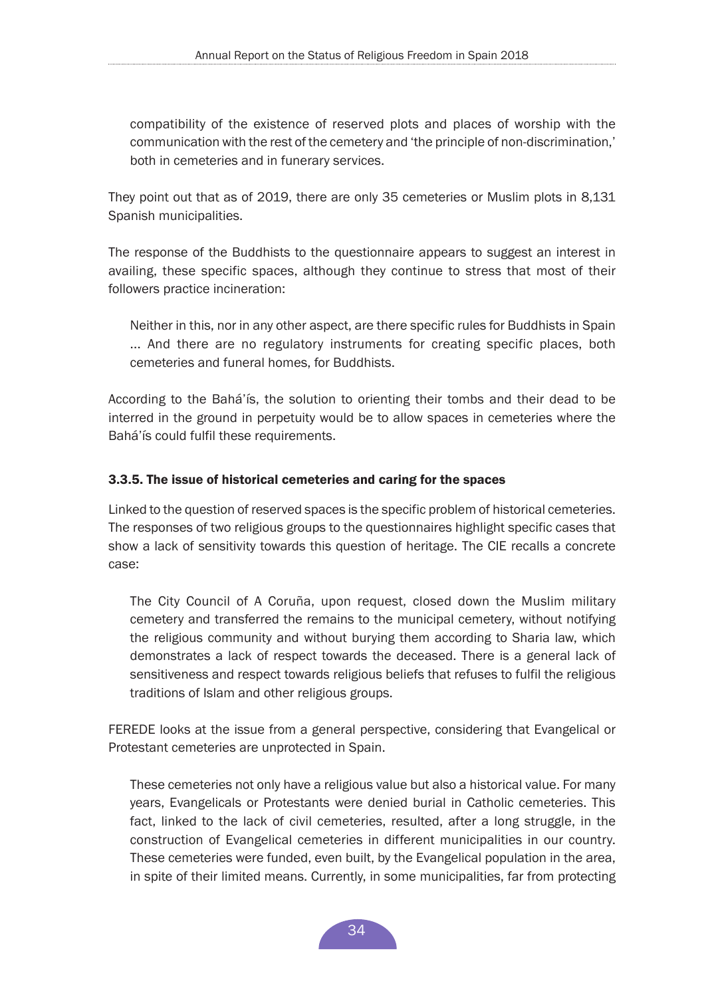<span id="page-33-0"></span>compatibility of the existence of reserved plots and places of worship with the communication with the rest of the cemetery and 'the principle of non-discrimination,' both in cemeteries and in funerary services.

They point out that as of 2019, there are only 35 cemeteries or Muslim plots in 8,131 Spanish municipalities.

The response of the Buddhists to the questionnaire appears to suggest an interest in availing, these specific spaces, although they continue to stress that most of their followers practice incineration:

Neither in this, nor in any other aspect, are there specific rules for Buddhists in Spain ... And there are no regulatory instruments for creating specific places, both cemeteries and funeral homes, for Buddhists.

According to the Bahá'ís, the solution to orienting their tombs and their dead to be interred in the ground in perpetuity would be to allow spaces in cemeteries where the Bahá'ís could fulfil these requirements.

## 3.3.5. The issue of historical cemeteries and caring for the spaces

Linked to the question of reserved spaces is the specific problem of historical cemeteries. The responses of two religious groups to the questionnaires highlight specific cases that show a lack of sensitivity towards this question of heritage. The CIE recalls a concrete case:

The City Council of A Coruña, upon request, closed down the Muslim military cemetery and transferred the remains to the municipal cemetery, without notifying the religious community and without burying them according to Sharia law, which demonstrates a lack of respect towards the deceased. There is a general lack of sensitiveness and respect towards religious beliefs that refuses to fulfil the religious traditions of Islam and other religious groups.

FEREDE looks at the issue from a general perspective, considering that Evangelical or Protestant cemeteries are unprotected in Spain.

These cemeteries not only have a religious value but also a historical value. For many years, Evangelicals or Protestants were denied burial in Catholic cemeteries. This fact, linked to the lack of civil cemeteries, resulted, after a long struggle, in the construction of Evangelical cemeteries in different municipalities in our country. These cemeteries were funded, even built, by the Evangelical population in the area, in spite of their limited means. Currently, in some municipalities, far from protecting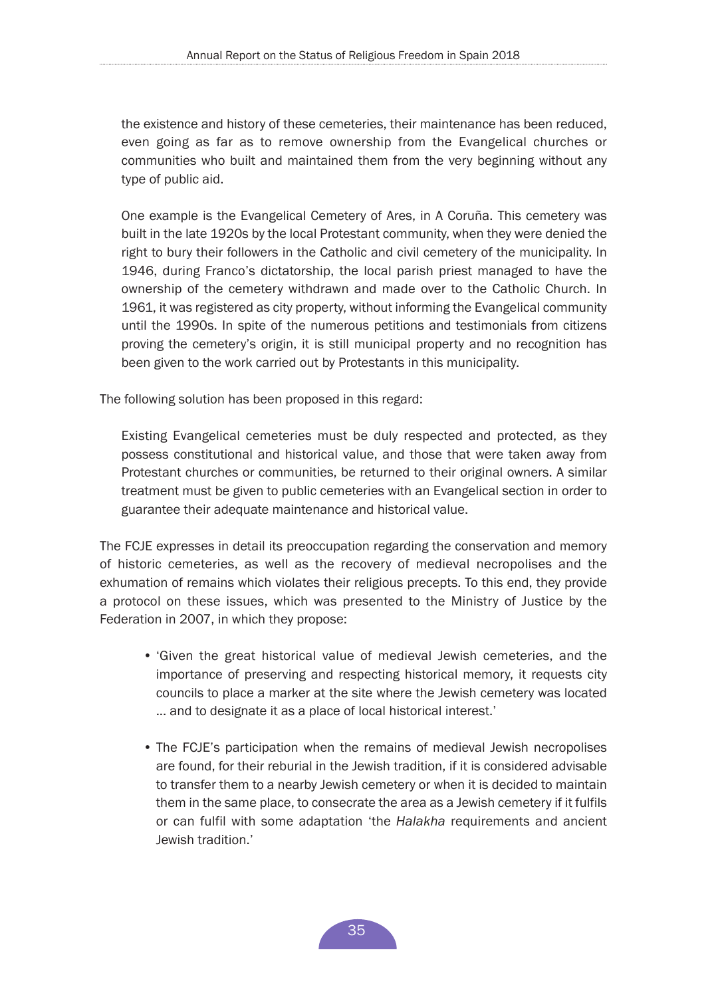the existence and history of these cemeteries, their maintenance has been reduced, even going as far as to remove ownership from the Evangelical churches or communities who built and maintained them from the very beginning without any type of public aid.

One example is the Evangelical Cemetery of Ares, in A Coruña. This cemetery was built in the late 1920s by the local Protestant community, when they were denied the right to bury their followers in the Catholic and civil cemetery of the municipality. In 1946, during Franco's dictatorship, the local parish priest managed to have the ownership of the cemetery withdrawn and made over to the Catholic Church. In 1961, it was registered as city property, without informing the Evangelical community until the 1990s. In spite of the numerous petitions and testimonials from citizens proving the cemetery's origin, it is still municipal property and no recognition has been given to the work carried out by Protestants in this municipality.

The following solution has been proposed in this regard:

Existing Evangelical cemeteries must be duly respected and protected, as they possess constitutional and historical value, and those that were taken away from Protestant churches or communities, be returned to their original owners. A similar treatment must be given to public cemeteries with an Evangelical section in order to guarantee their adequate maintenance and historical value.

The FCJE expresses in detail its preoccupation regarding the conservation and memory of historic cemeteries, as well as the recovery of medieval necropolises and the exhumation of remains which violates their religious precepts. To this end, they provide a protocol on these issues, which was presented to the Ministry of Justice by the Federation in 2007, in which they propose:

- 'Given the great historical value of medieval Jewish cemeteries, and the importance of preserving and respecting historical memory, it requests city councils to place a marker at the site where the Jewish cemetery was located ... and to designate it as a place of local historical interest.'
- The FCJE's participation when the remains of medieval Jewish necropolises are found, for their reburial in the Jewish tradition, if it is considered advisable to transfer them to a nearby Jewish cemetery or when it is decided to maintain them in the same place, to consecrate the area as a Jewish cemetery if it fulfils or can fulfil with some adaptation 'the *Halakha* requirements and ancient Jewish tradition.'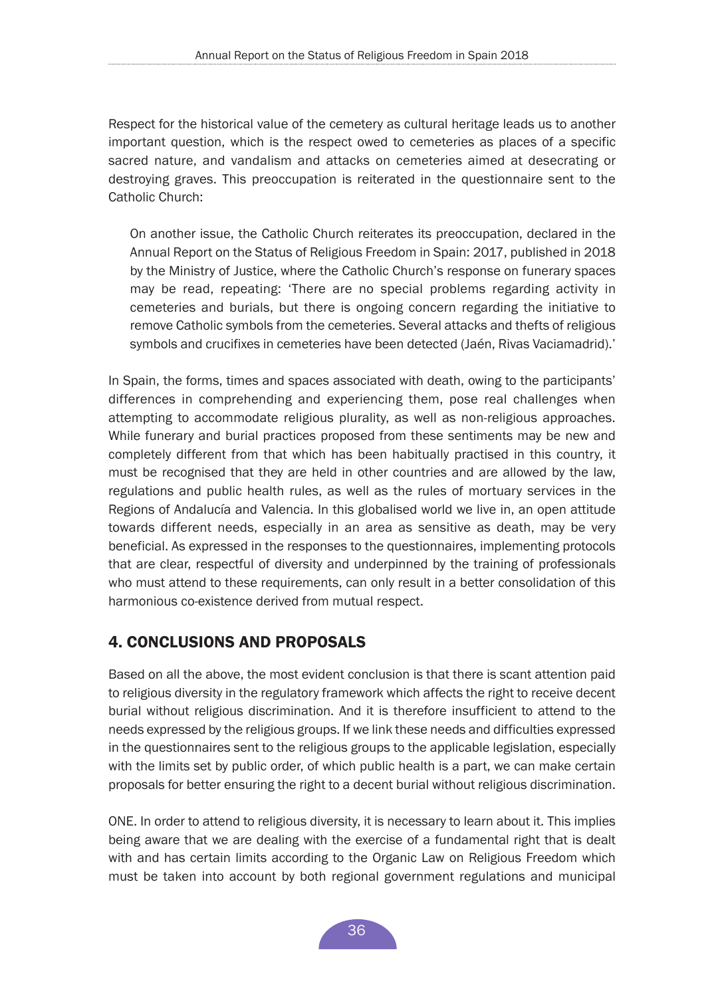<span id="page-35-0"></span>Respect for the historical value of the cemetery as cultural heritage leads us to another important question, which is the respect owed to cemeteries as places of a specific sacred nature, and vandalism and attacks on cemeteries aimed at desecrating or destroying graves. This preoccupation is reiterated in the questionnaire sent to the Catholic Church:

On another issue, the Catholic Church reiterates its preoccupation, declared in the Annual Report on the Status of Religious Freedom in Spain: 2017, published in 2018 by the Ministry of Justice, where the Catholic Church's response on funerary spaces may be read, repeating: 'There are no special problems regarding activity in cemeteries and burials, but there is ongoing concern regarding the initiative to remove Catholic symbols from the cemeteries. Several attacks and thefts of religious symbols and crucifixes in cemeteries have been detected (Jaén, Rivas Vaciamadrid).'

In Spain, the forms, times and spaces associated with death, owing to the participants' differences in comprehending and experiencing them, pose real challenges when attempting to accommodate religious plurality, as well as non-religious approaches. While funerary and burial practices proposed from these sentiments may be new and completely different from that which has been habitually practised in this country, it must be recognised that they are held in other countries and are allowed by the law, regulations and public health rules, as well as the rules of mortuary services in the Regions of Andalucía and Valencia. In this globalised world we live in, an open attitude towards different needs, especially in an area as sensitive as death, may be very beneficial. As expressed in the responses to the questionnaires, implementing protocols that are clear, respectful of diversity and underpinned by the training of professionals who must attend to these requirements, can only result in a better consolidation of this harmonious co-existence derived from mutual respect.

# 4. CONCLUSIONS AND PROPOSALS

Based on all the above, the most evident conclusion is that there is scant attention paid to religious diversity in the regulatory framework which affects the right to receive decent burial without religious discrimination. And it is therefore insufficient to attend to the needs expressed by the religious groups. If we link these needs and difficulties expressed in the questionnaires sent to the religious groups to the applicable legislation, especially with the limits set by public order, of which public health is a part, we can make certain proposals for better ensuring the right to a decent burial without religious discrimination.

ONE. In order to attend to religious diversity, it is necessary to learn about it. This implies being aware that we are dealing with the exercise of a fundamental right that is dealt with and has certain limits according to the Organic Law on Religious Freedom which must be taken into account by both regional government regulations and municipal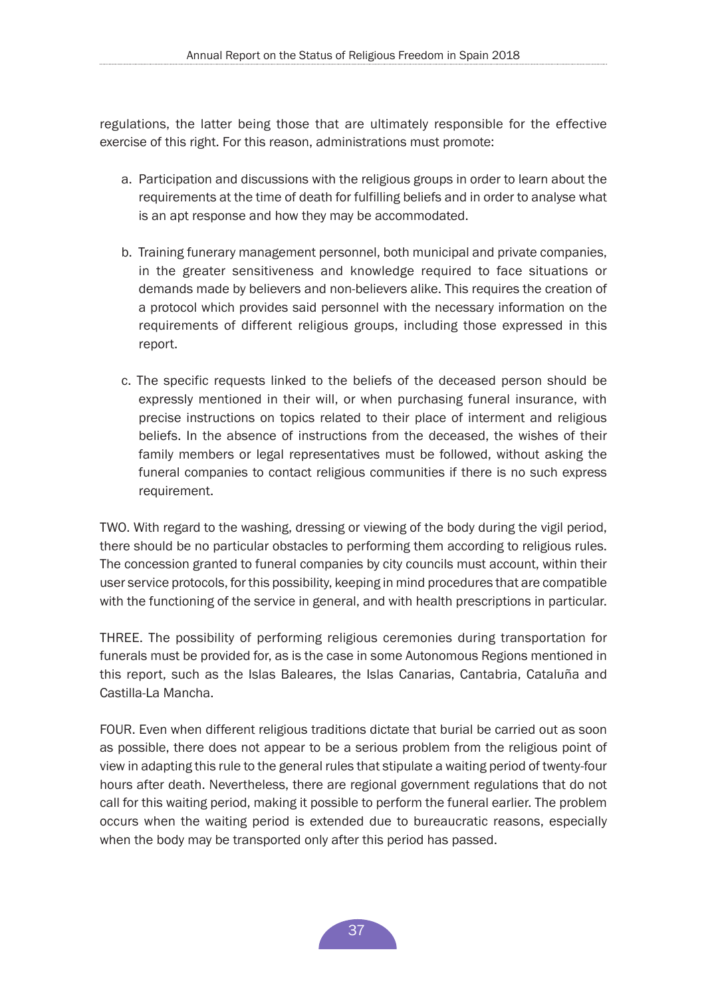regulations, the latter being those that are ultimately responsible for the effective exercise of this right. For this reason, administrations must promote:

- a. Participation and discussions with the religious groups in order to learn about the requirements at the time of death for fulfilling beliefs and in order to analyse what is an apt response and how they may be accommodated.
- b. Training funerary management personnel, both municipal and private companies, in the greater sensitiveness and knowledge required to face situations or demands made by believers and non-believers alike. This requires the creation of a protocol which provides said personnel with the necessary information on the requirements of different religious groups, including those expressed in this report.
- c. The specific requests linked to the beliefs of the deceased person should be expressly mentioned in their will, or when purchasing funeral insurance, with precise instructions on topics related to their place of interment and religious beliefs. In the absence of instructions from the deceased, the wishes of their family members or legal representatives must be followed, without asking the funeral companies to contact religious communities if there is no such express requirement.

TWO. With regard to the washing, dressing or viewing of the body during the vigil period, there should be no particular obstacles to performing them according to religious rules. The concession granted to funeral companies by city councils must account, within their user service protocols, for this possibility, keeping in mind procedures that are compatible with the functioning of the service in general, and with health prescriptions in particular.

THREE. The possibility of performing religious ceremonies during transportation for funerals must be provided for, as is the case in some Autonomous Regions mentioned in this report, such as the Islas Baleares, the Islas Canarias, Cantabria, Cataluña and Castilla-La Mancha.

FOUR. Even when different religious traditions dictate that burial be carried out as soon as possible, there does not appear to be a serious problem from the religious point of view in adapting this rule to the general rules that stipulate a waiting period of twenty-four hours after death. Nevertheless, there are regional government regulations that do not call for this waiting period, making it possible to perform the funeral earlier. The problem occurs when the waiting period is extended due to bureaucratic reasons, especially when the body may be transported only after this period has passed.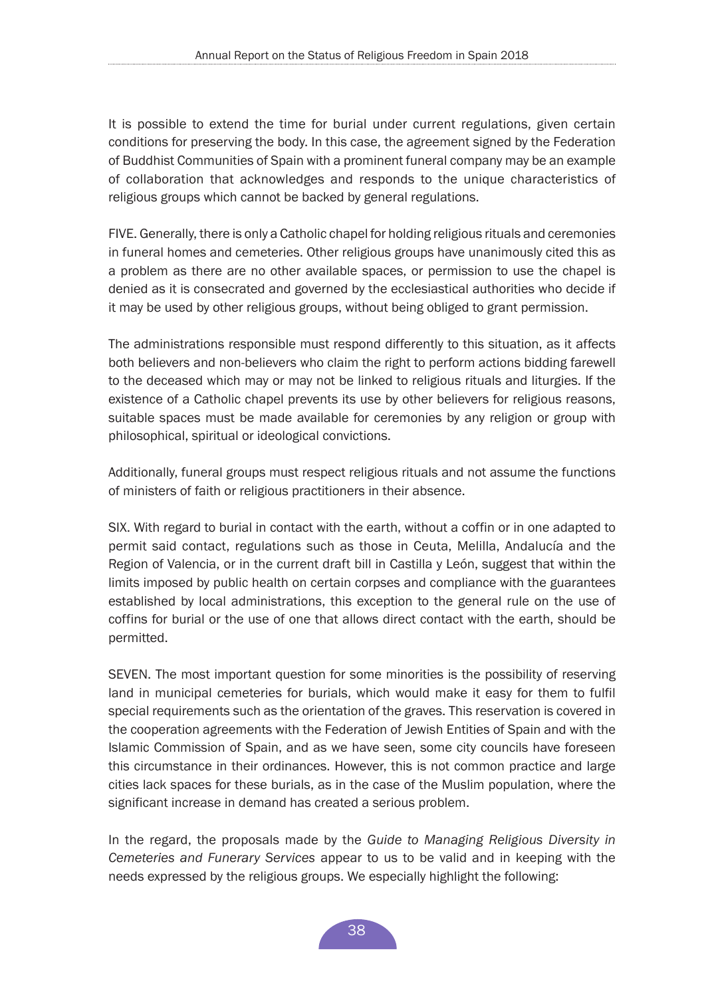It is possible to extend the time for burial under current regulations, given certain conditions for preserving the body. In this case, the agreement signed by the Federation of Buddhist Communities of Spain with a prominent funeral company may be an example of collaboration that acknowledges and responds to the unique characteristics of religious groups which cannot be backed by general regulations.

FIVE. Generally, there is only a Catholic chapel for holding religious rituals and ceremonies in funeral homes and cemeteries. Other religious groups have unanimously cited this as a problem as there are no other available spaces, or permission to use the chapel is denied as it is consecrated and governed by the ecclesiastical authorities who decide if it may be used by other religious groups, without being obliged to grant permission.

The administrations responsible must respond differently to this situation, as it affects both believers and non-believers who claim the right to perform actions bidding farewell to the deceased which may or may not be linked to religious rituals and liturgies. If the existence of a Catholic chapel prevents its use by other believers for religious reasons, suitable spaces must be made available for ceremonies by any religion or group with philosophical, spiritual or ideological convictions.

Additionally, funeral groups must respect religious rituals and not assume the functions of ministers of faith or religious practitioners in their absence.

SIX. With regard to burial in contact with the earth, without a coffin or in one adapted to permit said contact, regulations such as those in Ceuta, Melilla, Andalucía and the Region of Valencia, or in the current draft bill in Castilla y León, suggest that within the limits imposed by public health on certain corpses and compliance with the guarantees established by local administrations, this exception to the general rule on the use of coffins for burial or the use of one that allows direct contact with the earth, should be permitted.

SEVEN. The most important question for some minorities is the possibility of reserving land in municipal cemeteries for burials, which would make it easy for them to fulfil special requirements such as the orientation of the graves. This reservation is covered in the cooperation agreements with the Federation of Jewish Entities of Spain and with the Islamic Commission of Spain, and as we have seen, some city councils have foreseen this circumstance in their ordinances. However, this is not common practice and large cities lack spaces for these burials, as in the case of the Muslim population, where the significant increase in demand has created a serious problem.

In the regard, the proposals made by the *Guide to Managing Religious Diversity in Cemeteries and Funerary Services* appear to us to be valid and in keeping with the needs expressed by the religious groups. We especially highlight the following: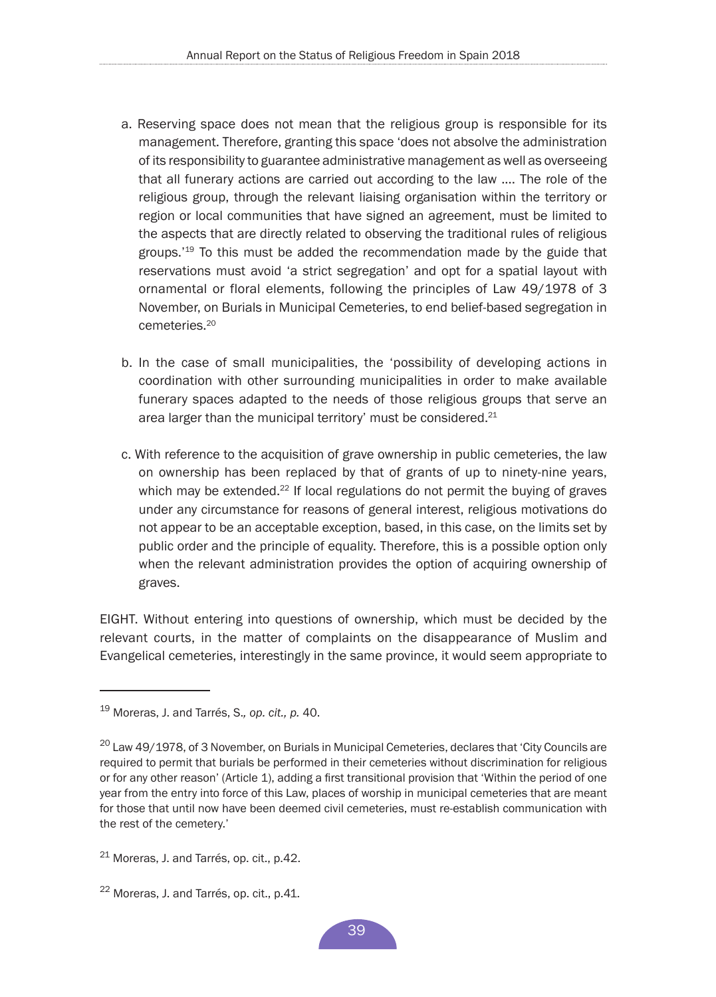- a. Reserving space does not mean that the religious group is responsible for its management. Therefore, granting this space 'does not absolve the administration of its responsibility to guarantee administrative management as well as overseeing that all funerary actions are carried out according to the law .... The role of the religious group, through the relevant liaising organisation within the territory or region or local communities that have signed an agreement, must be limited to the aspects that are directly related to observing the traditional rules of religious groups.'19 To this must be added the recommendation made by the guide that reservations must avoid 'a strict segregation' and opt for a spatial layout with ornamental or floral elements, following the principles of Law 49/1978 of 3 November, on Burials in Municipal Cemeteries, to end belief-based segregation in cemeteries<sup>20</sup>
- b. In the case of small municipalities, the 'possibility of developing actions in coordination with other surrounding municipalities in order to make available funerary spaces adapted to the needs of those religious groups that serve an area larger than the municipal territory' must be considered.<sup>21</sup>
- c. With reference to the acquisition of grave ownership in public cemeteries, the law on ownership has been replaced by that of grants of up to ninety-nine years, which may be extended.<sup>22</sup> If local regulations do not permit the buying of graves under any circumstance for reasons of general interest, religious motivations do not appear to be an acceptable exception, based, in this case, on the limits set by public order and the principle of equality. Therefore, this is a possible option only when the relevant administration provides the option of acquiring ownership of graves.

EIGHT. Without entering into questions of ownership, which must be decided by the relevant courts, in the matter of complaints on the disappearance of Muslim and Evangelical cemeteries, interestingly in the same province, it would seem appropriate to

<sup>19</sup> Moreras, J. and Tarrés, S.*, op. cit., p.* 40.

<sup>&</sup>lt;sup>20</sup> Law 49/1978, of 3 November, on Burials in Municipal Cemeteries, declares that 'City Councils are required to permit that burials be performed in their cemeteries without discrimination for religious or for any other reason' (Article 1), adding a first transitional provision that 'Within the period of one year from the entry into force of this Law, places of worship in municipal cemeteries that are meant for those that until now have been deemed civil cemeteries, must re-establish communication with the rest of the cemetery.'

 $21$  Moreras, J. and Tarrés, op. cit., p.42.

 $22$  Moreras, J. and Tarrés, op. cit., p.41.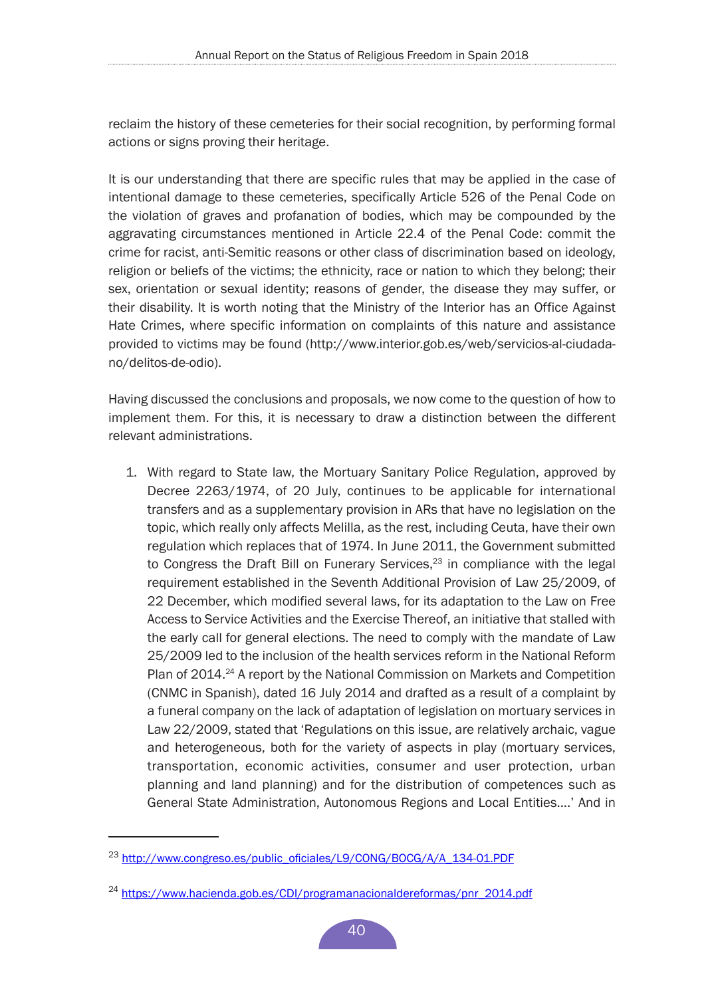reclaim the history of these cemeteries for their social recognition, by performing formal actions or signs proving their heritage.

It is our understanding that there are specific rules that may be applied in the case of intentional damage to these cemeteries, specifically Article 526 of the Penal Code on the violation of graves and profanation of bodies, which may be compounded by the aggravating circumstances mentioned in Article 22.4 of the Penal Code: commit the crime for racist, anti-Semitic reasons or other class of discrimination based on ideology, religion or beliefs of the victims; the ethnicity, race or nation to which they belong; their sex, orientation or sexual identity; reasons of gender, the disease they may suffer, or their disability. It is worth noting that the Ministry of the Interior has an Office Against Hate Crimes, where specific information on complaints of this nature and assistance provided to victims may be found (http://www.interior.gob.es/web/servicios-al-ciudadano/delitos-de-odio).

Having discussed the conclusions and proposals, we now come to the question of how to implement them. For this, it is necessary to draw a distinction between the different relevant administrations.

1. With regard to State law, the Mortuary Sanitary Police Regulation, approved by Decree 2263/1974, of 20 July, continues to be applicable for international transfers and as a supplementary provision in ARs that have no legislation on the topic, which really only affects Melilla, as the rest, including Ceuta, have their own regulation which replaces that of 1974. In June 2011, the Government submitted to Congress the Draft Bill on Funerary Services, $23$  in compliance with the legal requirement established in the Seventh Additional Provision of Law 25/2009, of 22 December, which modified several laws, for its adaptation to the Law on Free Access to Service Activities and the Exercise Thereof, an initiative that stalled with the early call for general elections. The need to comply with the mandate of Law 25/2009 led to the inclusion of the health services reform in the National Reform Plan of 2014.<sup>24</sup> A report by the National Commission on Markets and Competition (CNMC in Spanish), dated 16 July 2014 and drafted as a result of a complaint by a funeral company on the lack of adaptation of legislation on mortuary services in Law 22/2009, stated that 'Regulations on this issue, are relatively archaic, vague and heterogeneous, both for the variety of aspects in play (mortuary services, transportation, economic activities, consumer and user protection, urban planning and land planning) and for the distribution of competences such as General State Administration, Autonomous Regions and Local Entities....' And in

<sup>23</sup> [http://www.congreso.es/public\\_oficiales/L9/CONG/BOCG/A/A\\_134-01.PDF](http://www.congreso.es/public_oficiales/L9/CONG/BOCG/A/A_134-01.PDF)

<sup>&</sup>lt;sup>24</sup> [https://www.hacienda.gob.es/CDI/programanacionaldereformas/pnr\\_2014.pdf](https://www.hacienda.gob.es/CDI/programanacionaldereformas/pnr_2014.pdf)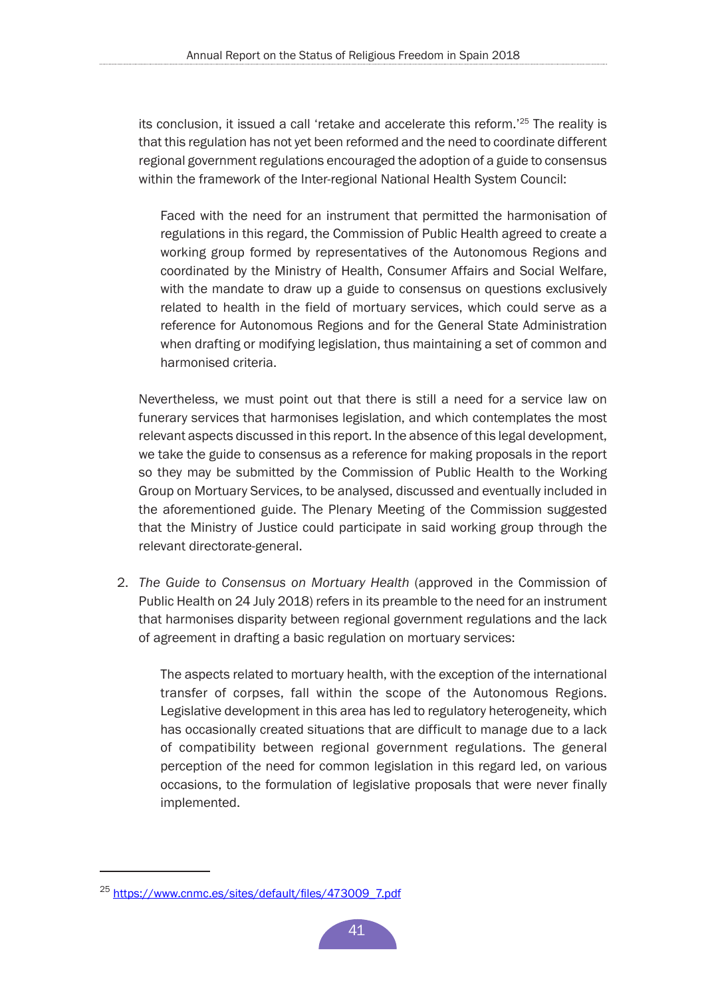its conclusion, it issued a call 'retake and accelerate this reform.'25 The reality is that this regulation has not yet been reformed and the need to coordinate different regional government regulations encouraged the adoption of a guide to consensus within the framework of the Inter-regional National Health System Council:

Faced with the need for an instrument that permitted the harmonisation of regulations in this regard, the Commission of Public Health agreed to create a working group formed by representatives of the Autonomous Regions and coordinated by the Ministry of Health, Consumer Affairs and Social Welfare, with the mandate to draw up a guide to consensus on questions exclusively related to health in the field of mortuary services, which could serve as a reference for Autonomous Regions and for the General State Administration when drafting or modifying legislation, thus maintaining a set of common and harmonised criteria.

Nevertheless, we must point out that there is still a need for a service law on funerary services that harmonises legislation, and which contemplates the most relevant aspects discussed in this report. In the absence of this legal development, we take the guide to consensus as a reference for making proposals in the report so they may be submitted by the Commission of Public Health to the Working Group on Mortuary Services, to be analysed, discussed and eventually included in the aforementioned guide. The Plenary Meeting of the Commission suggested that the Ministry of Justice could participate in said working group through the relevant directorate-general.

2. *The Guide to Consensus on Mortuary Health* (approved in the Commission of Public Health on 24 July 2018) refers in its preamble to the need for an instrument that harmonises disparity between regional government regulations and the lack of agreement in drafting a basic regulation on mortuary services:

The aspects related to mortuary health, with the exception of the international transfer of corpses, fall within the scope of the Autonomous Regions. Legislative development in this area has led to regulatory heterogeneity, which has occasionally created situations that are difficult to manage due to a lack of compatibility between regional government regulations. The general perception of the need for common legislation in this regard led, on various occasions, to the formulation of legislative proposals that were never finally implemented.

<sup>25</sup> [https://www.cnmc.es/sites/default/files/473009\\_7.pdf](https://www.cnmc.es/sites/default/files/473009_7.pdf.)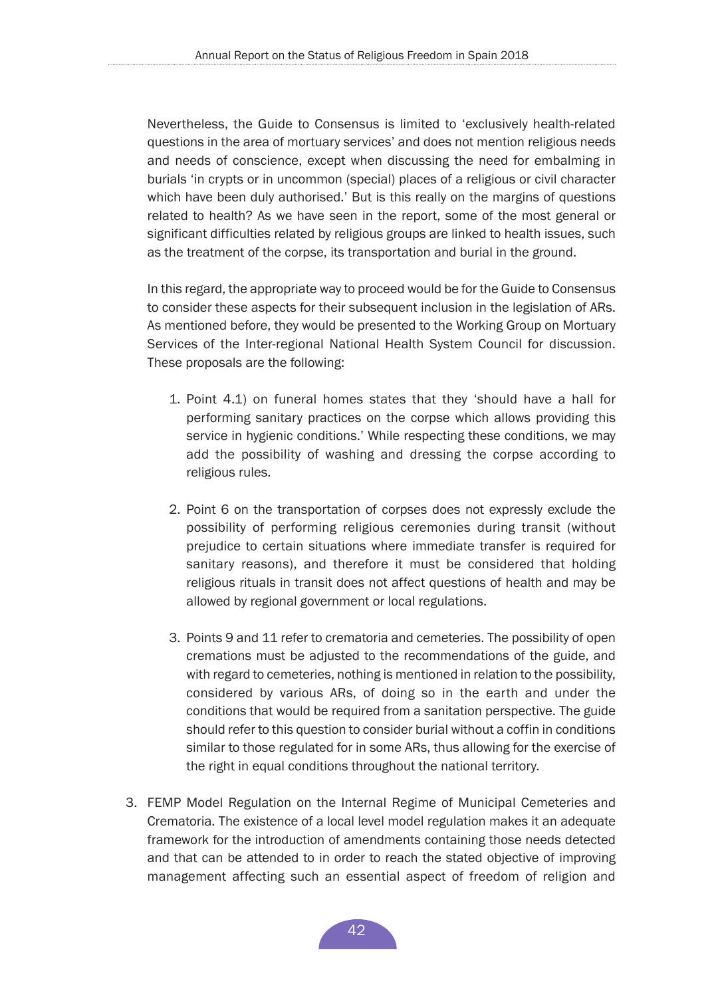Nevertheless, the Guide to Consensus is limited to 'exclusively health-related questions in the area of mortuary services' and does not mention religious needs and needs of conscience, except when discussing the need for embalming in burials 'in crypts or in uncommon (special) places of a religious or civil character which have been duly authorised.' But is this really on the margins of questions related to health? As we have seen in the report, some of the most general or significant difficulties related by religious groups are linked to health issues, such as the treatment of the corpse, its transportation and burial in the ground.

In this regard, the appropriate way to proceed would be for the Guide to Consensus to consider these aspects for their subsequent inclusion in the legislation of ARs. As mentioned before, they would be presented to the Working Group on Mortuary Services of the Inter-regional National Health System Council for discussion. These proposals are the following:

- 1. Point 4.1) on funeral homes states that they 'should have a hall for performing sanitary practices on the corpse which allows providing this service in hygienic conditions.' While respecting these conditions, we may add the possibility of washing and dressing the corpse according to religious rules.
- 2. Point 6 on the transportation of corpses does not expressly exclude the possibility of performing religious ceremonies during transit (without prejudice to certain situations where immediate transfer is required for sanitary reasons), and therefore it must be considered that holding religious rituals in transit does not affect questions of health and may be allowed by regional government or local regulations.
- 3. Points 9 and 11 refer to crematoria and cemeteries. The possibility of open cremations must be adjusted to the recommendations of the guide, and with regard to cemeteries, nothing is mentioned in relation to the possibility, considered by various ARs, of doing so in the earth and under the conditions that would be required from a sanitation perspective. The guide should refer to this question to consider burial without a coffin in conditions similar to those regulated for in some ARs, thus allowing for the exercise of the right in equal conditions throughout the national territory.
- 3. FEMP Model Regulation on the Internal Regime of Municipal Cemeteries and Crematoria. The existence of a local level model regulation makes it an adequate framework for the introduction of amendments containing those needs detected and that can be attended to in order to reach the stated objective of improving management affecting such an essential aspect of freedom of religion and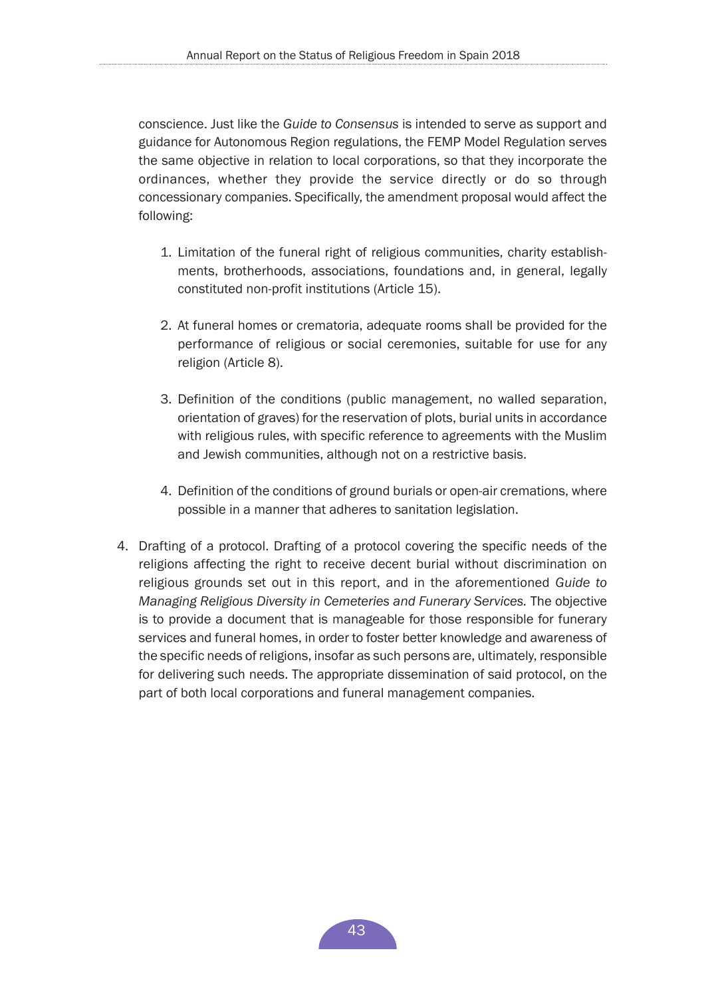conscience. Just like the *Guide to Consensus* is intended to serve as support and guidance for Autonomous Region regulations, the FEMP Model Regulation serves the same objective in relation to local corporations, so that they incorporate the ordinances, whether they provide the service directly or do so through concessionary companies. Specifically, the amendment proposal would affect the following:

- 1. Limitation of the funeral right of religious communities, charity establishments, brotherhoods, associations, foundations and, in general, legally constituted non-profit institutions (Article 15).
- 2. At funeral homes or crematoria, adequate rooms shall be provided for the performance of religious or social ceremonies, suitable for use for any religion (Article 8).
- 3. Definition of the conditions (public management, no walled separation, orientation of graves) for the reservation of plots, burial units in accordance with religious rules, with specific reference to agreements with the Muslim and Jewish communities, although not on a restrictive basis.
- 4. Definition of the conditions of ground burials or open-air cremations, where possible in a manner that adheres to sanitation legislation.
- 4. Drafting of a protocol. Drafting of a protocol covering the specific needs of the religions affecting the right to receive decent burial without discrimination on religious grounds set out in this report, and in the aforementioned *Guide to Managing Religious Diversity in Cemeteries and Funerary Services.* The objective is to provide a document that is manageable for those responsible for funerary services and funeral homes, in order to foster better knowledge and awareness of the specific needs of religions, insofar as such persons are, ultimately, responsible for delivering such needs. The appropriate dissemination of said protocol, on the part of both local corporations and funeral management companies.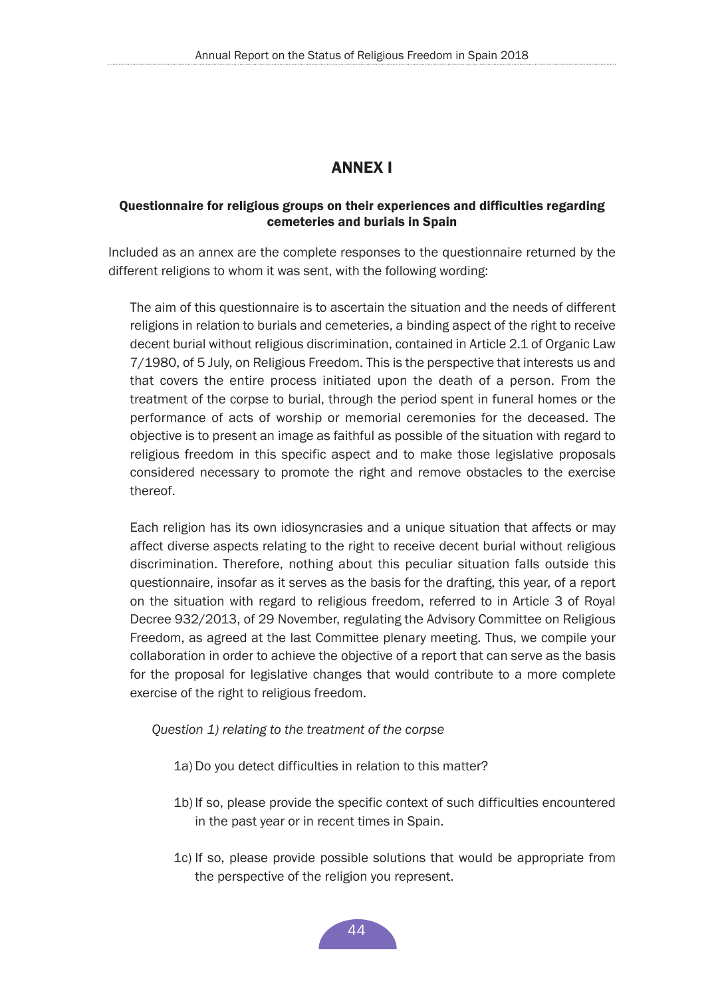# ANNEX I

#### <span id="page-43-0"></span>Questionnaire for religious groups on their experiences and difficulties regarding cemeteries and burials in Spain

Included as an annex are the complete responses to the questionnaire returned by the different religions to whom it was sent, with the following wording:

The aim of this questionnaire is to ascertain the situation and the needs of different religions in relation to burials and cemeteries, a binding aspect of the right to receive decent burial without religious discrimination, contained in Article 2.1 of Organic Law 7/1980, of 5 July, on Religious Freedom. This is the perspective that interests us and that covers the entire process initiated upon the death of a person. From the treatment of the corpse to burial, through the period spent in funeral homes or the performance of acts of worship or memorial ceremonies for the deceased. The objective is to present an image as faithful as possible of the situation with regard to religious freedom in this specific aspect and to make those legislative proposals considered necessary to promote the right and remove obstacles to the exercise thereof.

Each religion has its own idiosyncrasies and a unique situation that affects or may affect diverse aspects relating to the right to receive decent burial without religious discrimination. Therefore, nothing about this peculiar situation falls outside this questionnaire, insofar as it serves as the basis for the drafting, this year, of a report on the situation with regard to religious freedom, referred to in Article 3 of Royal Decree 932/2013, of 29 November, regulating the Advisory Committee on Religious Freedom, as agreed at the last Committee plenary meeting. Thus, we compile your collaboration in order to achieve the objective of a report that can serve as the basis for the proposal for legislative changes that would contribute to a more complete exercise of the right to religious freedom.

*Question 1) relating to the treatment of the corpse*

- 1a) Do you detect difficulties in relation to this matter?
- 1b) If so, please provide the specific context of such difficulties encountered in the past year or in recent times in Spain.
- 1c) If so, please provide possible solutions that would be appropriate from the perspective of the religion you represent.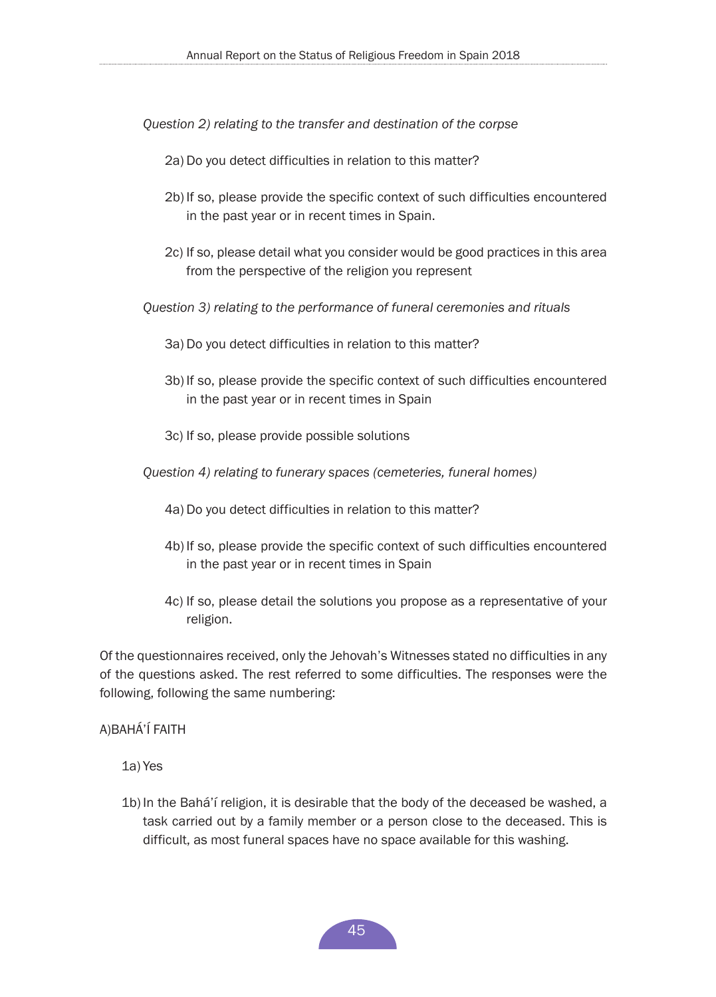*Question 2) relating to the transfer and destination of the corpse*

- 2a) Do you detect difficulties in relation to this matter?
- 2b) If so, please provide the specific context of such difficulties encountered in the past year or in recent times in Spain.
- 2c) If so, please detail what you consider would be good practices in this area from the perspective of the religion you represent

*Question 3) relating to the performance of funeral ceremonies and rituals*

- 3a) Do you detect difficulties in relation to this matter?
- 3b) If so, please provide the specific context of such difficulties encountered in the past year or in recent times in Spain
- 3c) If so, please provide possible solutions

*Question 4) relating to funerary spaces (cemeteries, funeral homes)*

- 4a) Do you detect difficulties in relation to this matter?
- 4b) If so, please provide the specific context of such difficulties encountered in the past year or in recent times in Spain
- 4c) If so, please detail the solutions you propose as a representative of your religion.

Of the questionnaires received, only the Jehovah's Witnesses stated no difficulties in any of the questions asked. The rest referred to some difficulties. The responses were the following, following the same numbering:

## A)BAHÁ'Í FAITH

1a) Yes

1b) In the Bahá'í religion, it is desirable that the body of the deceased be washed, a task carried out by a family member or a person close to the deceased. This is difficult, as most funeral spaces have no space available for this washing.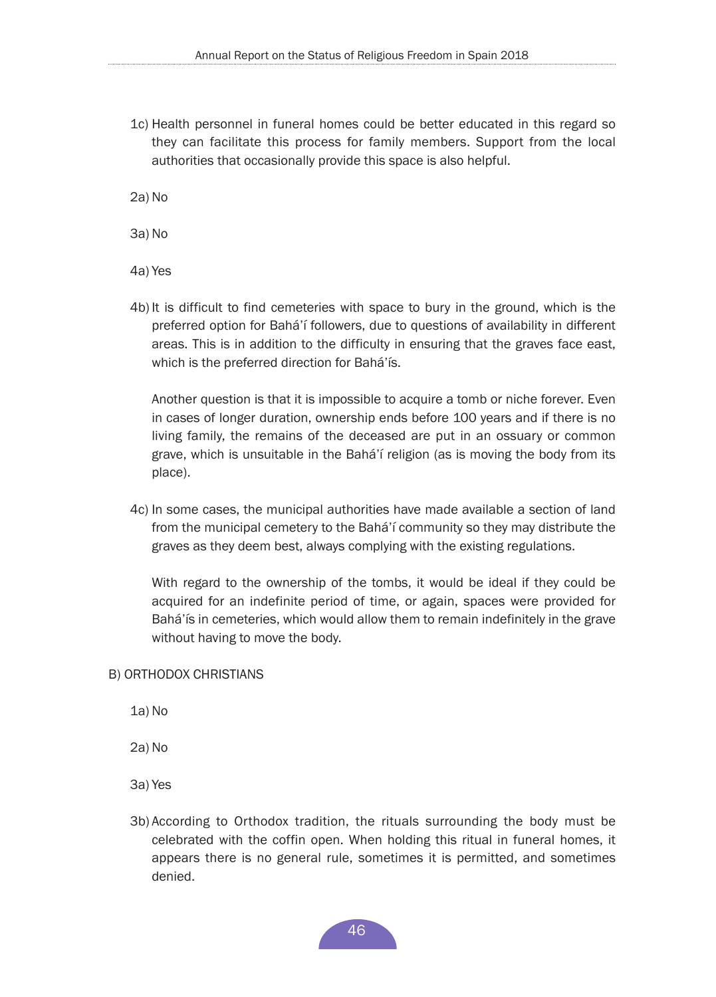1c) Health personnel in funeral homes could be better educated in this regard so they can facilitate this process for family members. Support from the local authorities that occasionally provide this space is also helpful.

2a) No

3a) No

4a) Yes

4b) It is difficult to find cemeteries with space to bury in the ground, which is the preferred option for Bahá'í followers, due to questions of availability in different areas. This is in addition to the difficulty in ensuring that the graves face east, which is the preferred direction for Bahá'ís.

Another question is that it is impossible to acquire a tomb or niche forever. Even in cases of longer duration, ownership ends before 100 years and if there is no living family, the remains of the deceased are put in an ossuary or common grave, which is unsuitable in the Bahá'í religion (as is moving the body from its place).

4c) In some cases, the municipal authorities have made available a section of land from the municipal cemetery to the Bahá'í community so they may distribute the graves as they deem best, always complying with the existing regulations.

With regard to the ownership of the tombs, it would be ideal if they could be acquired for an indefinite period of time, or again, spaces were provided for Bahá'ís in cemeteries, which would allow them to remain indefinitely in the grave without having to move the body.

#### B) ORTHODOX CHRISTIANS

1a) No

2a) No

- 3a) Yes
- 3b) According to Orthodox tradition, the rituals surrounding the body must be celebrated with the coffin open. When holding this ritual in funeral homes, it appears there is no general rule, sometimes it is permitted, and sometimes denied.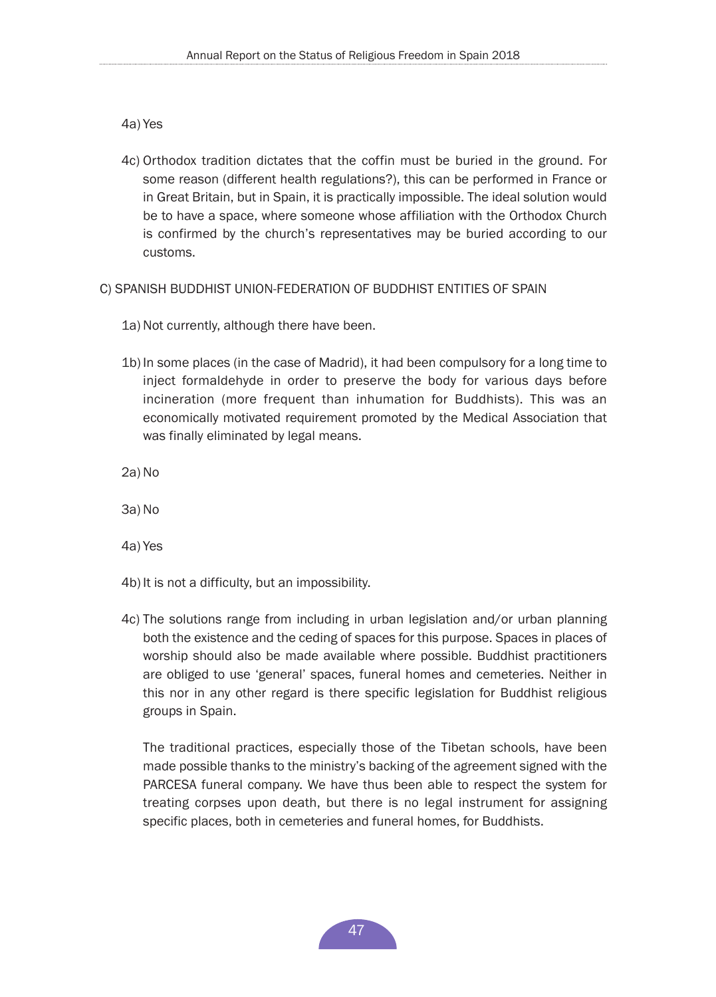4a) Yes

- 4c) Orthodox tradition dictates that the coffin must be buried in the ground. For some reason (different health regulations?), this can be performed in France or in Great Britain, but in Spain, it is practically impossible. The ideal solution would be to have a space, where someone whose affiliation with the Orthodox Church is confirmed by the church's representatives may be buried according to our customs.
- C) SPANISH BUDDHIST UNION-FEDERATION OF BUDDHIST ENTITIES OF SPAIN
	- 1a) Not currently, although there have been.
	- 1b) In some places (in the case of Madrid), it had been compulsory for a long time to inject formaldehyde in order to preserve the body for various days before incineration (more frequent than inhumation for Buddhists). This was an economically motivated requirement promoted by the Medical Association that was finally eliminated by legal means.
	- 2a) No
	- 3a) No
	- 4a) Yes
	- 4b) It is not a difficulty, but an impossibility.
	- 4c) The solutions range from including in urban legislation and/or urban planning both the existence and the ceding of spaces for this purpose. Spaces in places of worship should also be made available where possible. Buddhist practitioners are obliged to use 'general' spaces, funeral homes and cemeteries. Neither in this nor in any other regard is there specific legislation for Buddhist religious groups in Spain.

The traditional practices, especially those of the Tibetan schools, have been made possible thanks to the ministry's backing of the agreement signed with the PARCESA funeral company. We have thus been able to respect the system for treating corpses upon death, but there is no legal instrument for assigning specific places, both in cemeteries and funeral homes, for Buddhists.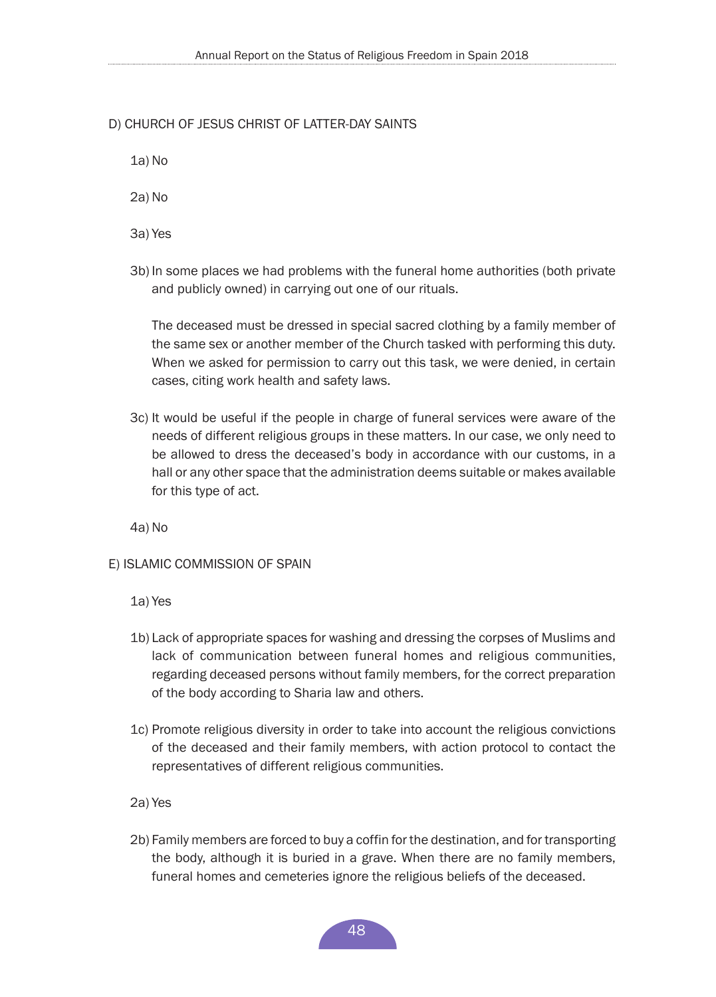## D) CHURCH OF JESUS CHRIST OF LATTER-DAY SAINTS

1a) No

2a) No

3a) Yes

3b) In some places we had problems with the funeral home authorities (both private and publicly owned) in carrying out one of our rituals.

The deceased must be dressed in special sacred clothing by a family member of the same sex or another member of the Church tasked with performing this duty. When we asked for permission to carry out this task, we were denied, in certain cases, citing work health and safety laws.

3c) It would be useful if the people in charge of funeral services were aware of the needs of different religious groups in these matters. In our case, we only need to be allowed to dress the deceased's body in accordance with our customs, in a hall or any other space that the administration deems suitable or makes available for this type of act.

4a) No

E) ISLAMIC COMMISSION OF SPAIN

1a) Yes

- 1b) Lack of appropriate spaces for washing and dressing the corpses of Muslims and lack of communication between funeral homes and religious communities, regarding deceased persons without family members, for the correct preparation of the body according to Sharia law and others.
- 1c) Promote religious diversity in order to take into account the religious convictions of the deceased and their family members, with action protocol to contact the representatives of different religious communities.

2a) Yes

2b) Family members are forced to buy a coffin for the destination, and for transporting the body, although it is buried in a grave. When there are no family members, funeral homes and cemeteries ignore the religious beliefs of the deceased.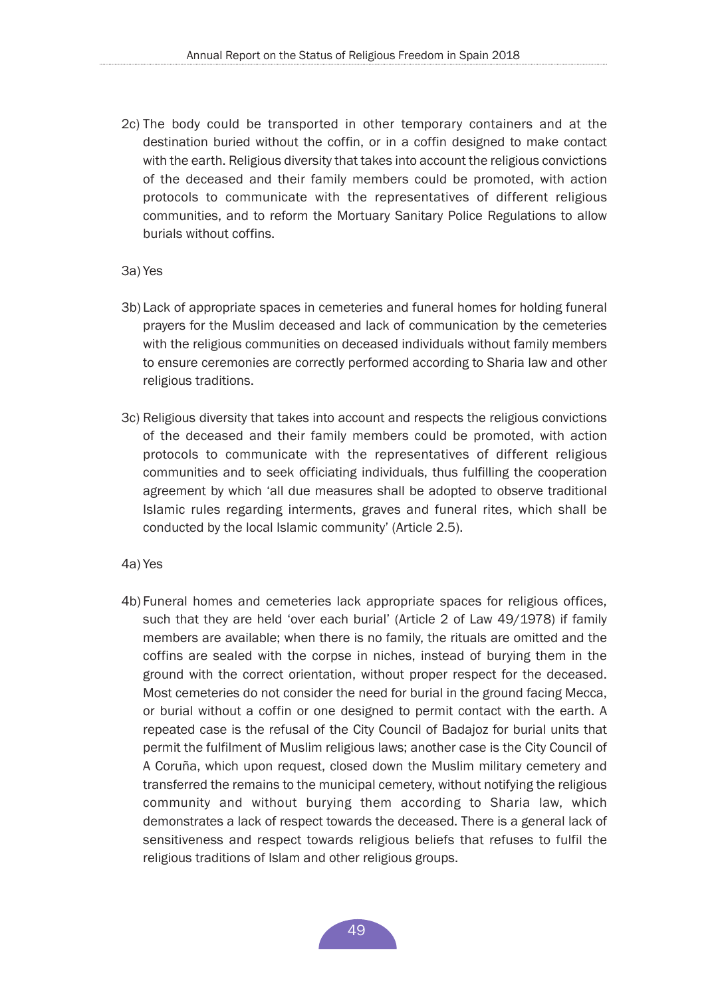- 2c) The body could be transported in other temporary containers and at the destination buried without the coffin, or in a coffin designed to make contact with the earth. Religious diversity that takes into account the religious convictions of the deceased and their family members could be promoted, with action protocols to communicate with the representatives of different religious communities, and to reform the Mortuary Sanitary Police Regulations to allow burials without coffins.
- 3a) Yes
- 3b) Lack of appropriate spaces in cemeteries and funeral homes for holding funeral prayers for the Muslim deceased and lack of communication by the cemeteries with the religious communities on deceased individuals without family members to ensure ceremonies are correctly performed according to Sharia law and other religious traditions.
- 3c) Religious diversity that takes into account and respects the religious convictions of the deceased and their family members could be promoted, with action protocols to communicate with the representatives of different religious communities and to seek officiating individuals, thus fulfilling the cooperation agreement by which 'all due measures shall be adopted to observe traditional Islamic rules regarding interments, graves and funeral rites, which shall be conducted by the local Islamic community' (Article 2.5).
- 4a) Yes
- 4b) Funeral homes and cemeteries lack appropriate spaces for religious offices, such that they are held 'over each burial' (Article 2 of Law 49/1978) if family members are available; when there is no family, the rituals are omitted and the coffins are sealed with the corpse in niches, instead of burying them in the ground with the correct orientation, without proper respect for the deceased. Most cemeteries do not consider the need for burial in the ground facing Mecca, or burial without a coffin or one designed to permit contact with the earth. A repeated case is the refusal of the City Council of Badajoz for burial units that permit the fulfilment of Muslim religious laws; another case is the City Council of A Coruña, which upon request, closed down the Muslim military cemetery and transferred the remains to the municipal cemetery, without notifying the religious community and without burying them according to Sharia law, which demonstrates a lack of respect towards the deceased. There is a general lack of sensitiveness and respect towards religious beliefs that refuses to fulfil the religious traditions of Islam and other religious groups.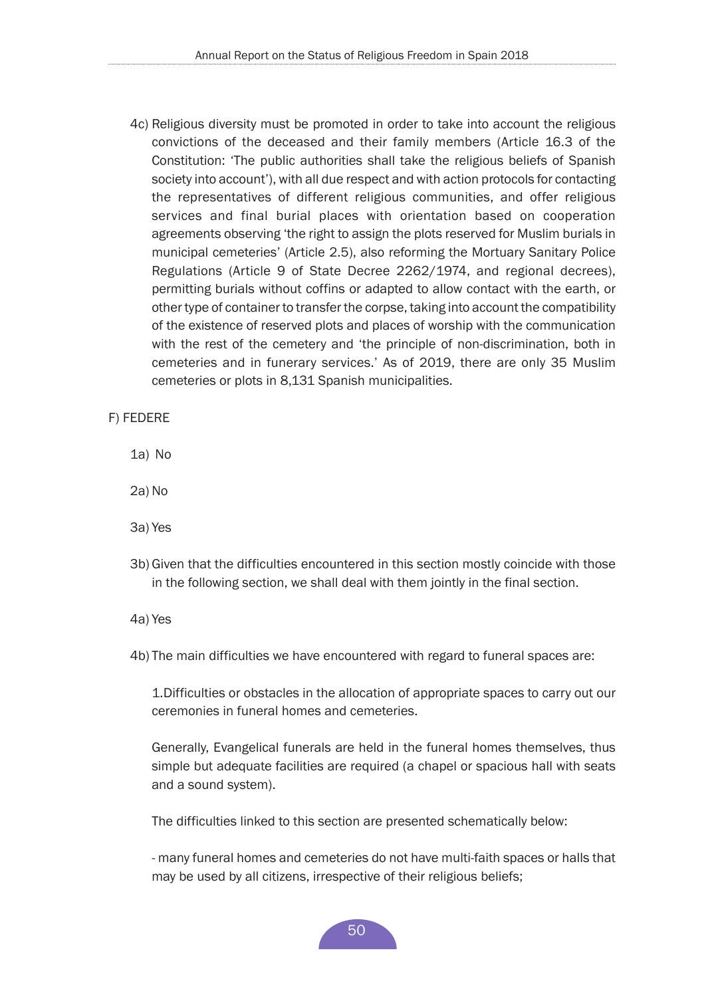4c) Religious diversity must be promoted in order to take into account the religious convictions of the deceased and their family members (Article 16.3 of the Constitution: 'The public authorities shall take the religious beliefs of Spanish society into account'), with all due respect and with action protocols for contacting the representatives of different religious communities, and offer religious services and final burial places with orientation based on cooperation agreements observing 'the right to assign the plots reserved for Muslim burials in municipal cemeteries' (Article 2.5), also reforming the Mortuary Sanitary Police Regulations (Article 9 of State Decree 2262/1974, and regional decrees), permitting burials without coffins or adapted to allow contact with the earth, or other type of container to transfer the corpse, taking into account the compatibility of the existence of reserved plots and places of worship with the communication with the rest of the cemetery and 'the principle of non-discrimination, both in cemeteries and in funerary services.' As of 2019, there are only 35 Muslim cemeteries or plots in 8,131 Spanish municipalities.

#### F) FEDERE

- 1a) No
- 2a) No
- 3a) Yes
- 3b)Given that the difficulties encountered in this section mostly coincide with those in the following section, we shall deal with them jointly in the final section.

4a) Yes

4b) The main difficulties we have encountered with regard to funeral spaces are:

1.Difficulties or obstacles in the allocation of appropriate spaces to carry out our ceremonies in funeral homes and cemeteries.

Generally, Evangelical funerals are held in the funeral homes themselves, thus simple but adequate facilities are required (a chapel or spacious hall with seats and a sound system).

The difficulties linked to this section are presented schematically below:

- many funeral homes and cemeteries do not have multi-faith spaces or halls that may be used by all citizens, irrespective of their religious beliefs;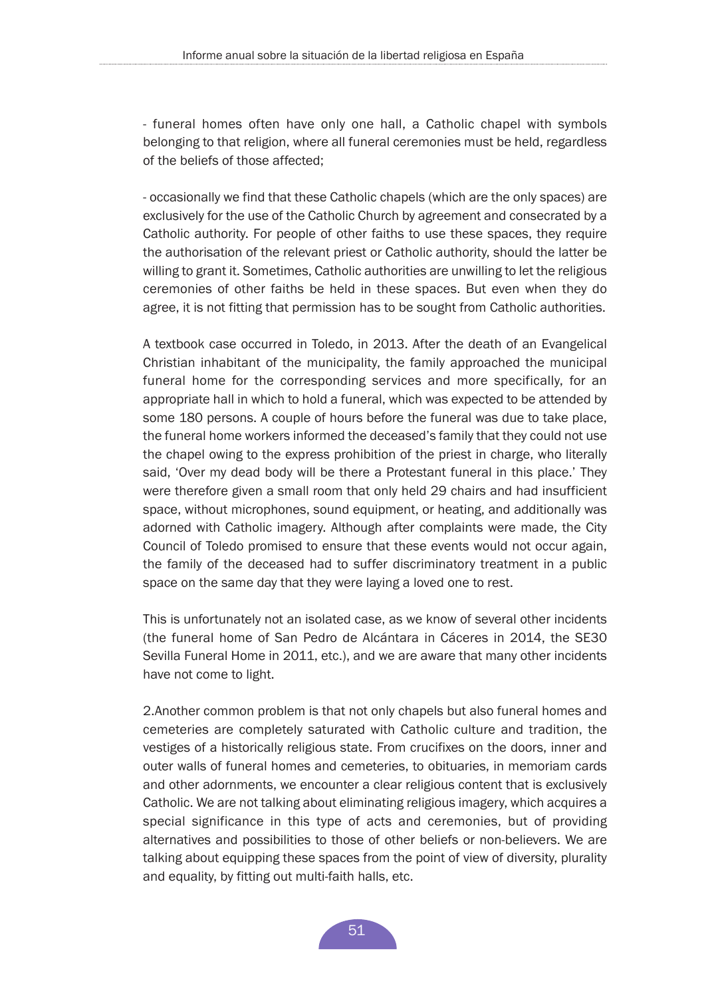- funeral homes often have only one hall, a Catholic chapel with symbols belonging to that religion, where all funeral ceremonies must be held, regardless of the beliefs of those affected;

- occasionally we find that these Catholic chapels (which are the only spaces) are exclusively for the use of the Catholic Church by agreement and consecrated by a Catholic authority. For people of other faiths to use these spaces, they require the authorisation of the relevant priest or Catholic authority, should the latter be willing to grant it. Sometimes, Catholic authorities are unwilling to let the religious ceremonies of other faiths be held in these spaces. But even when they do agree, it is not fitting that permission has to be sought from Catholic authorities.

A textbook case occurred in Toledo, in 2013. After the death of an Evangelical Christian inhabitant of the municipality, the family approached the municipal funeral home for the corresponding services and more specifically, for an appropriate hall in which to hold a funeral, which was expected to be attended by some 180 persons. A couple of hours before the funeral was due to take place, the funeral home workers informed the deceased's family that they could not use the chapel owing to the express prohibition of the priest in charge, who literally said, 'Over my dead body will be there a Protestant funeral in this place.' They were therefore given a small room that only held 29 chairs and had insufficient space, without microphones, sound equipment, or heating, and additionally was adorned with Catholic imagery. Although after complaints were made, the City Council of Toledo promised to ensure that these events would not occur again, the family of the deceased had to suffer discriminatory treatment in a public space on the same day that they were laying a loved one to rest.

This is unfortunately not an isolated case, as we know of several other incidents (the funeral home of San Pedro de Alcántara in Cáceres in 2014, the SE30 Sevilla Funeral Home in 2011, etc.), and we are aware that many other incidents have not come to light.

2.Another common problem is that not only chapels but also funeral homes and cemeteries are completely saturated with Catholic culture and tradition, the vestiges of a historically religious state. From crucifixes on the doors, inner and outer walls of funeral homes and cemeteries, to obituaries, in memoriam cards and other adornments, we encounter a clear religious content that is exclusively Catholic. We are not talking about eliminating religious imagery, which acquires a special significance in this type of acts and ceremonies, but of providing alternatives and possibilities to those of other beliefs or non-believers. We are talking about equipping these spaces from the point of view of diversity, plurality and equality, by fitting out multi-faith halls, etc.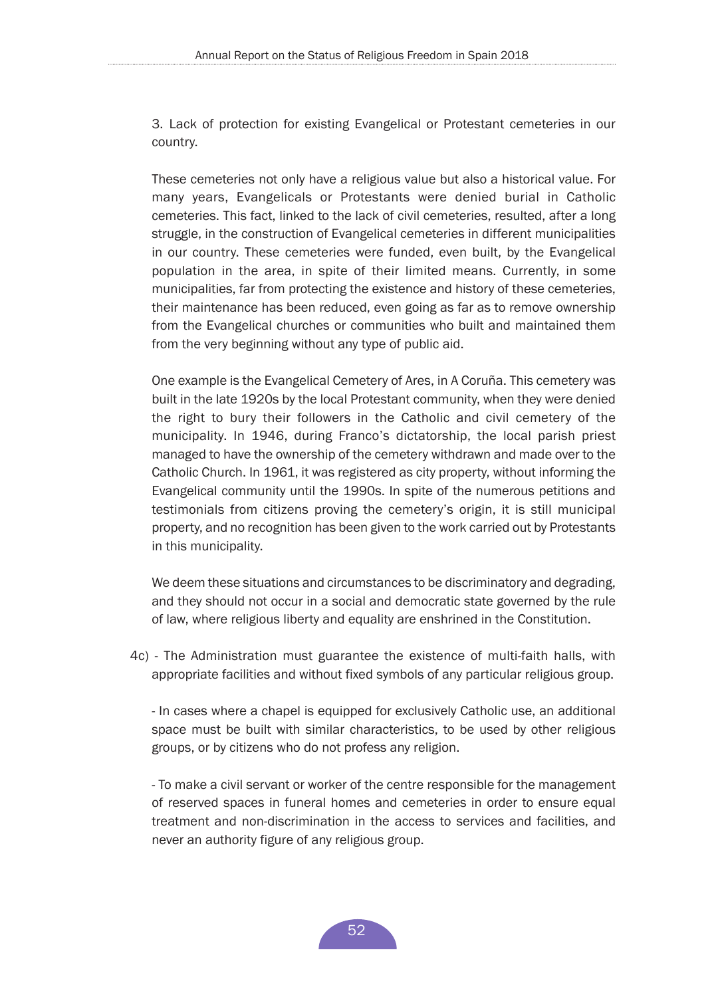3. Lack of protection for existing Evangelical or Protestant cemeteries in our country.

These cemeteries not only have a religious value but also a historical value. For many years, Evangelicals or Protestants were denied burial in Catholic cemeteries. This fact, linked to the lack of civil cemeteries, resulted, after a long struggle, in the construction of Evangelical cemeteries in different municipalities in our country. These cemeteries were funded, even built, by the Evangelical population in the area, in spite of their limited means. Currently, in some municipalities, far from protecting the existence and history of these cemeteries, their maintenance has been reduced, even going as far as to remove ownership from the Evangelical churches or communities who built and maintained them from the very beginning without any type of public aid.

One example is the Evangelical Cemetery of Ares, in A Coruña. This cemetery was built in the late 1920s by the local Protestant community, when they were denied the right to bury their followers in the Catholic and civil cemetery of the municipality. In 1946, during Franco's dictatorship, the local parish priest managed to have the ownership of the cemetery withdrawn and made over to the Catholic Church. In 1961, it was registered as city property, without informing the Evangelical community until the 1990s. In spite of the numerous petitions and testimonials from citizens proving the cemetery's origin, it is still municipal property, and no recognition has been given to the work carried out by Protestants in this municipality.

We deem these situations and circumstances to be discriminatory and degrading, and they should not occur in a social and democratic state governed by the rule of law, where religious liberty and equality are enshrined in the Constitution.

4c) - The Administration must guarantee the existence of multi-faith halls, with appropriate facilities and without fixed symbols of any particular religious group.

- In cases where a chapel is equipped for exclusively Catholic use, an additional space must be built with similar characteristics, to be used by other religious groups, or by citizens who do not profess any religion.

- To make a civil servant or worker of the centre responsible for the management of reserved spaces in funeral homes and cemeteries in order to ensure equal treatment and non-discrimination in the access to services and facilities, and never an authority figure of any religious group.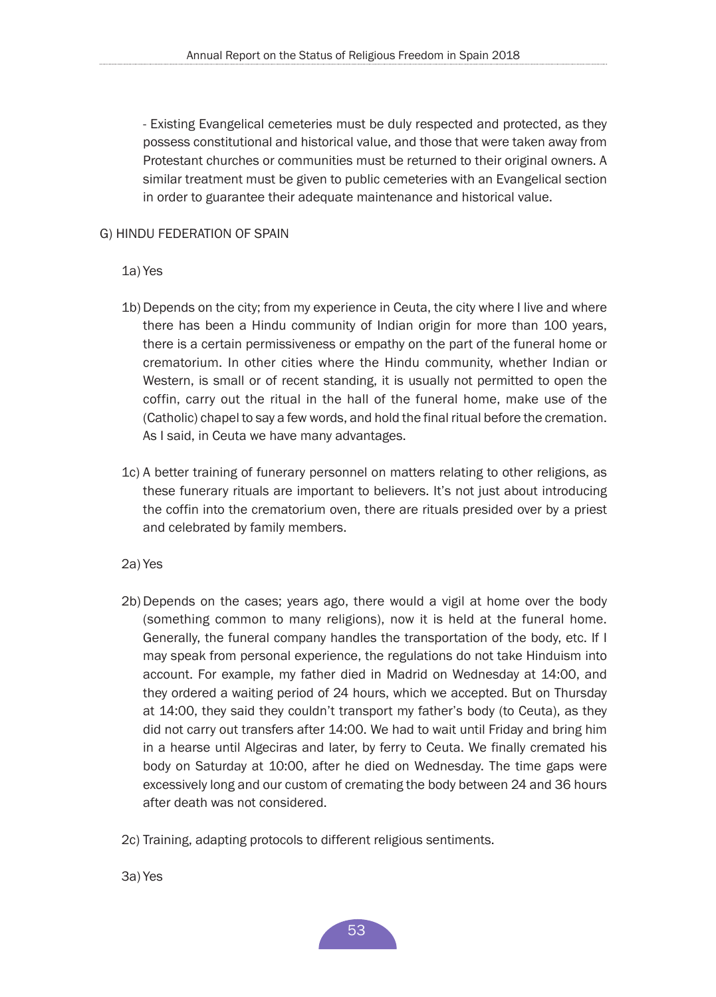- Existing Evangelical cemeteries must be duly respected and protected, as they possess constitutional and historical value, and those that were taken away from Protestant churches or communities must be returned to their original owners. A similar treatment must be given to public cemeteries with an Evangelical section in order to guarantee their adequate maintenance and historical value.

## G) HINDU FEDERATION OF SPAIN

- 1a) Yes
- 1b) Depends on the city; from my experience in Ceuta, the city where I live and where there has been a Hindu community of Indian origin for more than 100 years, there is a certain permissiveness or empathy on the part of the funeral home or crematorium. In other cities where the Hindu community, whether Indian or Western, is small or of recent standing, it is usually not permitted to open the coffin, carry out the ritual in the hall of the funeral home, make use of the (Catholic) chapel to say a few words, and hold the final ritual before the cremation. As I said, in Ceuta we have many advantages.
- 1c) A better training of funerary personnel on matters relating to other religions, as these funerary rituals are important to believers. It's not just about introducing the coffin into the crematorium oven, there are rituals presided over by a priest and celebrated by family members.
- 2a) Yes
- 2b)Depends on the cases; years ago, there would a vigil at home over the body (something common to many religions), now it is held at the funeral home. Generally, the funeral company handles the transportation of the body, etc. If I may speak from personal experience, the regulations do not take Hinduism into account. For example, my father died in Madrid on Wednesday at 14:00, and they ordered a waiting period of 24 hours, which we accepted. But on Thursday at 14:00, they said they couldn't transport my father's body (to Ceuta), as they did not carry out transfers after 14:00. We had to wait until Friday and bring him in a hearse until Algeciras and later, by ferry to Ceuta. We finally cremated his body on Saturday at 10:00, after he died on Wednesday. The time gaps were excessively long and our custom of cremating the body between 24 and 36 hours after death was not considered.
- 2c) Training, adapting protocols to different religious sentiments.
- 3a) Yes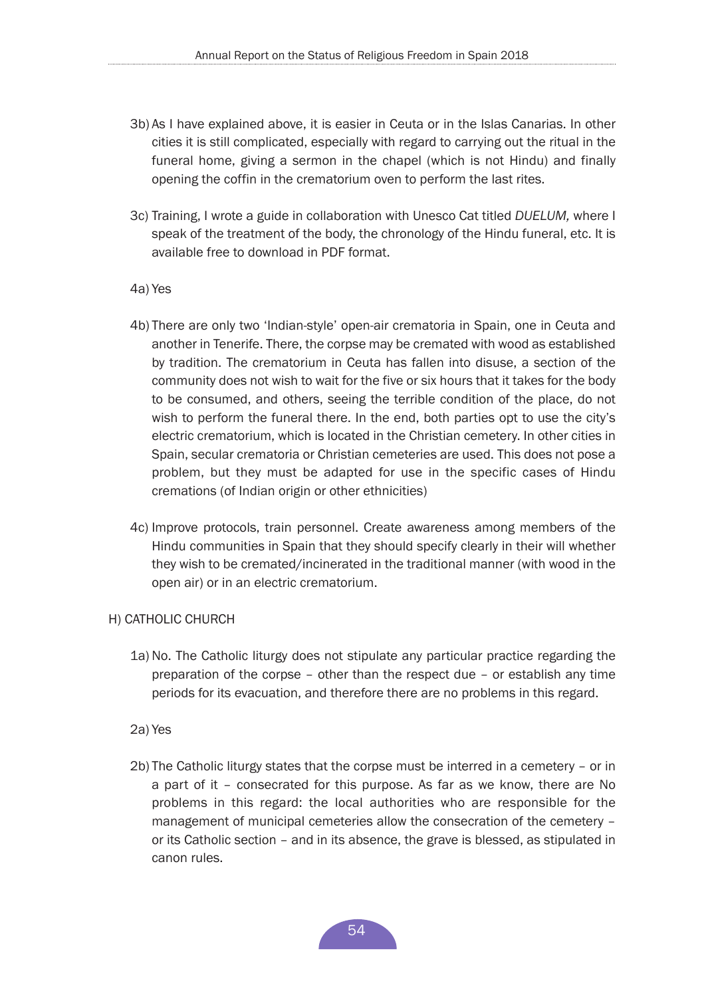- 3b) As I have explained above, it is easier in Ceuta or in the Islas Canarias. In other cities it is still complicated, especially with regard to carrying out the ritual in the funeral home, giving a sermon in the chapel (which is not Hindu) and finally opening the coffin in the crematorium oven to perform the last rites.
- 3c) Training, I wrote a guide in collaboration with Unesco Cat titled *DUELUM,* where I speak of the treatment of the body, the chronology of the Hindu funeral, etc. It is available free to download in PDF format.
- 4a) Yes
- 4b) There are only two 'Indian-style' open-air crematoria in Spain, one in Ceuta and another in Tenerife. There, the corpse may be cremated with wood as established by tradition. The crematorium in Ceuta has fallen into disuse, a section of the community does not wish to wait for the five or six hours that it takes for the body to be consumed, and others, seeing the terrible condition of the place, do not wish to perform the funeral there. In the end, both parties opt to use the city's electric crematorium, which is located in the Christian cemetery. In other cities in Spain, secular crematoria or Christian cemeteries are used. This does not pose a problem, but they must be adapted for use in the specific cases of Hindu cremations (of Indian origin or other ethnicities)
- 4c) Improve protocols, train personnel. Create awareness among members of the Hindu communities in Spain that they should specify clearly in their will whether they wish to be cremated/incinerated in the traditional manner (with wood in the open air) or in an electric crematorium.

#### H) CATHOLIC CHURCH

- 1a) No. The Catholic liturgy does not stipulate any particular practice regarding the preparation of the corpse – other than the respect due – or establish any time periods for its evacuation, and therefore there are no problems in this regard.
- 2a) Yes
- 2b) The Catholic liturgy states that the corpse must be interred in a cemetery or in a part of it – consecrated for this purpose. As far as we know, there are No problems in this regard: the local authorities who are responsible for the management of municipal cemeteries allow the consecration of the cemetery – or its Catholic section – and in its absence, the grave is blessed, as stipulated in canon rules.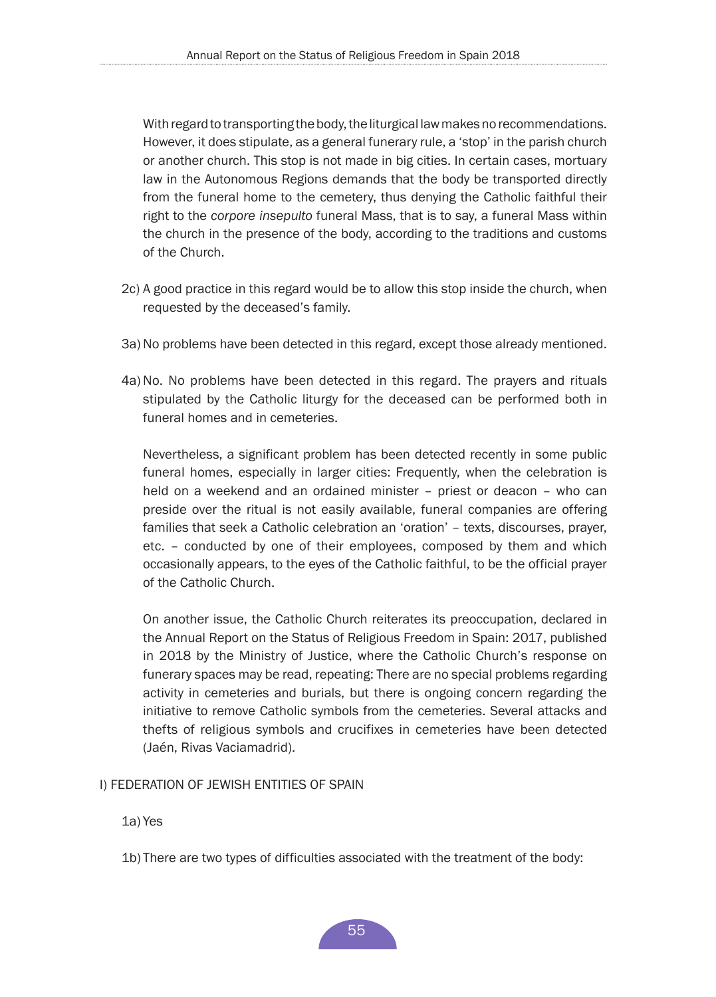With regard to transporting the body, the liturgical law makes no recommendations. However, it does stipulate, as a general funerary rule, a 'stop' in the parish church or another church. This stop is not made in big cities. In certain cases, mortuary law in the Autonomous Regions demands that the body be transported directly from the funeral home to the cemetery, thus denying the Catholic faithful their right to the *corpore insepulto* funeral Mass, that is to say, a funeral Mass within the church in the presence of the body, according to the traditions and customs of the Church.

- 2c) A good practice in this regard would be to allow this stop inside the church, when requested by the deceased's family.
- 3a) No problems have been detected in this regard, except those already mentioned.
- 4a) No. No problems have been detected in this regard. The prayers and rituals stipulated by the Catholic liturgy for the deceased can be performed both in funeral homes and in cemeteries.

Nevertheless, a significant problem has been detected recently in some public funeral homes, especially in larger cities: Frequently, when the celebration is held on a weekend and an ordained minister – priest or deacon – who can preside over the ritual is not easily available, funeral companies are offering families that seek a Catholic celebration an 'oration' – texts, discourses, prayer, etc. – conducted by one of their employees, composed by them and which occasionally appears, to the eyes of the Catholic faithful, to be the official prayer of the Catholic Church.

On another issue, the Catholic Church reiterates its preoccupation, declared in the Annual Report on the Status of Religious Freedom in Spain: 2017, published in 2018 by the Ministry of Justice, where the Catholic Church's response on funerary spaces may be read, repeating: There are no special problems regarding activity in cemeteries and burials, but there is ongoing concern regarding the initiative to remove Catholic symbols from the cemeteries. Several attacks and thefts of religious symbols and crucifixes in cemeteries have been detected (Jaén, Rivas Vaciamadrid).

#### I) FEDERATION OF JEWISH ENTITIES OF SPAIN

1a) Yes

1b) There are two types of difficulties associated with the treatment of the body: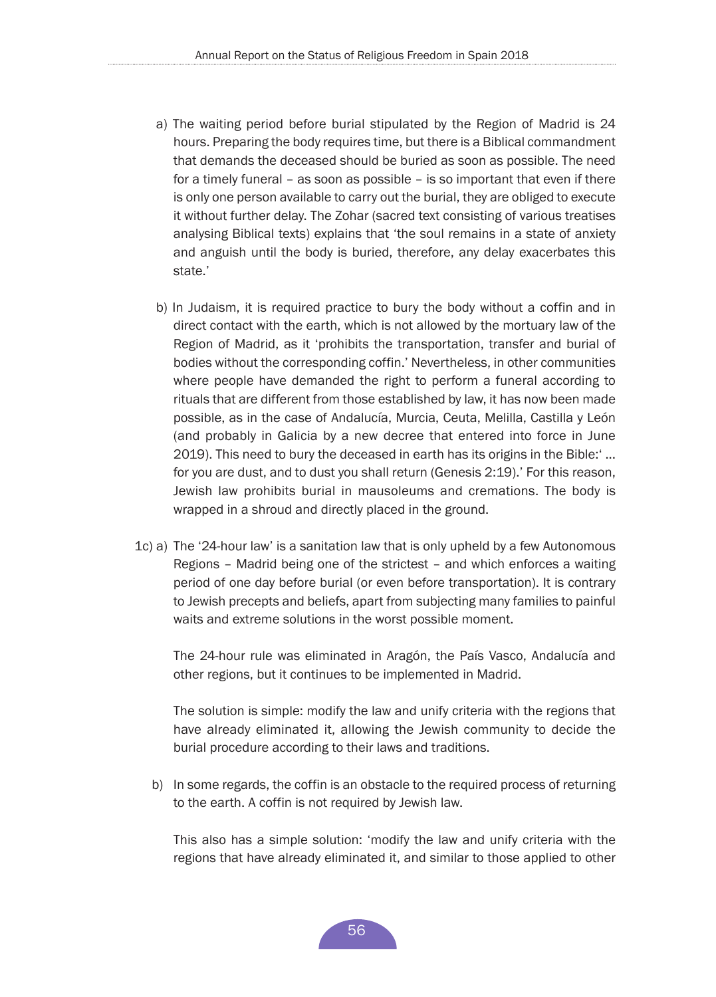- a) The waiting period before burial stipulated by the Region of Madrid is 24 hours. Preparing the body requires time, but there is a Biblical commandment that demands the deceased should be buried as soon as possible. The need for a timely funeral – as soon as possible – is so important that even if there is only one person available to carry out the burial, they are obliged to execute it without further delay. The Zohar (sacred text consisting of various treatises analysing Biblical texts) explains that 'the soul remains in a state of anxiety and anguish until the body is buried, therefore, any delay exacerbates this state.'
- b) In Judaism, it is required practice to bury the body without a coffin and in direct contact with the earth, which is not allowed by the mortuary law of the Region of Madrid, as it 'prohibits the transportation, transfer and burial of bodies without the corresponding coffin.' Nevertheless, in other communities where people have demanded the right to perform a funeral according to rituals that are different from those established by law, it has now been made possible, as in the case of Andalucía, Murcia, Ceuta, Melilla, Castilla y León (and probably in Galicia by a new decree that entered into force in June 2019). This need to bury the deceased in earth has its origins in the Bible:' ... for you are dust, and to dust you shall return (Genesis 2:19).' For this reason, Jewish law prohibits burial in mausoleums and cremations. The body is wrapped in a shroud and directly placed in the ground.
- 1c) a) The '24-hour law' is a sanitation law that is only upheld by a few Autonomous Regions – Madrid being one of the strictest – and which enforces a waiting period of one day before burial (or even before transportation). It is contrary to Jewish precepts and beliefs, apart from subjecting many families to painful waits and extreme solutions in the worst possible moment.

The 24-hour rule was eliminated in Aragón, the País Vasco, Andalucía and other regions, but it continues to be implemented in Madrid.

The solution is simple: modify the law and unify criteria with the regions that have already eliminated it, allowing the Jewish community to decide the burial procedure according to their laws and traditions.

b) In some regards, the coffin is an obstacle to the required process of returning to the earth. A coffin is not required by Jewish law.

This also has a simple solution: 'modify the law and unify criteria with the regions that have already eliminated it, and similar to those applied to other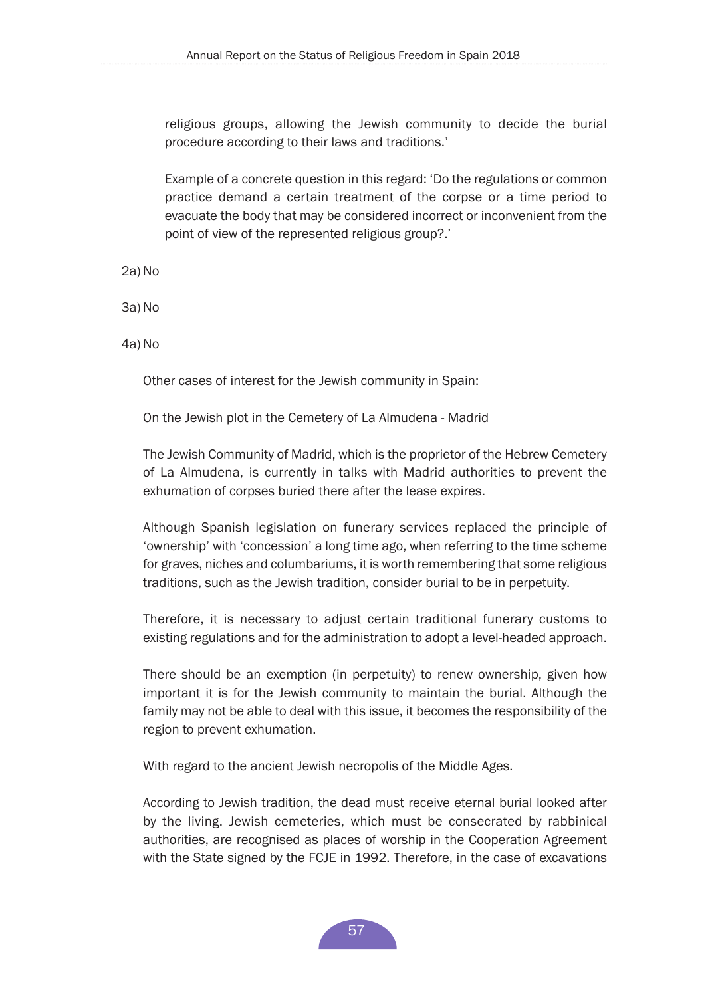religious groups, allowing the Jewish community to decide the burial procedure according to their laws and traditions.'

Example of a concrete question in this regard: 'Do the regulations or common practice demand a certain treatment of the corpse or a time period to evacuate the body that may be considered incorrect or inconvenient from the point of view of the represented religious group?.'

2a) No

3a) No

4a) No

Other cases of interest for the Jewish community in Spain:

On the Jewish plot in the Cemetery of La Almudena - Madrid

The Jewish Community of Madrid, which is the proprietor of the Hebrew Cemetery of La Almudena, is currently in talks with Madrid authorities to prevent the exhumation of corpses buried there after the lease expires.

Although Spanish legislation on funerary services replaced the principle of 'ownership' with 'concession' a long time ago, when referring to the time scheme for graves, niches and columbariums, it is worth remembering that some religious traditions, such as the Jewish tradition, consider burial to be in perpetuity.

Therefore, it is necessary to adjust certain traditional funerary customs to existing regulations and for the administration to adopt a level-headed approach.

There should be an exemption (in perpetuity) to renew ownership, given how important it is for the Jewish community to maintain the burial. Although the family may not be able to deal with this issue, it becomes the responsibility of the region to prevent exhumation.

With regard to the ancient Jewish necropolis of the Middle Ages.

According to Jewish tradition, the dead must receive eternal burial looked after by the living. Jewish cemeteries, which must be consecrated by rabbinical authorities, are recognised as places of worship in the Cooperation Agreement with the State signed by the FCJE in 1992. Therefore, in the case of excavations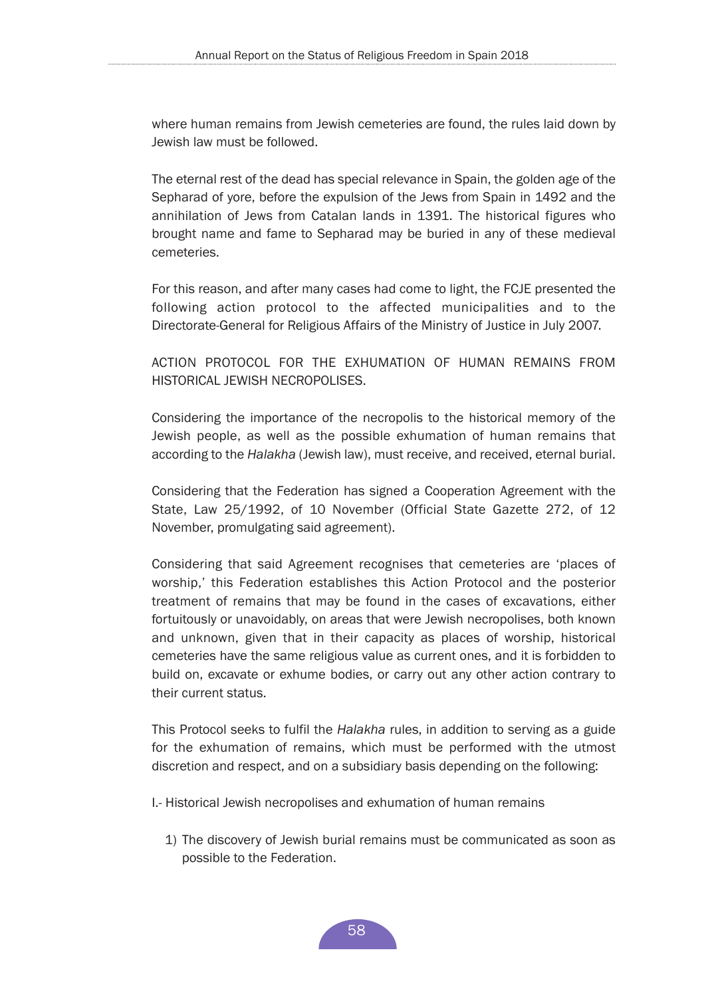where human remains from Jewish cemeteries are found, the rules laid down by Jewish law must be followed.

The eternal rest of the dead has special relevance in Spain, the golden age of the Sepharad of yore, before the expulsion of the Jews from Spain in 1492 and the annihilation of Jews from Catalan lands in 1391. The historical figures who brought name and fame to Sepharad may be buried in any of these medieval cemeteries.

For this reason, and after many cases had come to light, the FCJE presented the following action protocol to the affected municipalities and to the Directorate-General for Religious Affairs of the Ministry of Justice in July 2007.

ACTION PROTOCOL FOR THE EXHUMATION OF HUMAN REMAINS FROM HISTORICAL JEWISH NECROPOLISES.

Considering the importance of the necropolis to the historical memory of the Jewish people, as well as the possible exhumation of human remains that according to the *Halakha* (Jewish law), must receive, and received, eternal burial.

Considering that the Federation has signed a Cooperation Agreement with the State, Law 25/1992, of 10 November (Official State Gazette 272, of 12 November, promulgating said agreement).

Considering that said Agreement recognises that cemeteries are 'places of worship,' this Federation establishes this Action Protocol and the posterior treatment of remains that may be found in the cases of excavations, either fortuitously or unavoidably, on areas that were Jewish necropolises, both known and unknown, given that in their capacity as places of worship, historical cemeteries have the same religious value as current ones, and it is forbidden to build on, excavate or exhume bodies, or carry out any other action contrary to their current status.

This Protocol seeks to fulfil the *Halakha* rules, in addition to serving as a guide for the exhumation of remains, which must be performed with the utmost discretion and respect, and on a subsidiary basis depending on the following:

I.- Historical Jewish necropolises and exhumation of human remains

1) The discovery of Jewish burial remains must be communicated as soon as possible to the Federation.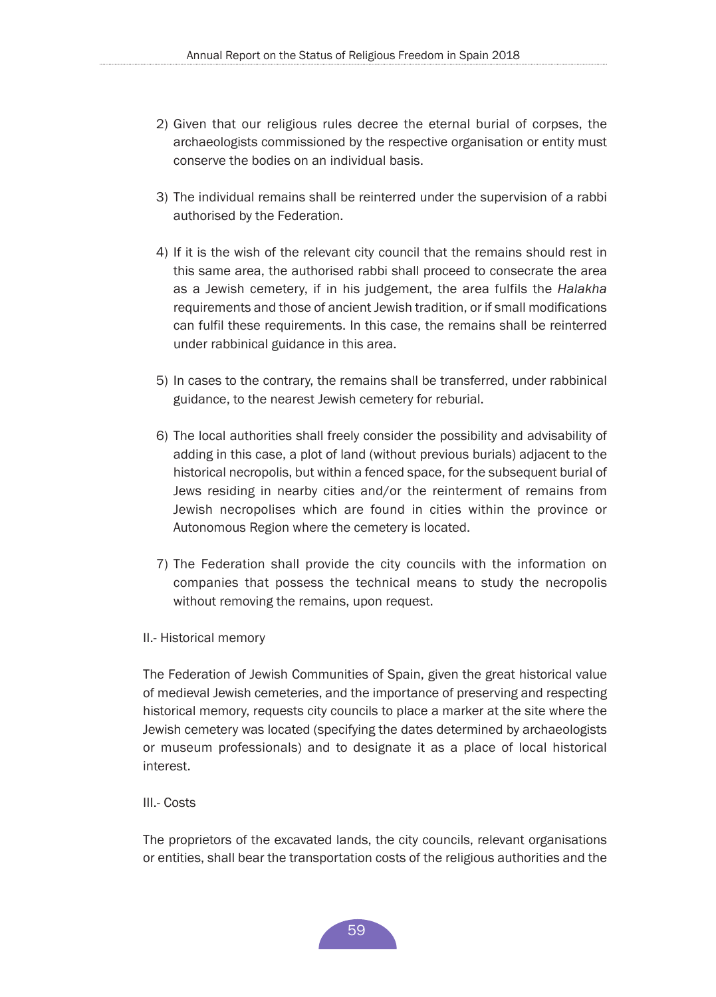- 2) Given that our religious rules decree the eternal burial of corpses, the archaeologists commissioned by the respective organisation or entity must conserve the bodies on an individual basis.
- 3) The individual remains shall be reinterred under the supervision of a rabbi authorised by the Federation.
- 4) If it is the wish of the relevant city council that the remains should rest in this same area, the authorised rabbi shall proceed to consecrate the area as a Jewish cemetery, if in his judgement, the area fulfils the *Halakha*  requirements and those of ancient Jewish tradition, or if small modifications can fulfil these requirements. In this case, the remains shall be reinterred under rabbinical guidance in this area.
- 5) In cases to the contrary, the remains shall be transferred, under rabbinical guidance, to the nearest Jewish cemetery for reburial.
- 6) The local authorities shall freely consider the possibility and advisability of adding in this case, a plot of land (without previous burials) adjacent to the historical necropolis, but within a fenced space, for the subsequent burial of Jews residing in nearby cities and/or the reinterment of remains from Jewish necropolises which are found in cities within the province or Autonomous Region where the cemetery is located.
- 7) The Federation shall provide the city councils with the information on companies that possess the technical means to study the necropolis without removing the remains, upon request.
- II.- Historical memory

The Federation of Jewish Communities of Spain, given the great historical value of medieval Jewish cemeteries, and the importance of preserving and respecting historical memory, requests city councils to place a marker at the site where the Jewish cemetery was located (specifying the dates determined by archaeologists or museum professionals) and to designate it as a place of local historical interest.

#### III.- Costs

The proprietors of the excavated lands, the city councils, relevant organisations or entities, shall bear the transportation costs of the religious authorities and the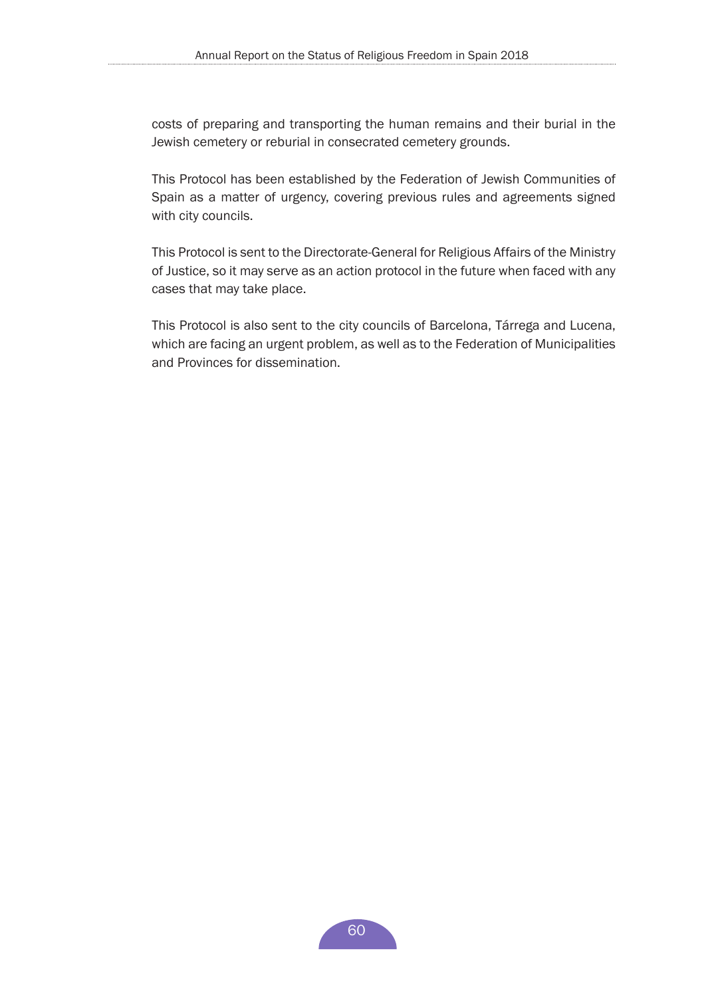costs of preparing and transporting the human remains and their burial in the Jewish cemetery or reburial in consecrated cemetery grounds.

This Protocol has been established by the Federation of Jewish Communities of Spain as a matter of urgency, covering previous rules and agreements signed with city councils.

This Protocol is sent to the Directorate-General for Religious Affairs of the Ministry of Justice, so it may serve as an action protocol in the future when faced with any cases that may take place.

This Protocol is also sent to the city councils of Barcelona, Tárrega and Lucena, which are facing an urgent problem, as well as to the Federation of Municipalities and Provinces for dissemination.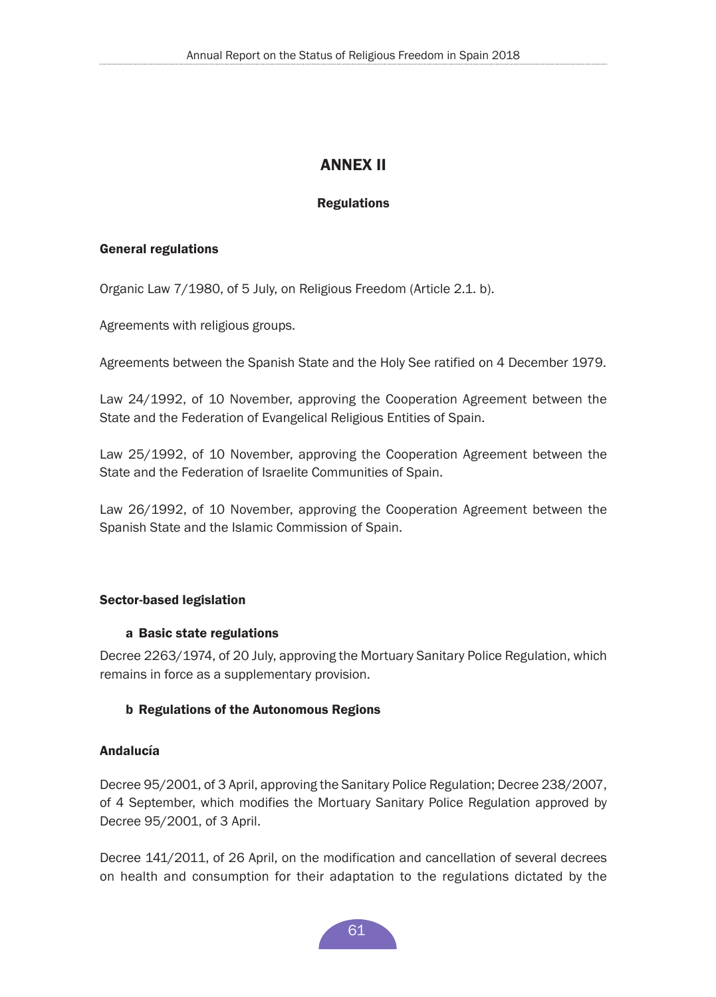# ANNEX II

## Regulations

#### <span id="page-60-0"></span>General regulations

Organic Law 7/1980, of 5 July, on Religious Freedom (Article 2.1. b).

Agreements with religious groups.

Agreements between the Spanish State and the Holy See ratified on 4 December 1979.

Law 24/1992, of 10 November, approving the Cooperation Agreement between the State and the Federation of Evangelical Religious Entities of Spain.

Law 25/1992, of 10 November, approving the Cooperation Agreement between the State and the Federation of Israelite Communities of Spain.

Law 26/1992, of 10 November, approving the Cooperation Agreement between the Spanish State and the Islamic Commission of Spain.

## Sector-based legislation

#### a Basic state regulations

Decree 2263/1974, of 20 July, approving the Mortuary Sanitary Police Regulation, which remains in force as a supplementary provision.

## b Regulations of the Autonomous Regions

## Andalucía

Decree 95/2001, of 3 April, approving the Sanitary Police Regulation; Decree 238/2007, of 4 September, which modifies the Mortuary Sanitary Police Regulation approved by Decree 95/2001, of 3 April.

Decree 141/2011, of 26 April, on the modification and cancellation of several decrees on health and consumption for their adaptation to the regulations dictated by the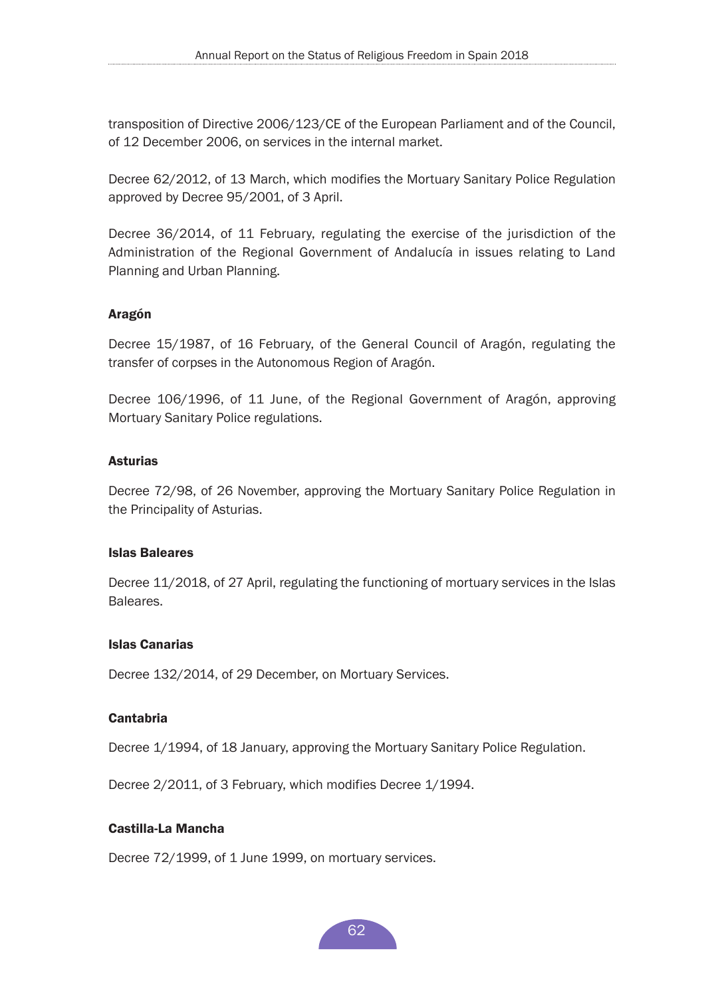transposition of Directive 2006/123/CE of the European Parliament and of the Council, of 12 December 2006, on services in the internal market.

Decree 62/2012, of 13 March, which modifies the Mortuary Sanitary Police Regulation approved by Decree 95/2001, of 3 April.

Decree 36/2014, of 11 February, regulating the exercise of the jurisdiction of the Administration of the Regional Government of Andalucía in issues relating to Land Planning and Urban Planning.

## Aragón

Decree 15/1987, of 16 February, of the General Council of Aragón, regulating the transfer of corpses in the Autonomous Region of Aragón.

Decree 106/1996, of 11 June, of the Regional Government of Aragón, approving Mortuary Sanitary Police regulations.

#### Asturias

Decree 72/98, of 26 November, approving the Mortuary Sanitary Police Regulation in the Principality of Asturias.

#### Islas Baleares

Decree 11/2018, of 27 April, regulating the functioning of mortuary services in the Islas Baleares.

#### Islas Canarias

Decree 132/2014, of 29 December, on Mortuary Services.

#### Cantabria

Decree 1/1994, of 18 January, approving the Mortuary Sanitary Police Regulation.

Decree 2/2011, of 3 February, which modifies Decree 1/1994.

## Castilla-La Mancha

Decree 72/1999, of 1 June 1999, on mortuary services.

62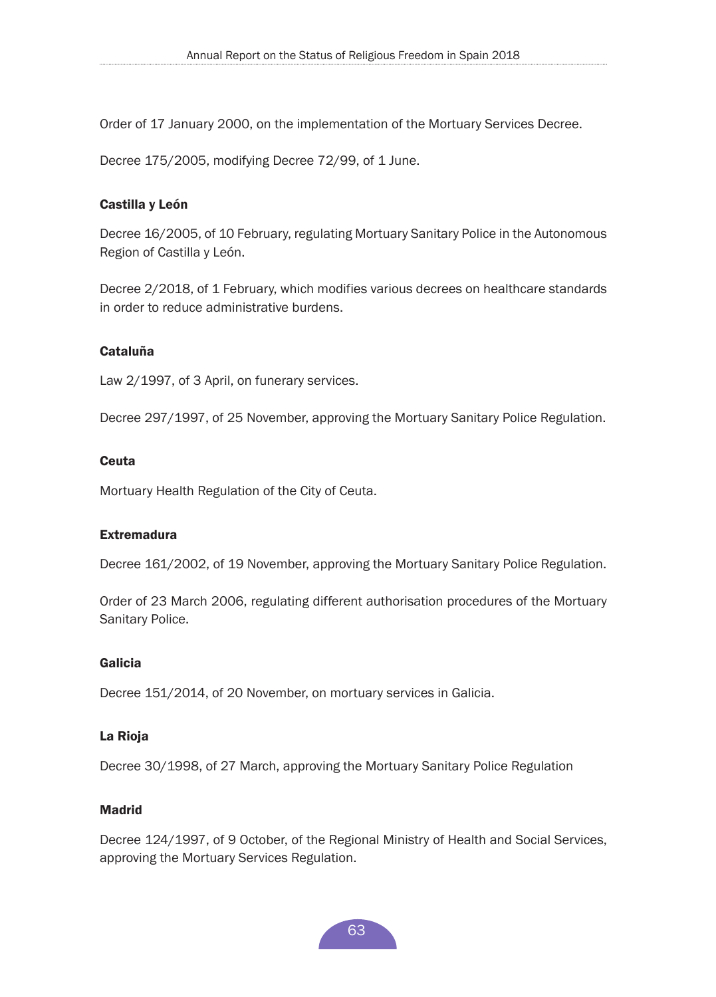Order of 17 January 2000, on the implementation of the Mortuary Services Decree.

Decree 175/2005, modifying Decree 72/99, of 1 June.

#### Castilla y León

Decree 16/2005, of 10 February, regulating Mortuary Sanitary Police in the Autonomous Region of Castilla y León.

Decree 2/2018, of 1 February, which modifies various decrees on healthcare standards in order to reduce administrative burdens.

#### Cataluña

Law 2/1997, of 3 April, on funerary services.

Decree 297/1997, of 25 November, approving the Mortuary Sanitary Police Regulation.

#### **Ceuta**

Mortuary Health Regulation of the City of Ceuta.

#### Extremadura

Decree 161/2002, of 19 November, approving the Mortuary Sanitary Police Regulation.

Order of 23 March 2006, regulating different authorisation procedures of the Mortuary Sanitary Police.

#### Galicia

Decree 151/2014, of 20 November, on mortuary services in Galicia.

#### La Rioja

Decree 30/1998, of 27 March, approving the Mortuary Sanitary Police Regulation

#### Madrid

Decree 124/1997, of 9 October, of the Regional Ministry of Health and Social Services, approving the Mortuary Services Regulation.

63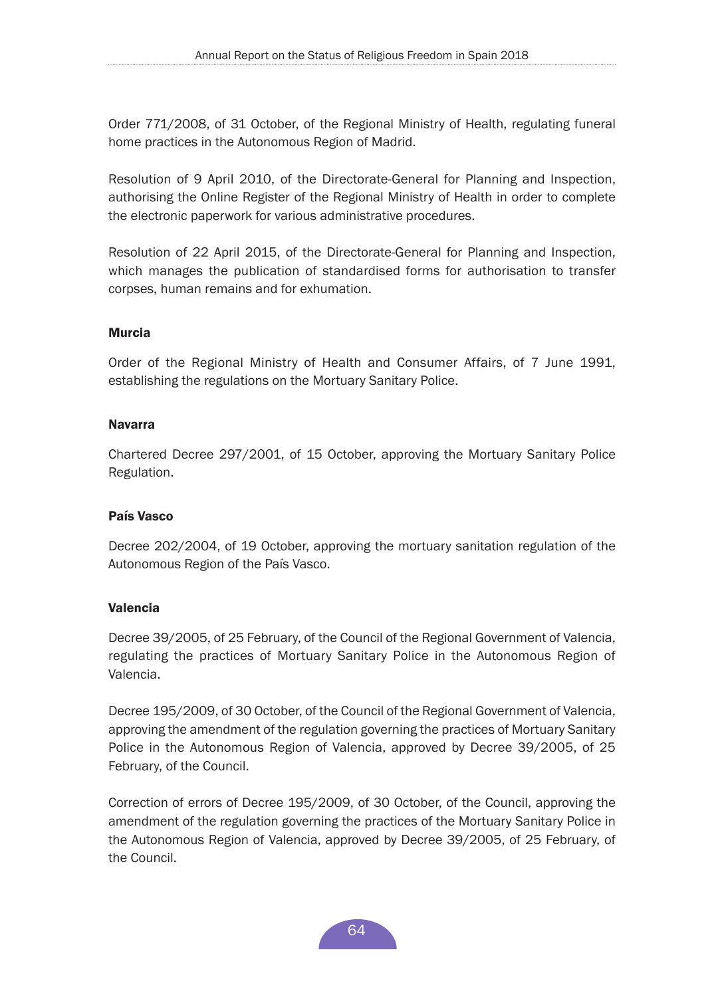Order 771/2008, of 31 October, of the Regional Ministry of Health, regulating funeral home practices in the Autonomous Region of Madrid.

Resolution of 9 April 2010, of the Directorate-General for Planning and Inspection, authorising the Online Register of the Regional Ministry of Health in order to complete the electronic paperwork for various administrative procedures.

Resolution of 22 April 2015, of the Directorate-General for Planning and Inspection, which manages the publication of standardised forms for authorisation to transfer corpses, human remains and for exhumation.

#### Murcia

Order of the Regional Ministry of Health and Consumer Affairs, of 7 June 1991, establishing the regulations on the Mortuary Sanitary Police.

#### Navarra

Chartered Decree 297/2001, of 15 October, approving the Mortuary Sanitary Police Regulation.

#### País Vasco

Decree 202/2004, of 19 October, approving the mortuary sanitation regulation of the Autonomous Region of the País Vasco.

#### Valencia

Decree 39/2005, of 25 February, of the Council of the Regional Government of Valencia, regulating the practices of Mortuary Sanitary Police in the Autonomous Region of Valencia.

Decree 195/2009, of 30 October, of the Council of the Regional Government of Valencia, approving the amendment of the regulation governing the practices of Mortuary Sanitary Police in the Autonomous Region of Valencia, approved by Decree 39/2005, of 25 February, of the Council.

Correction of errors of Decree 195/2009, of 30 October, of the Council, approving the amendment of the regulation governing the practices of the Mortuary Sanitary Police in the Autonomous Region of Valencia, approved by Decree 39/2005, of 25 February, of the Council.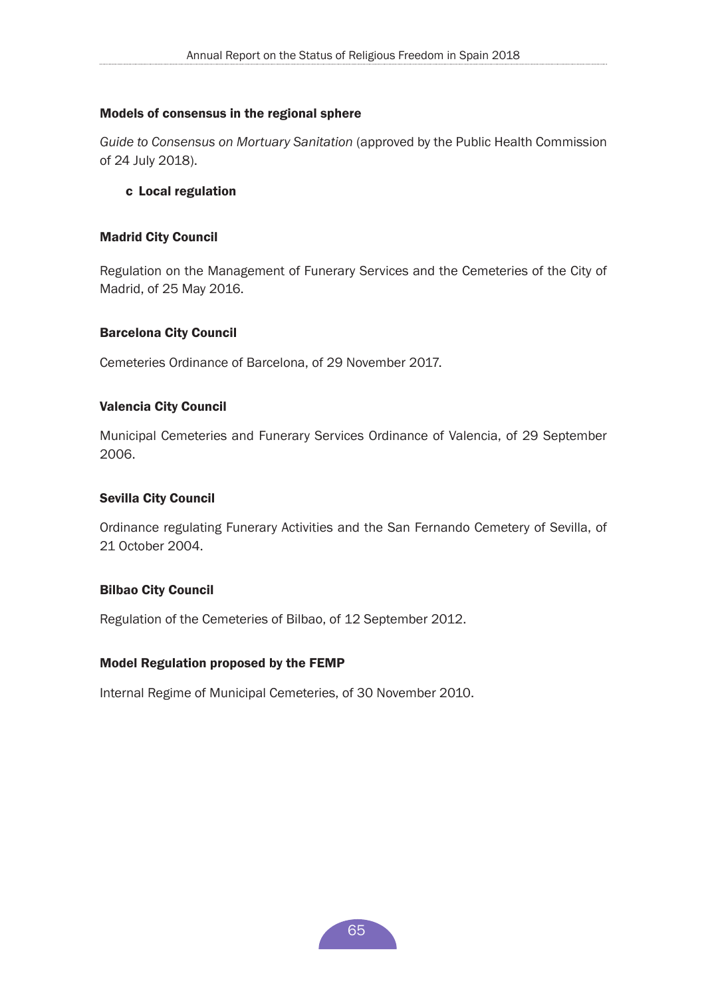## Models of consensus in the regional sphere

*Guide to Consensus on Mortuary Sanitation* (approved by the Public Health Commission of 24 July 2018).

## c Local regulation

#### Madrid City Council

Regulation on the Management of Funerary Services and the Cemeteries of the City of Madrid, of 25 May 2016.

#### Barcelona City Council

Cemeteries Ordinance of Barcelona, of 29 November 2017.

#### Valencia City Council

Municipal Cemeteries and Funerary Services Ordinance of Valencia, of 29 September 2006.

#### Sevilla City Council

Ordinance regulating Funerary Activities and the San Fernando Cemetery of Sevilla, of 21 October 2004.

#### Bilbao City Council

Regulation of the Cemeteries of Bilbao, of 12 September 2012.

#### Model Regulation proposed by the FEMP

Internal Regime of Municipal Cemeteries, of 30 November 2010.